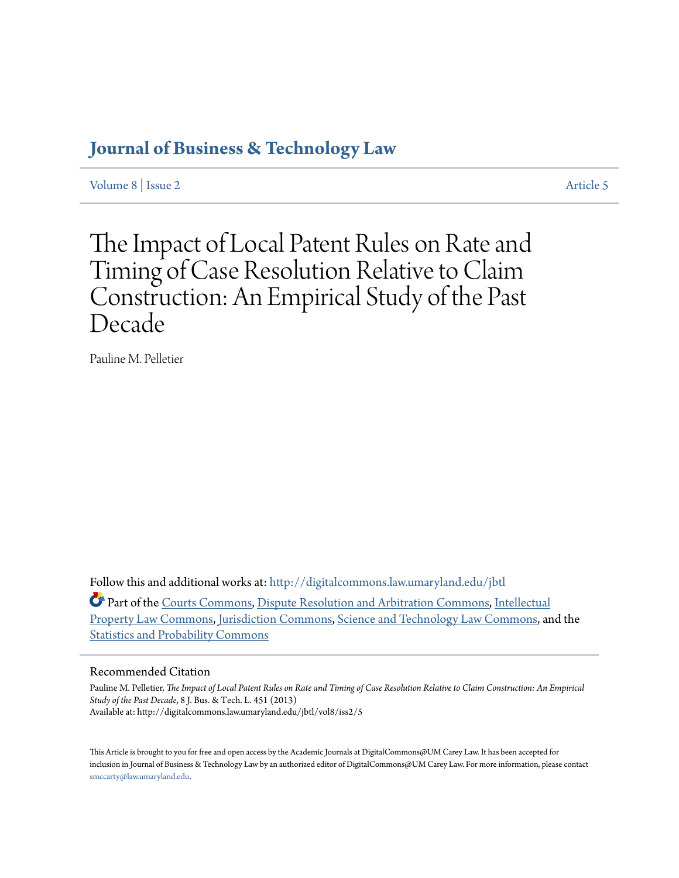# **[Journal of Business & Technology Law](http://digitalcommons.law.umaryland.edu/jbtl?utm_source=digitalcommons.law.umaryland.edu%2Fjbtl%2Fvol8%2Fiss2%2F5&utm_medium=PDF&utm_campaign=PDFCoverPages)**

[Volume 8](http://digitalcommons.law.umaryland.edu/jbtl/vol8?utm_source=digitalcommons.law.umaryland.edu%2Fjbtl%2Fvol8%2Fiss2%2F5&utm_medium=PDF&utm_campaign=PDFCoverPages) | [Issue 2](http://digitalcommons.law.umaryland.edu/jbtl/vol8/iss2?utm_source=digitalcommons.law.umaryland.edu%2Fjbtl%2Fvol8%2Fiss2%2F5&utm_medium=PDF&utm_campaign=PDFCoverPages) [Article 5](http://digitalcommons.law.umaryland.edu/jbtl/vol8/iss2/5?utm_source=digitalcommons.law.umaryland.edu%2Fjbtl%2Fvol8%2Fiss2%2F5&utm_medium=PDF&utm_campaign=PDFCoverPages)

The Impact of Local Patent Rules on Rate and Timing of Case Resolution Relative to Claim Construction: An Empirical Study of the Past Decade

Pauline M. Pelletier

Follow this and additional works at: [http://digitalcommons.law.umaryland.edu/jbtl](http://digitalcommons.law.umaryland.edu/jbtl?utm_source=digitalcommons.law.umaryland.edu%2Fjbtl%2Fvol8%2Fiss2%2F5&utm_medium=PDF&utm_campaign=PDFCoverPages)

Part of the [Courts Commons](http://network.bepress.com/hgg/discipline/839?utm_source=digitalcommons.law.umaryland.edu%2Fjbtl%2Fvol8%2Fiss2%2F5&utm_medium=PDF&utm_campaign=PDFCoverPages), [Dispute Resolution and Arbitration Commons](http://network.bepress.com/hgg/discipline/890?utm_source=digitalcommons.law.umaryland.edu%2Fjbtl%2Fvol8%2Fiss2%2F5&utm_medium=PDF&utm_campaign=PDFCoverPages), [Intellectual](http://network.bepress.com/hgg/discipline/896?utm_source=digitalcommons.law.umaryland.edu%2Fjbtl%2Fvol8%2Fiss2%2F5&utm_medium=PDF&utm_campaign=PDFCoverPages) [Property Law Commons](http://network.bepress.com/hgg/discipline/896?utm_source=digitalcommons.law.umaryland.edu%2Fjbtl%2Fvol8%2Fiss2%2F5&utm_medium=PDF&utm_campaign=PDFCoverPages), [Jurisdiction Commons,](http://network.bepress.com/hgg/discipline/850?utm_source=digitalcommons.law.umaryland.edu%2Fjbtl%2Fvol8%2Fiss2%2F5&utm_medium=PDF&utm_campaign=PDFCoverPages) [Science and Technology Law Commons,](http://network.bepress.com/hgg/discipline/875?utm_source=digitalcommons.law.umaryland.edu%2Fjbtl%2Fvol8%2Fiss2%2F5&utm_medium=PDF&utm_campaign=PDFCoverPages) and the [Statistics and Probability Commons](http://network.bepress.com/hgg/discipline/208?utm_source=digitalcommons.law.umaryland.edu%2Fjbtl%2Fvol8%2Fiss2%2F5&utm_medium=PDF&utm_campaign=PDFCoverPages)

### Recommended Citation

Pauline M. Pelletier, *The Impact of Local Patent Rules on Rate and Timing of Case Resolution Relative to Claim Construction: An Empirical Study of the Past Decade*, 8 J. Bus. & Tech. L. 451 (2013) Available at: http://digitalcommons.law.umaryland.edu/jbtl/vol8/iss2/5

This Article is brought to you for free and open access by the Academic Journals at DigitalCommons@UM Carey Law. It has been accepted for inclusion in Journal of Business & Technology Law by an authorized editor of DigitalCommons@UM Carey Law. For more information, please contact [smccarty@law.umaryland.edu.](mailto:smccarty@law.umaryland.edu)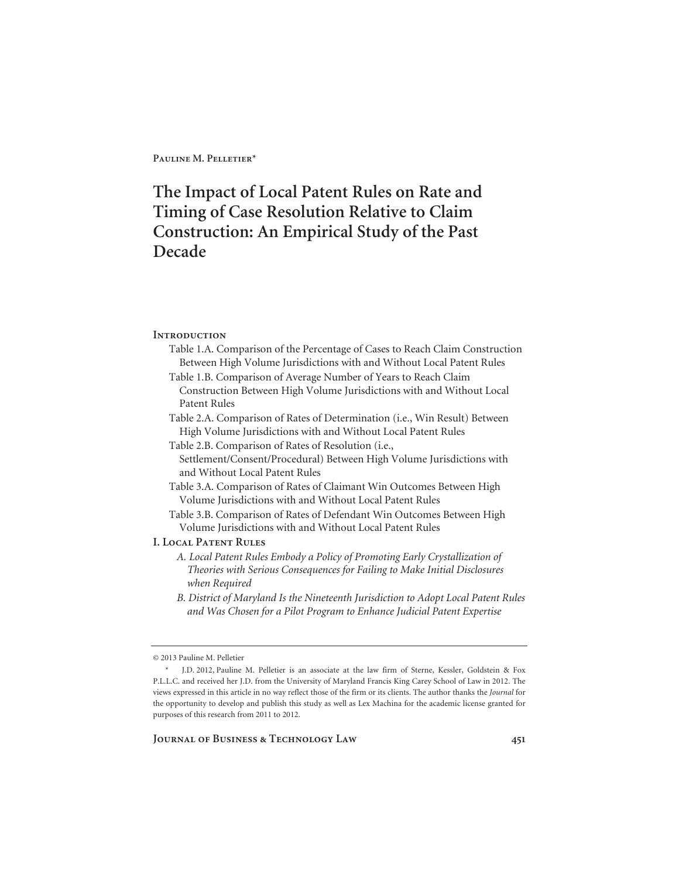# **The Impact of Local Patent Rules on Rate and Timing of Case Resolution Relative to Claim Construction: An Empirical Study of the Past Decade**

### **Introduction**

- Table 1.A. Comparison of the Percentage of Cases to Reach Claim Construction Between High Volume Jurisdictions with and Without Local Patent Rules
- Table 1.B. Comparison of Average Number of Years to Reach Claim Construction Between High Volume Jurisdictions with and Without Local Patent Rules
- Table 2.A. Comparison of Rates of Determination (i.e., Win Result) Between High Volume Jurisdictions with and Without Local Patent Rules
- Table 2.B. Comparison of Rates of Resolution (i.e., Settlement/Consent/Procedural) Between High Volume Jurisdictions with and Without Local Patent Rules
- Table 3.A. Comparison of Rates of Claimant Win Outcomes Between High Volume Jurisdictions with and Without Local Patent Rules

Table 3.B. Comparison of Rates of Defendant Win Outcomes Between High Volume Jurisdictions with and Without Local Patent Rules

#### **I. Local Patent Rules**

- *A. Local Patent Rules Embody a Policy of Promoting Early Crystallization of Theories with Serious Consequences for Failing to Make Initial Disclosures when Required*
- *B. District of Maryland Is the Nineteenth Jurisdiction to Adopt Local Patent Rules and Was Chosen for a Pilot Program to Enhance Judicial Patent Expertise*

<sup>© 2013</sup> Pauline M. Pelletier

 <sup>\*</sup> J.D. 2012, Pauline M. Pelletier is an associate at the law firm of Sterne, Kessler, Goldstein & Fox P.L.L.C. and received her J.D. from the University of Maryland Francis King Carey School of Law in 2012. The views expressed in this article in no way reflect those of the firm or its clients. The author thanks the *Journal* for the opportunity to develop and publish this study as well as Lex Machina for the academic license granted for purposes of this research from 2011 to 2012.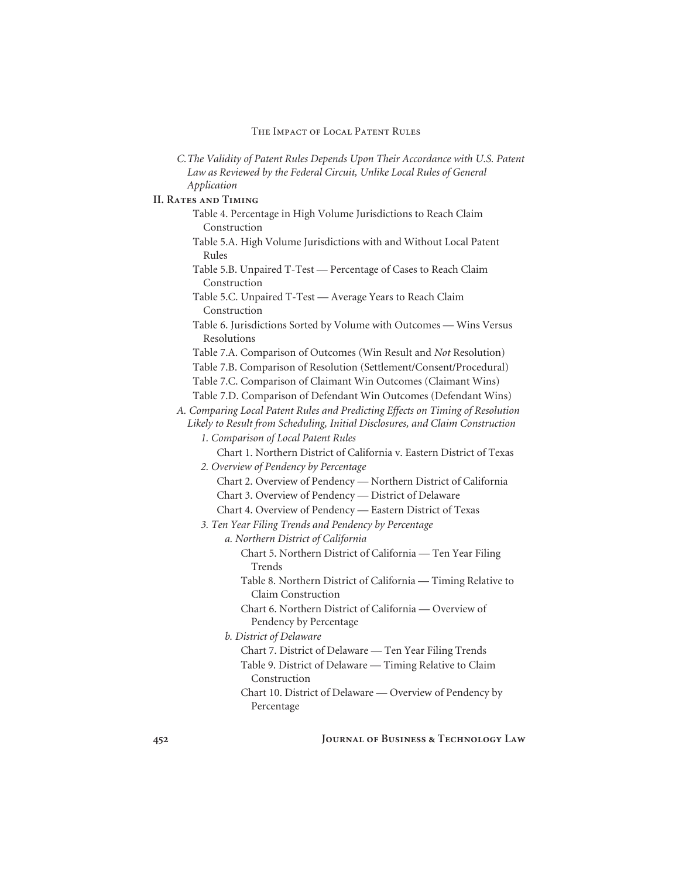| C. The Validity of Patent Rules Depends Upon Their Accordance with U.S. Patent                                     |
|--------------------------------------------------------------------------------------------------------------------|
| Law as Reviewed by the Federal Circuit, Unlike Local Rules of General                                              |
| Application                                                                                                        |
| <b>II. RATES AND TIMING</b>                                                                                        |
| Table 4. Percentage in High Volume Jurisdictions to Reach Claim                                                    |
| Construction                                                                                                       |
| Table 5.A. High Volume Jurisdictions with and Without Local Patent                                                 |
| Rules                                                                                                              |
| Table 5.B. Unpaired T-Test - Percentage of Cases to Reach Claim                                                    |
| Construction                                                                                                       |
| Table 5.C. Unpaired T-Test - Average Years to Reach Claim<br>Construction                                          |
| Table 6. Jurisdictions Sorted by Volume with Outcomes - Wins Versus<br>Resolutions                                 |
| Table 7.A. Comparison of Outcomes (Win Result and Not Resolution)                                                  |
| Table 7.B. Comparison of Resolution (Settlement/Consent/Procedural)                                                |
| Table 7.C. Comparison of Claimant Win Outcomes (Claimant Wins)                                                     |
| Table 7.D. Comparison of Defendant Win Outcomes (Defendant Wins)                                                   |
| A. Comparing Local Patent Rules and Predicting Effects on Timing of Resolution                                     |
| Likely to Result from Scheduling, Initial Disclosures, and Claim Construction                                      |
| 1. Comparison of Local Patent Rules                                                                                |
| Chart 1. Northern District of California v. Eastern District of Texas                                              |
| 2. Overview of Pendency by Percentage                                                                              |
| Chart 2. Overview of Pendency - Northern District of California                                                    |
| Chart 3. Overview of Pendency - District of Delaware                                                               |
| Chart 4. Overview of Pendency - Eastern District of Texas                                                          |
| 3. Ten Year Filing Trends and Pendency by Percentage                                                               |
| a. Northern District of California                                                                                 |
| Chart 5. Northern District of California - Ten Year Filing                                                         |
| Trends                                                                                                             |
| Table 8. Northern District of California - Timing Relative to                                                      |
| <b>Claim Construction</b>                                                                                          |
| Chart 6. Northern District of California - Overview of                                                             |
| Pendency by Percentage<br>b. District of Delaware                                                                  |
|                                                                                                                    |
| Chart 7. District of Delaware - Ten Year Filing Trends<br>Table 9. District of Delaware - Timing Relative to Claim |
| Construction                                                                                                       |
| Chart 10. District of Delaware - Overview of Pendency by                                                           |
| Percentage                                                                                                         |
|                                                                                                                    |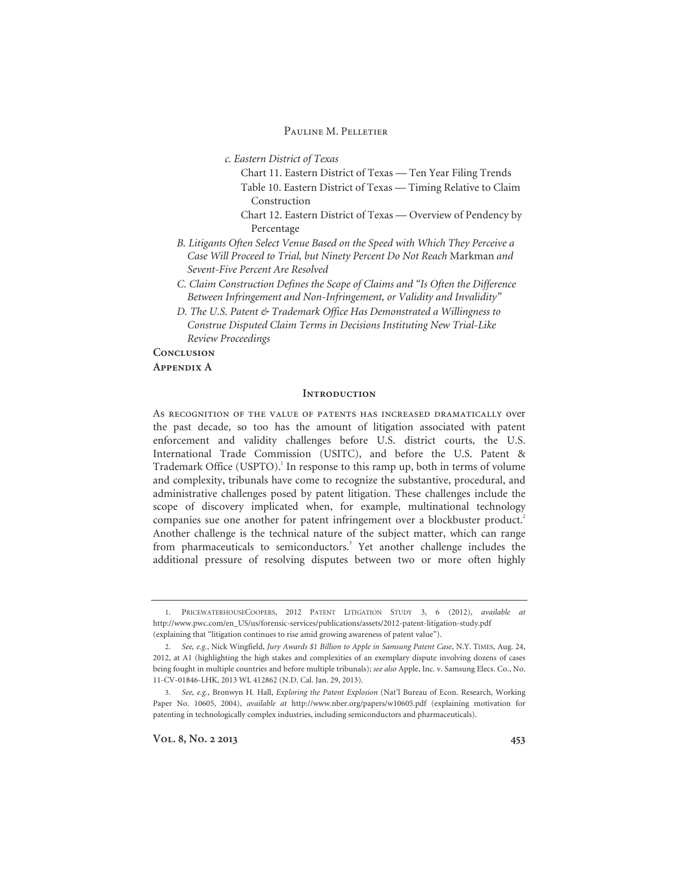*c. Eastern District of Texas* 

- Chart 11. Eastern District of Texas Ten Year Filing Trends
- Table 10. Eastern District of Texas Timing Relative to Claim Construction
- Chart 12. Eastern District of Texas Overview of Pendency by Percentage
- *B. Litigants Often Select Venue Based on the Speed with Which They Perceive a Case Will Proceed to Trial, but Ninety Percent Do Not Reach* Markman *and Sevent-Five Percent Are Resolved*
- *C. Claim Construction Defines the Scope of Claims and "Is Often the Difference Between Infringement and Non-Infringement, or Validity and Invalidity"*
- *D. The U.S. Patent & Trademark Office Has Demonstrated a Willingness to Construe Disputed Claim Terms in Decisions Instituting New Trial-Like Review Proceedings*

**Conclusion** 

#### **Appendix A**

#### **Introduction**

As recognition of the value of patents has increased dramatically over the past decade, so too has the amount of litigation associated with patent enforcement and validity challenges before U.S. district courts, the U.S. International Trade Commission (USITC), and before the U.S. Patent & Trademark Office (USPTO).<sup>1</sup> In response to this ramp up, both in terms of volume and complexity, tribunals have come to recognize the substantive, procedural, and administrative challenges posed by patent litigation. These challenges include the scope of discovery implicated when, for example, multinational technology companies sue one another for patent infringement over a blockbuster product.<sup>2</sup> Another challenge is the technical nature of the subject matter, which can range from pharmaceuticals to semiconductors.<sup>3</sup> Yet another challenge includes the additional pressure of resolving disputes between two or more often highly

<sup>1.</sup> PRICEWATERHOUSECOOPERS, 2012 PATENT LITIGATION STUDY 3, 6 (2012), *available at* http://www.pwc.com/en\_US/us/forensic-services/publications/assets/2012-patent-litigation-study.pdf (explaining that "litigation continues to rise amid growing awareness of patent value").

<sup>2.</sup> *See, e.g.*, Nick Wingfield, *Jury Awards \$1 Billion to Apple in Samsung Patent Case*, N.Y. TIMES, Aug. 24, 2012, at A1 (highlighting the high stakes and complexities of an exemplary dispute involving dozens of cases being fought in multiple countries and before multiple tribunals); *see also* Apple, Inc. v. Samsung Elecs. Co., No. 11-CV-01846-LHK, 2013 WL 412862 (N.D. Cal. Jan. 29, 2013).

<sup>3.</sup> *See, e.g.*, Bronwyn H. Hall, *Exploring the Patent Explosion* (Nat'l Bureau of Econ. Research, Working Paper No. 10605, 2004), *available at* http://www.nber.org/papers/w10605.pdf (explaining motivation for patenting in technologically complex industries, including semiconductors and pharmaceuticals).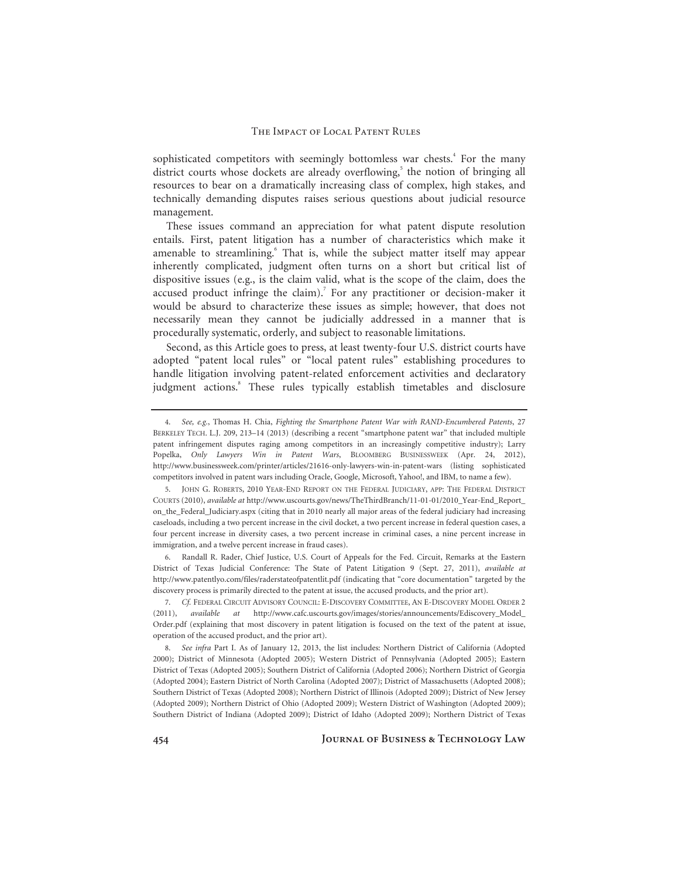sophisticated competitors with seemingly bottomless war chests.<sup>4</sup> For the many district courts whose dockets are already overflowing,<sup>5</sup> the notion of bringing all resources to bear on a dramatically increasing class of complex, high stakes, and technically demanding disputes raises serious questions about judicial resource management.

These issues command an appreciation for what patent dispute resolution entails. First, patent litigation has a number of characteristics which make it amenable to streamlining.<sup>6</sup> That is, while the subject matter itself may appear inherently complicated, judgment often turns on a short but critical list of dispositive issues (e.g., is the claim valid, what is the scope of the claim, does the accused product infringe the claim).<sup>7</sup> For any practitioner or decision-maker it would be absurd to characterize these issues as simple; however, that does not necessarily mean they cannot be judicially addressed in a manner that is procedurally systematic, orderly, and subject to reasonable limitations.

Second, as this Article goes to press, at least twenty-four U.S. district courts have adopted "patent local rules" or "local patent rules" establishing procedures to handle litigation involving patent-related enforcement activities and declaratory judgment actions.<sup>8</sup> These rules typically establish timetables and disclosure

6. Randall R. Rader, Chief Justice, U.S. Court of Appeals for the Fed. Circuit, Remarks at the Eastern District of Texas Judicial Conference: The State of Patent Litigation 9 (Sept. 27, 2011), *available at*  http://www.patentlyo.com/files/raderstateofpatentlit.pdf (indicating that "core documentation" targeted by the discovery process is primarily directed to the patent at issue, the accused products, and the prior art).

<sup>4.</sup> *See, e.g.*, Thomas H. Chia, *Fighting the Smartphone Patent War with RAND-Encumbered Patents*, 27 BERKELEY TECH. L.J. 209, 213–14 (2013) (describing a recent "smartphone patent war" that included multiple patent infringement disputes raging among competitors in an increasingly competitive industry); Larry Popelka, *Only Lawyers Win in Patent Wars*, BLOOMBERG BUSINESSWEEK (Apr. 24, 2012), http://www.businessweek.com/printer/articles/21616-only-lawyers-win-in-patent-wars (listing sophisticated competitors involved in patent wars including Oracle, Google, Microsoft, Yahoo!, and IBM, to name a few).

<sup>5.</sup> JOHN G. ROBERTS, 2010 YEAR-END REPORT ON THE FEDERAL JUDICIARY, APP: THE FEDERAL DISTRICT COURTS (2010), *available at* http://www.uscourts.gov/news/TheThirdBranch/11-01-01/2010\_Year-End\_Report\_ on\_the\_Federal\_Judiciary.aspx (citing that in 2010 nearly all major areas of the federal judiciary had increasing caseloads, including a two percent increase in the civil docket, a two percent increase in federal question cases, a four percent increase in diversity cases, a two percent increase in criminal cases, a nine percent increase in immigration, and a twelve percent increase in fraud cases).

<sup>7.</sup> *Cf.* FEDERAL CIRCUIT ADVISORY COUNCIL: E-DISCOVERY COMMITTEE, AN E-DISCOVERY MODEL ORDER 2 (2011), *available at* http://www.cafc.uscourts.gov/images/stories/announcements/Ediscovery\_Model\_ Order.pdf (explaining that most discovery in patent litigation is focused on the text of the patent at issue, operation of the accused product, and the prior art).

<sup>8.</sup> *See infra* Part I. As of January 12, 2013, the list includes: Northern District of California (Adopted 2000); District of Minnesota (Adopted 2005); Western District of Pennsylvania (Adopted 2005); Eastern District of Texas (Adopted 2005); Southern District of California (Adopted 2006); Northern District of Georgia (Adopted 2004); Eastern District of North Carolina (Adopted 2007); District of Massachusetts (Adopted 2008); Southern District of Texas (Adopted 2008); Northern District of Illinois (Adopted 2009); District of New Jersey (Adopted 2009); Northern District of Ohio (Adopted 2009); Western District of Washington (Adopted 2009); Southern District of Indiana (Adopted 2009); District of Idaho (Adopted 2009); Northern District of Texas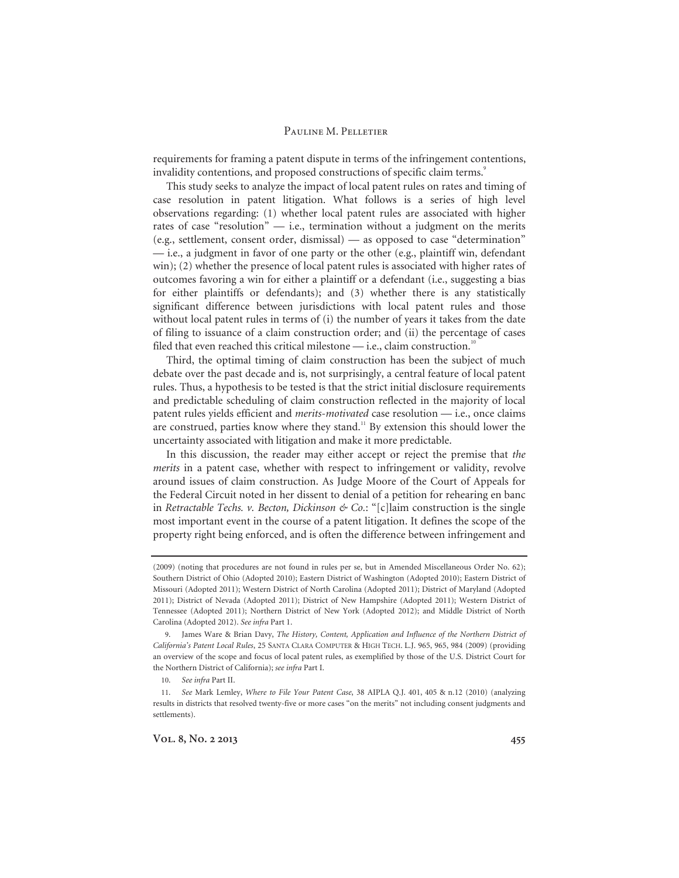requirements for framing a patent dispute in terms of the infringement contentions, invalidity contentions, and proposed constructions of specific claim terms.<sup>9</sup>

This study seeks to analyze the impact of local patent rules on rates and timing of case resolution in patent litigation. What follows is a series of high level observations regarding: (1) whether local patent rules are associated with higher rates of case "resolution" — i.e., termination without a judgment on the merits (e.g., settlement, consent order, dismissal) — as opposed to case "determination" — i.e., a judgment in favor of one party or the other (e.g., plaintiff win, defendant win); (2) whether the presence of local patent rules is associated with higher rates of outcomes favoring a win for either a plaintiff or a defendant (i.e., suggesting a bias for either plaintiffs or defendants); and (3) whether there is any statistically significant difference between jurisdictions with local patent rules and those without local patent rules in terms of (i) the number of years it takes from the date of filing to issuance of a claim construction order; and (ii) the percentage of cases filed that even reached this critical milestone  $-$  i.e., claim construction.<sup>10</sup>

Third, the optimal timing of claim construction has been the subject of much debate over the past decade and is, not surprisingly, a central feature of local patent rules. Thus, a hypothesis to be tested is that the strict initial disclosure requirements and predictable scheduling of claim construction reflected in the majority of local patent rules yields efficient and *merits-motivated* case resolution — i.e., once claims are construed, parties know where they stand.<sup>11</sup> By extension this should lower the uncertainty associated with litigation and make it more predictable.

In this discussion, the reader may either accept or reject the premise that *the merits* in a patent case, whether with respect to infringement or validity, revolve around issues of claim construction. As Judge Moore of the Court of Appeals for the Federal Circuit noted in her dissent to denial of a petition for rehearing en banc in *Retractable Techs. v. Becton, Dickinson & Co.*: "[c]laim construction is the single most important event in the course of a patent litigation. It defines the scope of the property right being enforced, and is often the difference between infringement and

<sup>(2009) (</sup>noting that procedures are not found in rules per se, but in Amended Miscellaneous Order No. 62); Southern District of Ohio (Adopted 2010); Eastern District of Washington (Adopted 2010); Eastern District of Missouri (Adopted 2011); Western District of North Carolina (Adopted 2011); District of Maryland (Adopted 2011); District of Nevada (Adopted 2011); District of New Hampshire (Adopted 2011); Western District of Tennessee (Adopted 2011); Northern District of New York (Adopted 2012); and Middle District of North Carolina (Adopted 2012). *See infra* Part 1.

<sup>9.</sup> James Ware & Brian Davy, *The History, Content, Application and Influence of the Northern District of California's Patent Local Rules*, 25 SANTA CLARA COMPUTER & HIGH TECH. L.J. 965, 965, 984 (2009) (providing an overview of the scope and focus of local patent rules, as exemplified by those of the U.S. District Court for the Northern District of California); *see infra* Part I.

<sup>10.</sup> *See infra* Part II.

<sup>11.</sup> *See* Mark Lemley, *Where to File Your Patent Case*, 38 AIPLA Q.J. 401, 405 & n.12 (2010) (analyzing results in districts that resolved twenty-five or more cases "on the merits" not including consent judgments and settlements).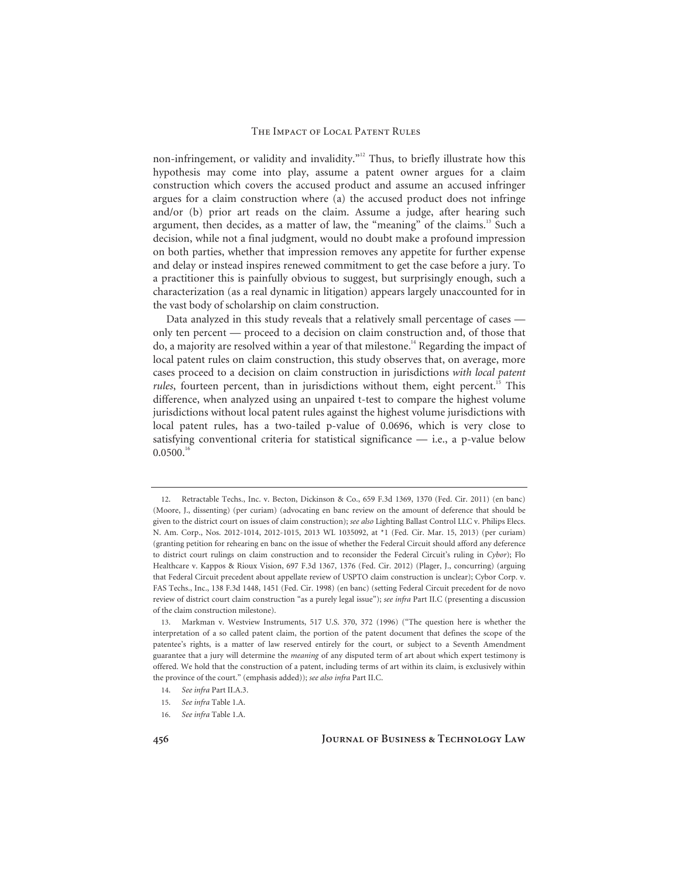non-infringement, or validity and invalidity."<sup>12</sup> Thus, to briefly illustrate how this hypothesis may come into play, assume a patent owner argues for a claim construction which covers the accused product and assume an accused infringer argues for a claim construction where (a) the accused product does not infringe and/or (b) prior art reads on the claim. Assume a judge, after hearing such argument, then decides, as a matter of law, the "meaning" of the claims.<sup>13</sup> Such a decision, while not a final judgment, would no doubt make a profound impression on both parties, whether that impression removes any appetite for further expense and delay or instead inspires renewed commitment to get the case before a jury. To a practitioner this is painfully obvious to suggest, but surprisingly enough, such a characterization (as a real dynamic in litigation) appears largely unaccounted for in the vast body of scholarship on claim construction.

Data analyzed in this study reveals that a relatively small percentage of cases only ten percent — proceed to a decision on claim construction and, of those that do, a majority are resolved within a year of that milestone.<sup>14</sup> Regarding the impact of local patent rules on claim construction, this study observes that, on average, more cases proceed to a decision on claim construction in jurisdictions *with local patent rules*, fourteen percent, than in jurisdictions without them, eight percent.<sup>15</sup> This difference, when analyzed using an unpaired t-test to compare the highest volume jurisdictions without local patent rules against the highest volume jurisdictions with local patent rules, has a two-tailed p-value of 0.0696, which is very close to satisfying conventional criteria for statistical significance — i.e., a p-value below  $0.0500.<sup>1</sup>$ 

<sup>12.</sup> Retractable Techs., Inc. v. Becton, Dickinson & Co., 659 F.3d 1369, 1370 (Fed. Cir. 2011) (en banc) (Moore, J., dissenting) (per curiam) (advocating en banc review on the amount of deference that should be given to the district court on issues of claim construction); *see also* Lighting Ballast Control LLC v. Philips Elecs. N. Am. Corp., Nos. 2012-1014, 2012-1015, 2013 WL 1035092, at \*1 (Fed. Cir. Mar. 15, 2013) (per curiam) (granting petition for rehearing en banc on the issue of whether the Federal Circuit should afford any deference to district court rulings on claim construction and to reconsider the Federal Circuit's ruling in *Cybor*); Flo Healthcare v. Kappos & Rioux Vision, 697 F.3d 1367, 1376 (Fed. Cir. 2012) (Plager, J., concurring) (arguing that Federal Circuit precedent about appellate review of USPTO claim construction is unclear); Cybor Corp. v. FAS Techs., Inc., 138 F.3d 1448, 1451 (Fed. Cir. 1998) (en banc) (setting Federal Circuit precedent for de novo review of district court claim construction "as a purely legal issue"); *see infra* Part II.C (presenting a discussion of the claim construction milestone).

<sup>13.</sup> Markman v. Westview Instruments, 517 U.S. 370, 372 (1996) ("The question here is whether the interpretation of a so called patent claim, the portion of the patent document that defines the scope of the patentee's rights, is a matter of law reserved entirely for the court, or subject to a Seventh Amendment guarantee that a jury will determine the *meaning* of any disputed term of art about which expert testimony is offered. We hold that the construction of a patent, including terms of art within its claim, is exclusively within the province of the court." (emphasis added)); *see also infra* Part II.C.

<sup>14.</sup> *See infra* Part II.A.3.

<sup>15.</sup> *See infra* Table 1.A.

<sup>16.</sup> *See infra* Table 1.A.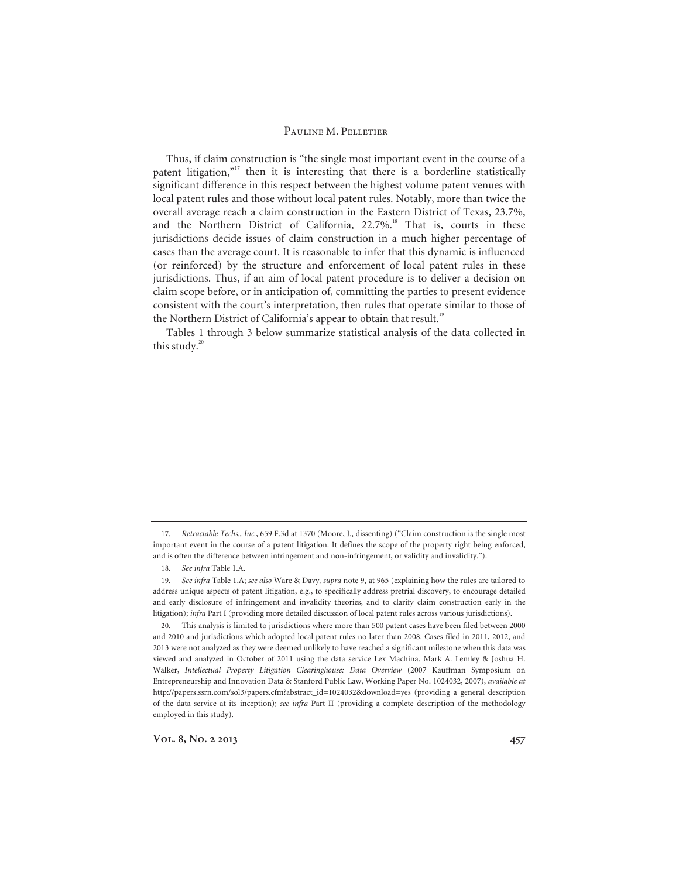Thus, if claim construction is "the single most important event in the course of a patent litigation,"<sup>17</sup> then it is interesting that there is a borderline statistically significant difference in this respect between the highest volume patent venues with local patent rules and those without local patent rules. Notably, more than twice the overall average reach a claim construction in the Eastern District of Texas, 23.7%, and the Northern District of California, 22.7%.<sup>18</sup> That is, courts in these jurisdictions decide issues of claim construction in a much higher percentage of cases than the average court. It is reasonable to infer that this dynamic is influenced (or reinforced) by the structure and enforcement of local patent rules in these jurisdictions. Thus, if an aim of local patent procedure is to deliver a decision on claim scope before, or in anticipation of, committing the parties to present evidence consistent with the court's interpretation, then rules that operate similar to those of the Northern District of California's appear to obtain that result.<sup>19</sup>

Tables 1 through 3 below summarize statistical analysis of the data collected in this study. $20$ 

<sup>17.</sup> *Retractable Techs., Inc.*, 659 F.3d at 1370 (Moore, J., dissenting) ("Claim construction is the single most important event in the course of a patent litigation. It defines the scope of the property right being enforced, and is often the difference between infringement and non-infringement, or validity and invalidity.").

<sup>18.</sup> *See infra* Table 1.A.

<sup>19.</sup> *See infra* Table 1.A; *see also* Ware & Davy*, supra* note 9, at 965 (explaining how the rules are tailored to address unique aspects of patent litigation, e.g., to specifically address pretrial discovery, to encourage detailed and early disclosure of infringement and invalidity theories, and to clarify claim construction early in the litigation); *infra* Part I (providing more detailed discussion of local patent rules across various jurisdictions).

<sup>20.</sup> This analysis is limited to jurisdictions where more than 500 patent cases have been filed between 2000 and 2010 and jurisdictions which adopted local patent rules no later than 2008. Cases filed in 2011, 2012, and 2013 were not analyzed as they were deemed unlikely to have reached a significant milestone when this data was viewed and analyzed in October of 2011 using the data service Lex Machina. Mark A. Lemley & Joshua H. Walker, *Intellectual Property Litigation Clearinghouse: Data Overview* (2007 Kauffman Symposium on Entrepreneurship and Innovation Data & Stanford Public Law, Working Paper No. 1024032, 2007), *available at* http://papers.ssrn.com/sol3/papers.cfm?abstract\_id=1024032&download=yes (providing a general description of the data service at its inception); *see infra* Part II (providing a complete description of the methodology employed in this study).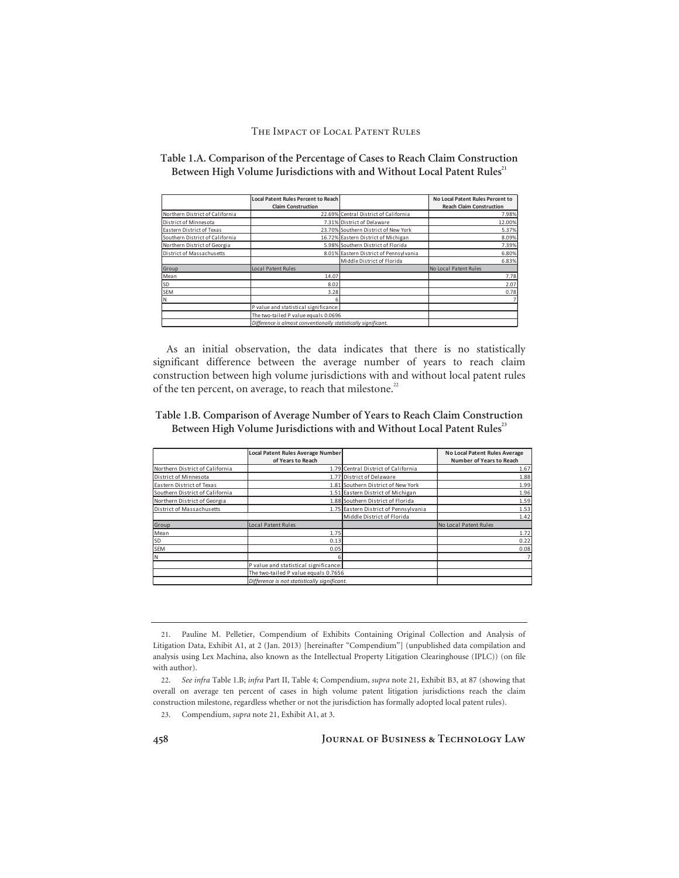| Table 1.A. Comparison of the Percentage of Cases to Reach Claim Construction        |  |
|-------------------------------------------------------------------------------------|--|
| Between High Volume Jurisdictions with and Without Local Patent Rules <sup>21</sup> |  |

|                                 | <b>Local Patent Rules Percent to Reach</b>                     |                                        | No Local Patent Rules Percent to |
|---------------------------------|----------------------------------------------------------------|----------------------------------------|----------------------------------|
|                                 | <b>Claim Construction</b>                                      |                                        | <b>Reach Claim Construction</b>  |
| Northern District of California |                                                                | 22.69% Central District of California  | 7.98%                            |
| District of Minnesota           |                                                                | 7.31% District of Delaware             |                                  |
| Eastern District of Texas       |                                                                | 23.70% Southern District of New York   | 5.37%                            |
| Southern District of California |                                                                | 16.72% Eastern District of Michigan    | 8.09%                            |
| Northern District of Georgia    |                                                                | 5.98% Southern District of Florida     | 7.39%                            |
| District of Massachusetts       |                                                                | 8.01% Eastern District of Pennsylvania | 6.80%                            |
|                                 |                                                                | Middle District of Florida             | 6.83%                            |
| Group                           | <b>Local Patent Rules</b>                                      |                                        | No Local Patent Rules            |
| Mean                            | 14.07                                                          |                                        | 7.78                             |
| <b>SD</b>                       | 8.02                                                           |                                        | 2.07                             |
| <b>SEM</b>                      |                                                                | 3.28                                   |                                  |
|                                 |                                                                |                                        | $\overline{7}$                   |
|                                 | P value and statistical significance:                          |                                        |                                  |
|                                 | The two-tailed P value equals 0.0696                           |                                        |                                  |
|                                 | Difference is almost conventionally statistically sianificant. |                                        |                                  |

As an initial observation, the data indicates that there is no statistically significant difference between the average number of years to reach claim construction between high volume jurisdictions with and without local patent rules of the ten percent, on average, to reach that milestone.<sup>22</sup>

### **Table 1.B. Comparison of Average Number of Years to Reach Claim Construction**  Between High Volume Jurisdictions with and Without Local Patent Rules<sup>23</sup>

|                                 | Local Patent Rules Average Number<br>of Years to Reach |                                       | No Local Patent Rules Average<br><b>Number of Years to Reach</b> |
|---------------------------------|--------------------------------------------------------|---------------------------------------|------------------------------------------------------------------|
| Northern District of California |                                                        | 1.79 Central District of California   | 1.67                                                             |
| District of Minnesota           | 1.77 District of Delaware                              |                                       | 1.88                                                             |
| Eastern District of Texas       |                                                        | 1.81 Southern District of New York    | 1.99                                                             |
| Southern District of California |                                                        | 1.51 Eastern District of Michigan     | 1.96                                                             |
| Northern District of Georgia    |                                                        | 1.88 Southern District of Florida     | 1.59                                                             |
| District of Massachusetts       |                                                        | 1.75 Eastern District of Pennsylvania | 1.53                                                             |
|                                 |                                                        | Middle District of Florida            | 1.42                                                             |
| Group                           | Local Patent Rules                                     |                                       | No Local Patent Rules                                            |
| Mean                            | 1.75                                                   |                                       | 1.72                                                             |
| SD                              | 0.13                                                   |                                       | 0.22                                                             |
| <b>SEM</b>                      | 0.05                                                   |                                       | 0.08                                                             |
| lΝ                              |                                                        |                                       |                                                                  |
|                                 | P value and statistical significance:                  |                                       |                                                                  |
|                                 | The two-tailed P value equals 0.7656                   |                                       |                                                                  |
|                                 | Difference is not statistically significant.           |                                       |                                                                  |

<sup>21.</sup> Pauline M. Pelletier, Compendium of Exhibits Containing Original Collection and Analysis of Litigation Data, Exhibit A1, at 2 (Jan. 2013) [hereinafter "Compendium"] (unpublished data compilation and analysis using Lex Machina, also known as the Intellectual Property Litigation Clearinghouse (IPLC)) (on file with author).

<sup>22.</sup> *See infra* Table 1.B; *infra* Part II, Table 4; Compendium, *supra* note 21, Exhibit B3, at 87 (showing that overall on average ten percent of cases in high volume patent litigation jurisdictions reach the claim construction milestone, regardless whether or not the jurisdiction has formally adopted local patent rules).

<sup>23.</sup> Compendium, *supra* note 21, Exhibit A1, at 3.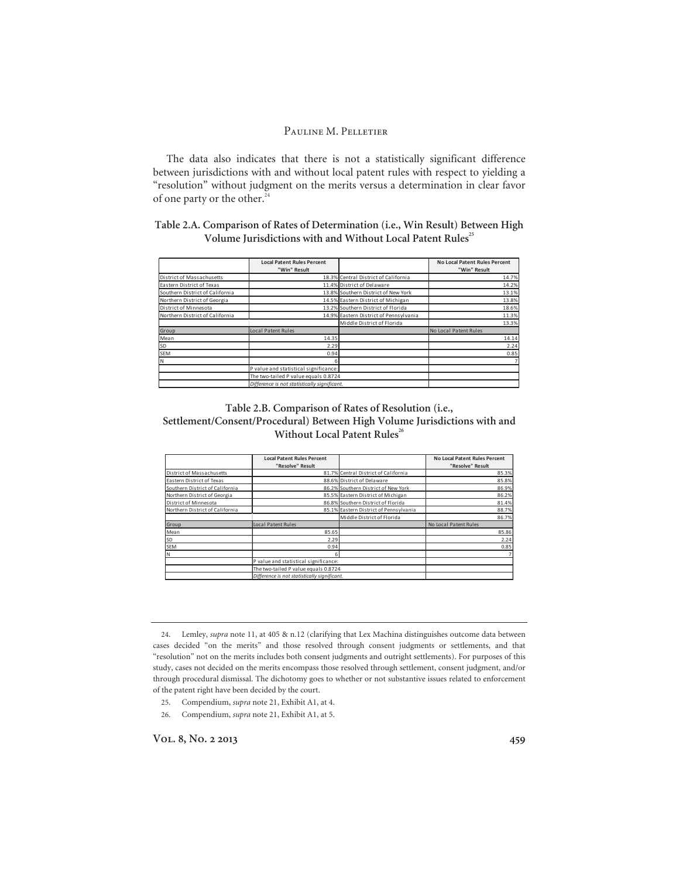The data also indicates that there is not a statistically significant difference between jurisdictions with and without local patent rules with respect to yielding a "resolution" without judgment on the merits versus a determination in clear favor of one party or the other.<sup>24</sup>

### **Table 2.A. Comparison of Rates of Determination (i.e., Win Result) Between High**  Volume Jurisdictions with and Without Local Patent Rules<sup>25</sup>

|                                 | <b>Local Patent Rules Percent</b>            |                                        | <b>No Local Patent Rules Percent</b> |
|---------------------------------|----------------------------------------------|----------------------------------------|--------------------------------------|
|                                 | "Win" Result                                 |                                        | "Win" Result                         |
| District of Massachusetts       |                                              | 18.3% Central District of California   | 14.7%                                |
| Eastern District of Texas       |                                              | 11.4% District of Delaware             | 14.2%                                |
| Southern District of California |                                              | 13.8% Southern District of New York    | 13.1%                                |
| Northern District of Georgia    |                                              | 14.5% Eastern District of Michigan     | 13.8%                                |
| District of Minnesota           |                                              | 13.2% Southern District of Florida     | 18.6%                                |
| Northern District of California |                                              | 14.9% Eastern District of Pennsylvania | 11.3%                                |
|                                 |                                              | Middle District of Florida             | 13.3%                                |
| Group                           | Local Patent Rules                           |                                        | No Local Patent Rules                |
| Mean                            | 14.35                                        |                                        | 14.14                                |
| SD.                             | 2.29                                         |                                        | 2.24                                 |
| <b>SEM</b>                      | 0.94                                         |                                        | 0.85                                 |
| lΝ                              | 6                                            |                                        | 7                                    |
|                                 | P value and statistical significance:        |                                        |                                      |
|                                 | The two-tailed P value equals 0.8724         |                                        |                                      |
|                                 | Difference is not statistically sianificant. |                                        |                                      |

### **Table 2.B. Comparison of Rates of Resolution (i.e., Settlement/Consent/Procedural) Between High Volume Jurisdictions with and Without Local Patent Rules<sup>26</sup>**

|                                 | <b>Local Patent Rules Percent</b><br>"Resolve" Result |                                        | <b>No Local Patent Rules Percent</b><br>"Resolve" Result |
|---------------------------------|-------------------------------------------------------|----------------------------------------|----------------------------------------------------------|
| District of Massachusetts       |                                                       | 81.7% Central District of California   | 85.3%                                                    |
| Eastern District of Texas       | 88.6% District of Delaware                            |                                        | 85.8%                                                    |
| Southern District of California |                                                       | 86.2% Southern District of New York    | 86.9%                                                    |
| Northern District of Georgia    |                                                       | 85.5% Eastern District of Michigan     | 86.2%                                                    |
| District of Minnesota           |                                                       | 86.8% Southern District of Florida     | 81.4%                                                    |
| Northern District of California |                                                       | 85.1% Eastern District of Pennsylvania | 88.7%                                                    |
|                                 |                                                       | Middle District of Florida             | 86.7%                                                    |
| Group                           | Local Patent Rules                                    |                                        | No Local Patent Rules                                    |
| Mean                            | 85.65                                                 |                                        | 85.86                                                    |
| lsd.                            | 2.29                                                  |                                        | 2.24                                                     |
| <b>SEM</b>                      | 0.94                                                  |                                        | 0.85                                                     |
| ΙN                              | 6                                                     |                                        | $\overline{7}$                                           |
|                                 | P value and statistical significance:                 |                                        |                                                          |
|                                 | The two-tailed P value equals 0.8724                  |                                        |                                                          |
|                                 | Difference is not statistically sianificant.          |                                        |                                                          |

<sup>24.</sup> Lemley, *supra* note 11, at 405 & n.12 (clarifying that Lex Machina distinguishes outcome data between cases decided "on the merits" and those resolved through consent judgments or settlements, and that "resolution" not on the merits includes both consent judgments and outright settlements). For purposes of this study, cases not decided on the merits encompass those resolved through settlement, consent judgment, and/or through procedural dismissal. The dichotomy goes to whether or not substantive issues related to enforcement of the patent right have been decided by the court.

<sup>25.</sup> Compendium, *supra* note 21, Exhibit A1, at 4.

<sup>26.</sup> Compendium, *supra* note 21, Exhibit A1, at 5.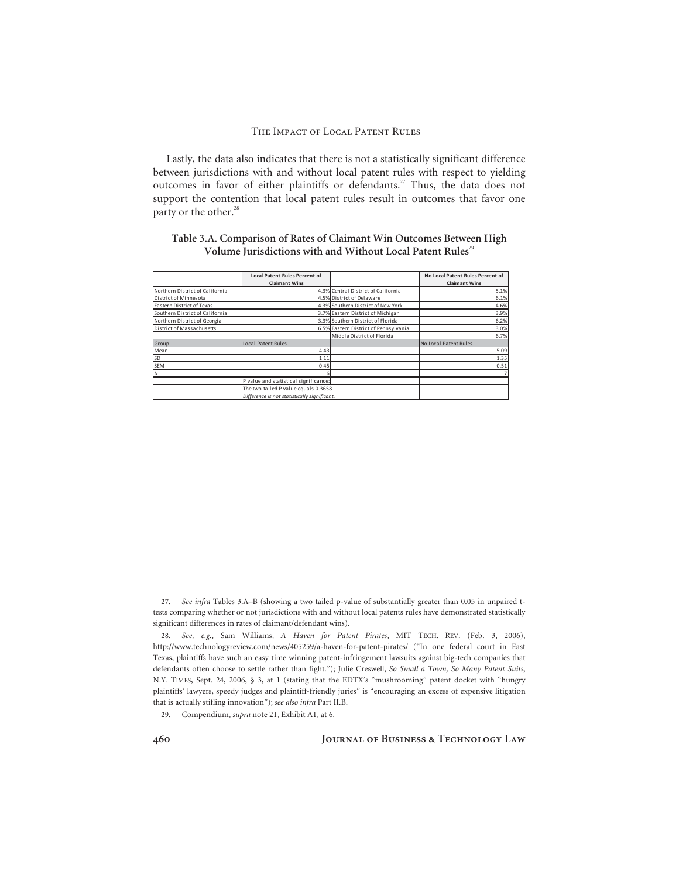Lastly, the data also indicates that there is not a statistically significant difference between jurisdictions with and without local patent rules with respect to yielding outcomes in favor of either plaintiffs or defendants.<sup>27</sup> Thus, the data does not support the contention that local patent rules result in outcomes that favor one party or the other.<sup>28</sup>

### **Table 3.A. Comparison of Rates of Claimant Win Outcomes Between High**  Volume Jurisdictions with and Without Local Patent Rules<sup>29</sup>

|                                 | <b>Local Patent Rules Percent of</b>         |                                       | No Local Patent Rules Percent of |
|---------------------------------|----------------------------------------------|---------------------------------------|----------------------------------|
|                                 | <b>Claimant Wins</b>                         |                                       | <b>Claimant Wins</b>             |
| Northern District of California |                                              | 4.3% Central District of California   | 5.1%                             |
| District of Minnesota           |                                              | 4.5% District of Delaware             | 6.1%                             |
| Eastern District of Texas       |                                              | 4.3% Southern District of New York    | 4.6%                             |
| Southern District of California |                                              | 3.7% Eastern District of Michigan     | 3.9%                             |
| Northern District of Georgia    |                                              | 3.3% Southern District of Florida     | 6.2%                             |
| District of Massachusetts       |                                              | 6.5% Eastern District of Pennsylvania | 3.0%                             |
|                                 |                                              | Middle District of Florida            | 6.7%                             |
| Group                           | Local Patent Rules                           |                                       | No Local Patent Rules            |
| Mean                            | 4.43                                         |                                       | 5.09                             |
| <b>SD</b>                       | 1.11                                         |                                       | 1.35                             |
| <b>SEM</b>                      | 0.45                                         |                                       | 0.51                             |
| lΝ                              |                                              |                                       | $\overline{7}$                   |
|                                 | P value and statistical significance:        |                                       |                                  |
|                                 | The two-tailed P value equals 0.3658         |                                       |                                  |
|                                 | Difference is not statistically significant. |                                       |                                  |

<sup>27.</sup> *See infra* Tables 3.A–B (showing a two tailed p-value of substantially greater than 0.05 in unpaired ttests comparing whether or not jurisdictions with and without local patents rules have demonstrated statistically significant differences in rates of claimant/defendant wins).

<sup>28.</sup> *See, e.g.*, Sam Williams, *A Haven for Patent Pirates*, MIT TECH. REV. (Feb. 3, 2006), http://www.technologyreview.com/news/405259/a-haven-for-patent-pirates/ ("In one federal court in East Texas, plaintiffs have such an easy time winning patent-infringement lawsuits against big-tech companies that defendants often choose to settle rather than fight."); Julie Creswell, *So Small a Town, So Many Patent Suits*, N.Y. TIMES, Sept. 24, 2006, § 3, at 1 (stating that the EDTX's "mushrooming" patent docket with "hungry plaintiffs' lawyers, speedy judges and plaintiff-friendly juries" is "encouraging an excess of expensive litigation that is actually stifling innovation"); *see also infra* Part II.B.

<sup>29.</sup> Compendium, *supra* note 21, Exhibit A1, at 6.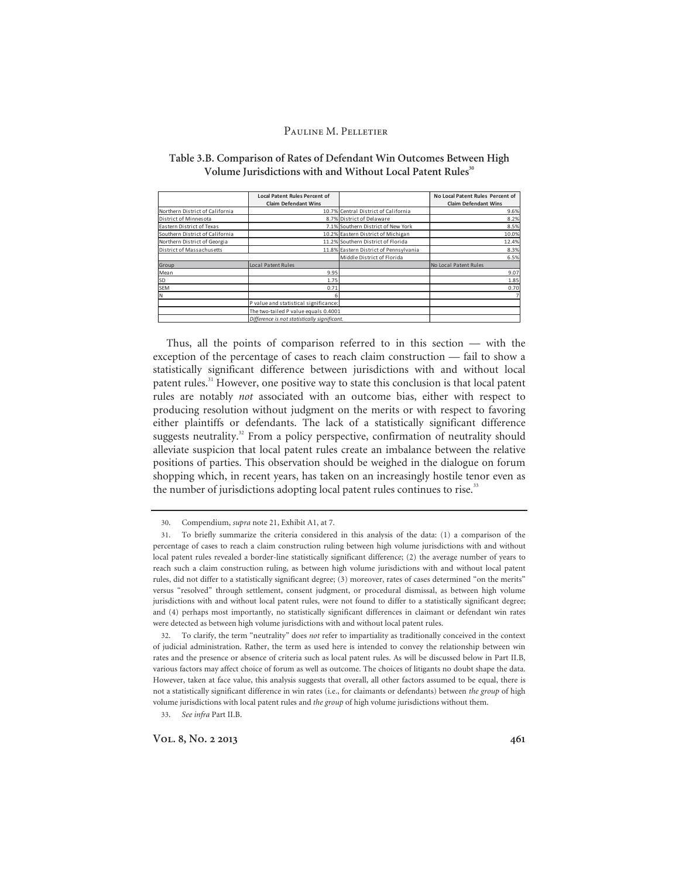|                                 | <b>Local Patent Rules Percent of</b>         |                                        | No Local Patent Rules Percent of |
|---------------------------------|----------------------------------------------|----------------------------------------|----------------------------------|
|                                 | <b>Claim Defendant Wins</b>                  |                                        | <b>Claim Defendant Wins</b>      |
| Northern District of California |                                              | 10.7% Central District of California   | 9.6%                             |
| District of Minnesota           |                                              | 8.7% District of Delaware              | 8.2%                             |
| Eastern District of Texas       |                                              | 7.1% Southern District of New York     | 8.5%                             |
| Southern District of California |                                              | 10.2% Eastern District of Michigan     | 10.0%                            |
| Northern District of Georgia    |                                              | 11.2% Southern District of Florida     | 12.4%                            |
| District of Massachusetts       |                                              | 11.8% Eastern District of Pennsylvania | 8.3%                             |
|                                 |                                              | Middle District of Florida             | 6.5%                             |
| Group                           | Local Patent Rules                           |                                        | No Local Patent Rules            |
| Mean                            | 9.95                                         |                                        | 9.07                             |
| SD                              | 1.75                                         |                                        | 1.85                             |
| <b>SEM</b>                      | 0.71                                         |                                        | 0.70                             |
| ΙN                              | 6                                            |                                        |                                  |
|                                 | P value and statistical significance:        |                                        |                                  |
|                                 | The two-tailed P value equals 0.4001         |                                        |                                  |
|                                 | Difference is not statistically significant. |                                        |                                  |

### **Table 3.B. Comparison of Rates of Defendant Win Outcomes Between High**  Volume Jurisdictions with and Without Local Patent Rules<sup>30</sup>

Thus, all the points of comparison referred to in this section — with the exception of the percentage of cases to reach claim construction — fail to show a statistically significant difference between jurisdictions with and without local patent rules.<sup>31</sup> However, one positive way to state this conclusion is that local patent rules are notably *not* associated with an outcome bias, either with respect to producing resolution without judgment on the merits or with respect to favoring either plaintiffs or defendants. The lack of a statistically significant difference suggests neutrality.<sup>32</sup> From a policy perspective, confirmation of neutrality should alleviate suspicion that local patent rules create an imbalance between the relative positions of parties. This observation should be weighed in the dialogue on forum shopping which, in recent years, has taken on an increasingly hostile tenor even as the number of jurisdictions adopting local patent rules continues to rise.<sup>33</sup>

33. *See infra* Part II.B.

Vol. 8, No. 2 2013 **461** 

<sup>30.</sup> Compendium, *supra* note 21, Exhibit A1, at 7.

<sup>31.</sup> To briefly summarize the criteria considered in this analysis of the data: (1) a comparison of the percentage of cases to reach a claim construction ruling between high volume jurisdictions with and without local patent rules revealed a border-line statistically significant difference; (2) the average number of years to reach such a claim construction ruling, as between high volume jurisdictions with and without local patent rules, did not differ to a statistically significant degree; (3) moreover, rates of cases determined "on the merits" versus "resolved" through settlement, consent judgment, or procedural dismissal, as between high volume jurisdictions with and without local patent rules, were not found to differ to a statistically significant degree; and (4) perhaps most importantly, no statistically significant differences in claimant or defendant win rates were detected as between high volume jurisdictions with and without local patent rules.

<sup>32.</sup> To clarify, the term "neutrality" does *not* refer to impartiality as traditionally conceived in the context of judicial administration. Rather, the term as used here is intended to convey the relationship between win rates and the presence or absence of criteria such as local patent rules. As will be discussed below in Part II.B, various factors may affect choice of forum as well as outcome. The choices of litigants no doubt shape the data. However, taken at face value, this analysis suggests that overall, all other factors assumed to be equal, there is not a statistically significant difference in win rates (i.e., for claimants or defendants) between *the group* of high volume jurisdictions with local patent rules and *the group* of high volume jurisdictions without them.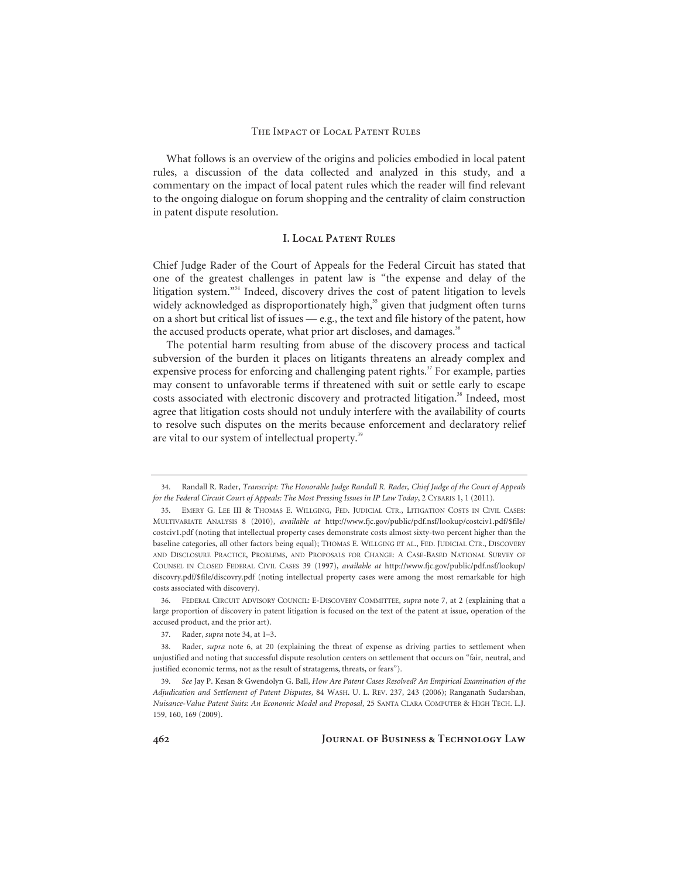What follows is an overview of the origins and policies embodied in local patent rules, a discussion of the data collected and analyzed in this study, and a commentary on the impact of local patent rules which the reader will find relevant to the ongoing dialogue on forum shopping and the centrality of claim construction in patent dispute resolution.

### **I. Local Patent Rules**

Chief Judge Rader of the Court of Appeals for the Federal Circuit has stated that one of the greatest challenges in patent law is "the expense and delay of the litigation system."<sup>34</sup> Indeed, discovery drives the cost of patent litigation to levels widely acknowledged as disproportionately high,<sup>35</sup> given that judgment often turns on a short but critical list of issues — e.g., the text and file history of the patent, how the accused products operate, what prior art discloses, and damages.<sup>36</sup>

The potential harm resulting from abuse of the discovery process and tactical subversion of the burden it places on litigants threatens an already complex and expensive process for enforcing and challenging patent rights. $37$  For example, parties may consent to unfavorable terms if threatened with suit or settle early to escape costs associated with electronic discovery and protracted litigation.<sup>38</sup> Indeed, most agree that litigation costs should not unduly interfere with the availability of courts to resolve such disputes on the merits because enforcement and declaratory relief are vital to our system of intellectual property.<sup>39</sup>

<sup>34.</sup> Randall R. Rader, *Transcript: The Honorable Judge Randall R. Rader, Chief Judge of the Court of Appeals for the Federal Circuit Court of Appeals: The Most Pressing Issues in IP Law Today*, 2 CYBARIS 1, 1 (2011).

<sup>35.</sup> EMERY G. LEE III & THOMAS E. WILLGING, FED. JUDICIAL CTR., LITIGATION COSTS IN CIVIL CASES: MULTIVARIATE ANALYSIS 8 (2010), *available at* http://www.fjc.gov/public/pdf.nsf/lookup/costciv1.pdf/\$file/ costciv1.pdf (noting that intellectual property cases demonstrate costs almost sixty-two percent higher than the baseline categories, all other factors being equal); THOMAS E. WILLGING ET AL., FED. JUDICIAL CTR., DISCOVERY AND DISCLOSURE PRACTICE, PROBLEMS, AND PROPOSALS FOR CHANGE: A CASE-BASED NATIONAL SURVEY OF COUNSEL IN CLOSED FEDERAL CIVIL CASES 39 (1997), *available at* http://www.fjc.gov/public/pdf.nsf/lookup/ discovry.pdf/\$file/discovry.pdf (noting intellectual property cases were among the most remarkable for high costs associated with discovery).

<sup>36.</sup> FEDERAL CIRCUIT ADVISORY COUNCIL: E-DISCOVERY COMMITTEE, *supra* note 7, at 2 (explaining that a large proportion of discovery in patent litigation is focused on the text of the patent at issue, operation of the accused product, and the prior art).

<sup>37.</sup> Rader, *supra* note 34, at 1–3.

<sup>38.</sup> Rader, *supra* note 6, at 20 (explaining the threat of expense as driving parties to settlement when unjustified and noting that successful dispute resolution centers on settlement that occurs on "fair, neutral, and justified economic terms, not as the result of stratagems, threats, or fears").

<sup>39.</sup> *See* Jay P. Kesan & Gwendolyn G. Ball, *How Are Patent Cases Resolved? An Empirical Examination of the Adjudication and Settlement of Patent Disputes*, 84 WASH. U. L. REV. 237, 243 (2006); Ranganath Sudarshan, *Nuisance-Value Patent Suits: An Economic Model and Proposal*, 25 SANTA CLARA COMPUTER & HIGH TECH. L.J. 159, 160, 169 (2009).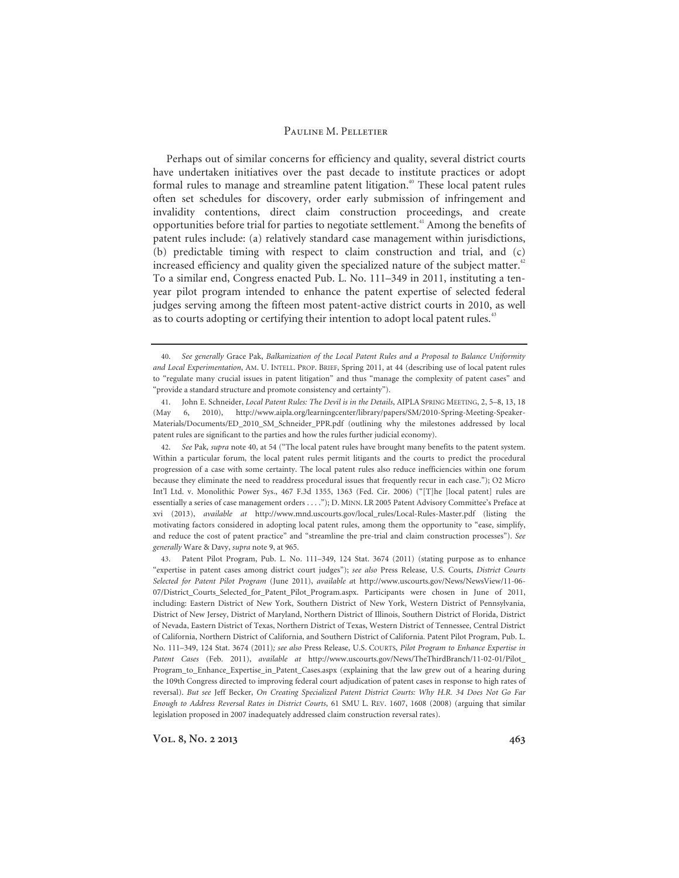Perhaps out of similar concerns for efficiency and quality, several district courts have undertaken initiatives over the past decade to institute practices or adopt formal rules to manage and streamline patent litigation.<sup>40</sup> These local patent rules often set schedules for discovery, order early submission of infringement and invalidity contentions, direct claim construction proceedings, and create opportunities before trial for parties to negotiate settlement.41 Among the benefits of patent rules include: (a) relatively standard case management within jurisdictions, (b) predictable timing with respect to claim construction and trial, and (c) increased efficiency and quality given the specialized nature of the subject matter.<sup>42</sup> To a similar end, Congress enacted Pub. L. No. 111–349 in 2011, instituting a tenyear pilot program intended to enhance the patent expertise of selected federal judges serving among the fifteen most patent-active district courts in 2010, as well as to courts adopting or certifying their intention to adopt local patent rules.<sup>43</sup>

<sup>40.</sup> *See generally* Grace Pak, *Balkanization of the Local Patent Rules and a Proposal to Balance Uniformity and Local Experimentation*, AM. U. INTELL. PROP. BRIEF, Spring 2011, at 44 (describing use of local patent rules to "regulate many crucial issues in patent litigation" and thus "manage the complexity of patent cases" and "provide a standard structure and promote consistency and certainty").

<sup>41.</sup> John E. Schneider, *Local Patent Rules: The Devil is in the Details*, AIPLA SPRING MEETING, 2, 5–8, 13, 18 (May 6, 2010), http://www.aipla.org/learningcenter/library/papers/SM/2010-Spring-Meeting-Speaker-Materials/Documents/ED\_2010\_SM\_Schneider\_PPR.pdf (outlining why the milestones addressed by local patent rules are significant to the parties and how the rules further judicial economy).

<sup>42.</sup> *See* Pak*, supra* note 40, at 54 ("The local patent rules have brought many benefits to the patent system. Within a particular forum, the local patent rules permit litigants and the courts to predict the procedural progression of a case with some certainty. The local patent rules also reduce inefficiencies within one forum because they eliminate the need to readdress procedural issues that frequently recur in each case."); O2 Micro Int'l Ltd. v. Monolithic Power Sys., 467 F.3d 1355, 1363 (Fed. Cir. 2006) ("[T]he [local patent] rules are essentially a series of case management orders . . . ."); D. MINN. LR 2005 Patent Advisory Committee's Preface at xvi (2013), *available at* http://www.mnd.uscourts.gov/local\_rules/Local-Rules-Master.pdf (listing the motivating factors considered in adopting local patent rules, among them the opportunity to "ease, simplify, and reduce the cost of patent practice" and "streamline the pre-trial and claim construction processes"). *See generally* Ware & Davy, *supra* note 9, at 965.

<sup>43.</sup> Patent Pilot Program, Pub. L. No. 111–349, 124 Stat. 3674 (2011) (stating purpose as to enhance "expertise in patent cases among district court judges"); *see also* Press Release, U.S. Courts, *District Courts Selected for Patent Pilot Program* (June 2011), *available a*t http://www.uscourts.gov/News/NewsView/11-06- 07/District\_Courts\_Selected\_for\_Patent\_Pilot\_Program.aspx. Participants were chosen in June of 2011, including: Eastern District of New York, Southern District of New York, Western District of Pennsylvania, District of New Jersey, District of Maryland, Northern District of Illinois, Southern District of Florida, District of Nevada, Eastern District of Texas, Northern District of Texas, Western District of Tennessee, Central District of California, Northern District of California, and Southern District of California. Patent Pilot Program, Pub. L. No. 111–349, 124 Stat. 3674 (2011)*; see also* Press Release, U.S. COURTS, *Pilot Program to Enhance Expertise in Patent Cases* (Feb. 2011), *available at* http://www.uscourts.gov/News/TheThirdBranch/11-02-01/Pilot\_ Program\_to\_Enhance\_Expertise\_in\_Patent\_Cases.aspx (explaining that the law grew out of a hearing during the 109th Congress directed to improving federal court adjudication of patent cases in response to high rates of reversal). *But see* Jeff Becker, *On Creating Specialized Patent District Courts: Why H.R. 34 Does Not Go Far Enough to Address Reversal Rates in District Courts*, 61 SMU L. REV. 1607, 1608 (2008) (arguing that similar legislation proposed in 2007 inadequately addressed claim construction reversal rates).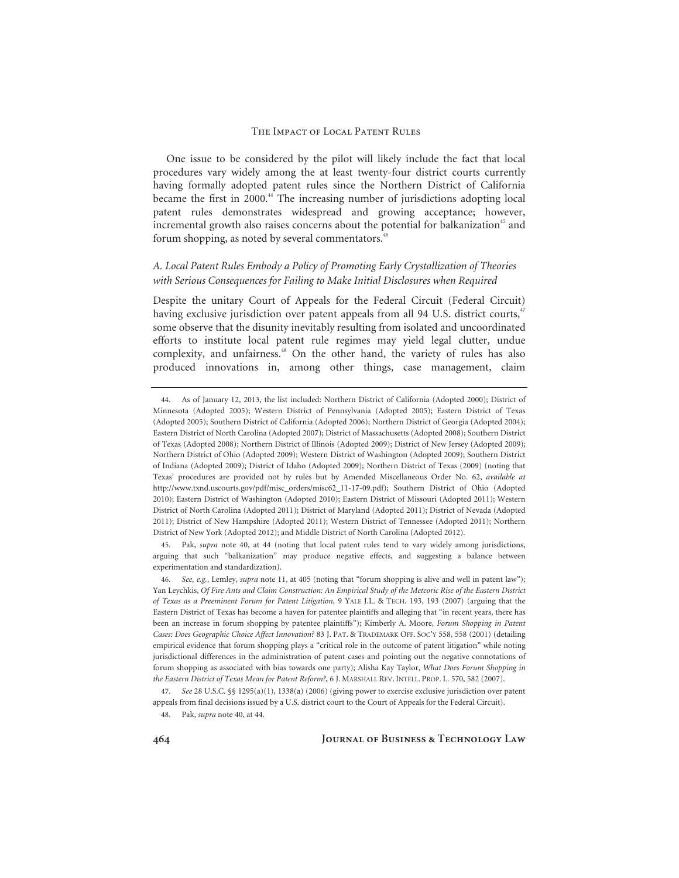One issue to be considered by the pilot will likely include the fact that local procedures vary widely among the at least twenty-four district courts currently having formally adopted patent rules since the Northern District of California became the first in 2000.44 The increasing number of jurisdictions adopting local patent rules demonstrates widespread and growing acceptance; however, incremental growth also raises concerns about the potential for balkanization<sup>45</sup> and forum shopping, as noted by several commentators.<sup>46</sup>

### *A. Local Patent Rules Embody a Policy of Promoting Early Crystallization of Theories with Serious Consequences for Failing to Make Initial Disclosures when Required*

Despite the unitary Court of Appeals for the Federal Circuit (Federal Circuit) having exclusive jurisdiction over patent appeals from all 94 U.S. district courts,<sup>47</sup> some observe that the disunity inevitably resulting from isolated and uncoordinated efforts to institute local patent rule regimes may yield legal clutter, undue complexity, and unfairness.<sup>48</sup> On the other hand, the variety of rules has also produced innovations in, among other things, case management, claim

45. Pak, *supra* note 40, at 44 (noting that local patent rules tend to vary widely among jurisdictions, arguing that such "balkanization" may produce negative effects, and suggesting a balance between experimentation and standardization).

47. *See* 28 U.S.C. §§ 1295(a)(1), 1338(a) (2006) (giving power to exercise exclusive jurisdiction over patent appeals from final decisions issued by a U.S. district court to the Court of Appeals for the Federal Circuit).

48. Pak, *supra* note 40, at 44.

**464 Journal of Business & Technology Law** 

<sup>44.</sup> As of January 12, 2013, the list included: Northern District of California (Adopted 2000); District of Minnesota (Adopted 2005); Western District of Pennsylvania (Adopted 2005); Eastern District of Texas (Adopted 2005); Southern District of California (Adopted 2006); Northern District of Georgia (Adopted 2004); Eastern District of North Carolina (Adopted 2007); District of Massachusetts (Adopted 2008); Southern District of Texas (Adopted 2008); Northern District of Illinois (Adopted 2009); District of New Jersey (Adopted 2009); Northern District of Ohio (Adopted 2009); Western District of Washington (Adopted 2009); Southern District of Indiana (Adopted 2009); District of Idaho (Adopted 2009); Northern District of Texas (2009) (noting that Texas' procedures are provided not by rules but by Amended Miscellaneous Order No. 62, *available at*  http://www.txnd.uscourts.gov/pdf/misc\_orders/misc62\_11-17-09.pdf); Southern District of Ohio (Adopted 2010); Eastern District of Washington (Adopted 2010); Eastern District of Missouri (Adopted 2011); Western District of North Carolina (Adopted 2011); District of Maryland (Adopted 2011); District of Nevada (Adopted 2011); District of New Hampshire (Adopted 2011); Western District of Tennessee (Adopted 2011); Northern District of New York (Adopted 2012); and Middle District of North Carolina (Adopted 2012).

<sup>46.</sup> *See, e.g.*, Lemley, *supra* note 11, at 405 (noting that "forum shopping is alive and well in patent law"); Yan Leychkis, *Of Fire Ants and Claim Construction: An Empirical Study of the Meteoric Rise of the Eastern District of Texas as a Preeminent Forum for Patent Litigation*, 9 YALE J.L. & TECH. 193, 193 (2007) (arguing that the Eastern District of Texas has become a haven for patentee plaintiffs and alleging that "in recent years, there has been an increase in forum shopping by patentee plaintiffs"); Kimberly A. Moore, *Forum Shopping in Patent Cases: Does Geographic Choice Affect Innovation?* 83 J. PAT. & TRADEMARK OFF. SOC'Y 558, 558 (2001) (detailing empirical evidence that forum shopping plays a "critical role in the outcome of patent litigation" while noting jurisdictional differences in the administration of patent cases and pointing out the negative connotations of forum shopping as associated with bias towards one party); Alisha Kay Taylor, *What Does Forum Shopping in the Eastern District of Texas Mean for Patent Reform?*, 6 J. MARSHALL REV. INTELL. PROP. L. 570, 582 (2007).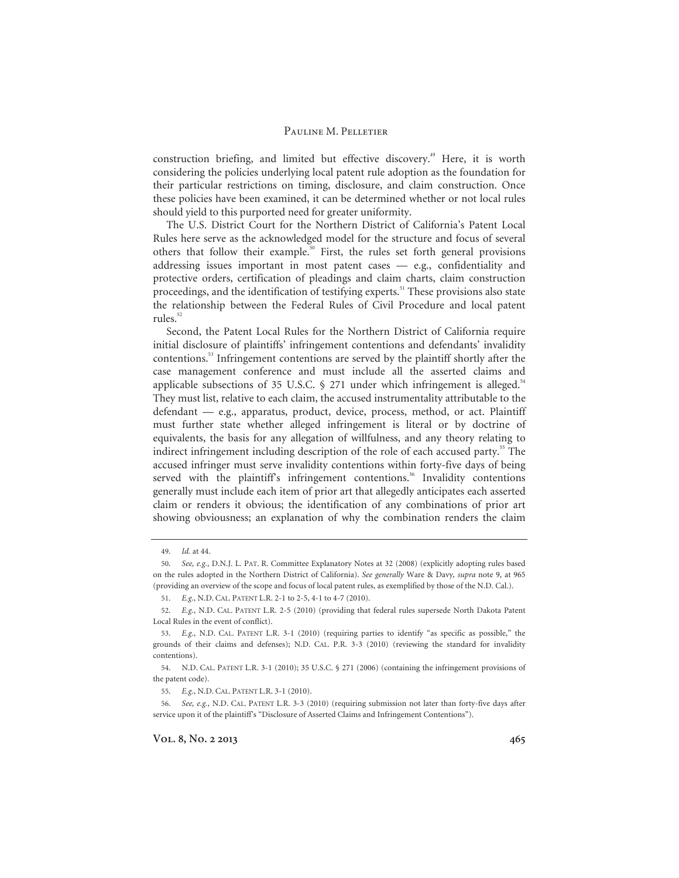construction briefing, and limited but effective discovery.<sup>49</sup> Here, it is worth considering the policies underlying local patent rule adoption as the foundation for their particular restrictions on timing, disclosure, and claim construction. Once these policies have been examined, it can be determined whether or not local rules should yield to this purported need for greater uniformity.

The U.S. District Court for the Northern District of California's Patent Local Rules here serve as the acknowledged model for the structure and focus of several others that follow their example.<sup>50</sup> First, the rules set forth general provisions addressing issues important in most patent cases — e.g., confidentiality and protective orders, certification of pleadings and claim charts, claim construction proceedings, and the identification of testifying experts.<sup>51</sup> These provisions also state the relationship between the Federal Rules of Civil Procedure and local patent rules. $52$ 

Second, the Patent Local Rules for the Northern District of California require initial disclosure of plaintiffs' infringement contentions and defendants' invalidity contentions.53 Infringement contentions are served by the plaintiff shortly after the case management conference and must include all the asserted claims and applicable subsections of 35 U.S.C.  $\frac{6}{5}$  271 under which infringement is alleged.<sup>54</sup> They must list, relative to each claim, the accused instrumentality attributable to the defendant — e.g., apparatus, product, device, process, method, or act. Plaintiff must further state whether alleged infringement is literal or by doctrine of equivalents, the basis for any allegation of willfulness, and any theory relating to indirect infringement including description of the role of each accused party.<sup>55</sup> The accused infringer must serve invalidity contentions within forty-five days of being served with the plaintiff's infringement contentions.<sup>56</sup> Invalidity contentions generally must include each item of prior art that allegedly anticipates each asserted claim or renders it obvious; the identification of any combinations of prior art showing obviousness; an explanation of why the combination renders the claim

<sup>49.</sup> *Id.* at 44.

<sup>50.</sup> *See, e.g.*, D.N.J. L. PAT. R. Committee Explanatory Notes at 32 (2008) (explicitly adopting rules based on the rules adopted in the Northern District of California). *See generally* Ware & Davy*, supra* note 9, at 965 (providing an overview of the scope and focus of local patent rules, as exemplified by those of the N.D. Cal.).

<sup>51.</sup> *E.g.*, N.D. CAL. PATENT L.R. 2-1 to 2-5, 4-1 to 4-7 (2010).

<sup>52.</sup> *E.g.*, N.D. CAL. PATENT L.R. 2-5 (2010) (providing that federal rules supersede North Dakota Patent Local Rules in the event of conflict).

<sup>53.</sup> *E.g.*, N.D. CAL. PATENT L.R. 3-1 (2010) (requiring parties to identify "as specific as possible," the grounds of their claims and defenses); N.D. CAL. P.R. 3-3 (2010) (reviewing the standard for invalidity contentions).

<sup>54.</sup> N.D. CAL. PATENT L.R. 3-1 (2010); 35 U.S.C. § 271 (2006) (containing the infringement provisions of the patent code).

<sup>55.</sup> *E.g.*, N.D. CAL. PATENT L.R. 3-1 (2010).

<sup>56.</sup> *See, e.g.*, N.D. CAL. PATENT L.R. 3-3 (2010) (requiring submission not later than forty-five days after service upon it of the plaintiff's "Disclosure of Asserted Claims and Infringement Contentions").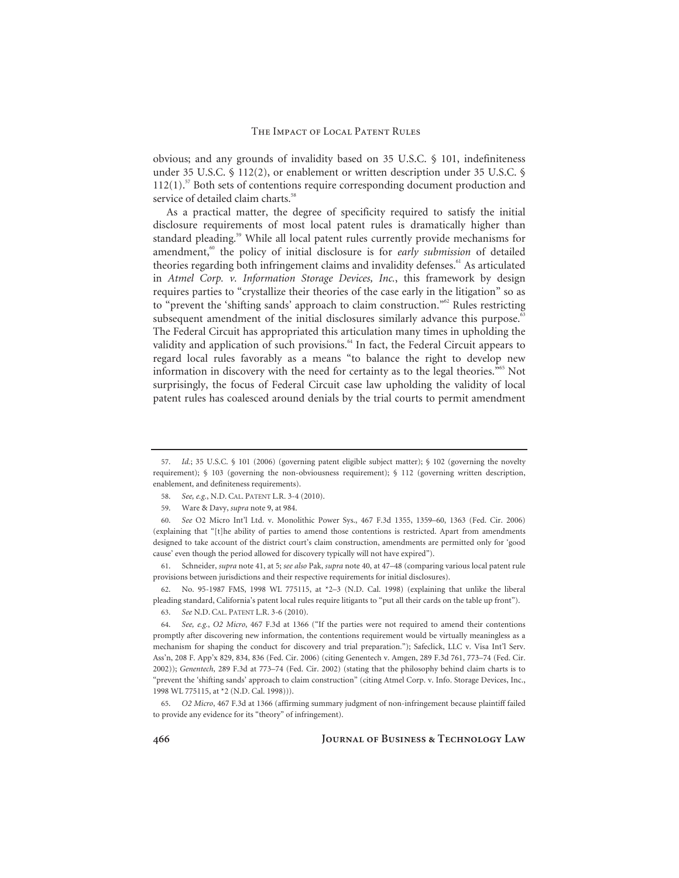obvious; and any grounds of invalidity based on 35 U.S.C. § 101, indefiniteness under 35 U.S.C. § 112(2), or enablement or written description under 35 U.S.C. §  $112(1)$ .<sup>57</sup> Both sets of contentions require corresponding document production and service of detailed claim charts.<sup>58</sup>

As a practical matter, the degree of specificity required to satisfy the initial disclosure requirements of most local patent rules is dramatically higher than standard pleading.<sup>59</sup> While all local patent rules currently provide mechanisms for amendment,<sup>60</sup> the policy of initial disclosure is for *early submission* of detailed theories regarding both infringement claims and invalidity defenses.<sup>61</sup> As articulated in *Atmel Corp. v. Information Storage Devices, Inc.*, this framework by design requires parties to "crystallize their theories of the case early in the litigation" so as to "prevent the 'shifting sands' approach to claim construction."<sup>62</sup> Rules restricting subsequent amendment of the initial disclosures similarly advance this purpose.<sup>63</sup> The Federal Circuit has appropriated this articulation many times in upholding the validity and application of such provisions.<sup>64</sup> In fact, the Federal Circuit appears to regard local rules favorably as a means "to balance the right to develop new information in discovery with the need for certainty as to the legal theories."65 Not surprisingly, the focus of Federal Circuit case law upholding the validity of local patent rules has coalesced around denials by the trial courts to permit amendment

61. Schneider, *supra* note 41, at 5; *see also* Pak, *supra* note 40, at 47–48 (comparing various local patent rule provisions between jurisdictions and their respective requirements for initial disclosures).

62. No. 95-1987 FMS, 1998 WL 775115, at \*2–3 (N.D. Cal. 1998) (explaining that unlike the liberal pleading standard, California's patent local rules require litigants to "put all their cards on the table up front").

63. *See* N.D. CAL. PATENT L.R. 3-6 (2010).

<sup>57.</sup> *Id.*; 35 U.S.C. § 101 (2006) (governing patent eligible subject matter); § 102 (governing the novelty requirement); § 103 (governing the non-obviousness requirement); § 112 (governing written description, enablement, and definiteness requirements).

<sup>58.</sup> *See, e.g.*, N.D. CAL. PATENT L.R. 3-4 (2010).

<sup>59.</sup> Ware & Davy, *supra* note 9, at 984.

<sup>60.</sup> *See* O2 Micro Int'l Ltd. v. Monolithic Power Sys., 467 F.3d 1355, 1359–60, 1363 (Fed. Cir. 2006) (explaining that "[t]he ability of parties to amend those contentions is restricted. Apart from amendments designed to take account of the district court's claim construction, amendments are permitted only for 'good cause' even though the period allowed for discovery typically will not have expired").

<sup>64.</sup> *See, e.g.*, *O2 Micro*, 467 F.3d at 1366 ("If the parties were not required to amend their contentions promptly after discovering new information, the contentions requirement would be virtually meaningless as a mechanism for shaping the conduct for discovery and trial preparation."); Safeclick, LLC v. Visa Int'l Serv. Ass'n, 208 F. App'x 829, 834, 836 (Fed. Cir. 2006) (citing Genentech v. Amgen, 289 F.3d 761, 773–74 (Fed. Cir. 2002)); *Genentech*, 289 F.3d at 773–74 (Fed. Cir. 2002) (stating that the philosophy behind claim charts is to "prevent the 'shifting sands' approach to claim construction" (citing Atmel Corp. v. Info. Storage Devices, Inc., 1998 WL 775115, at \*2 (N.D. Cal. 1998))).

<sup>65.</sup> *O2 Micro*, 467 F.3d at 1366 (affirming summary judgment of non-infringement because plaintiff failed to provide any evidence for its "theory" of infringement).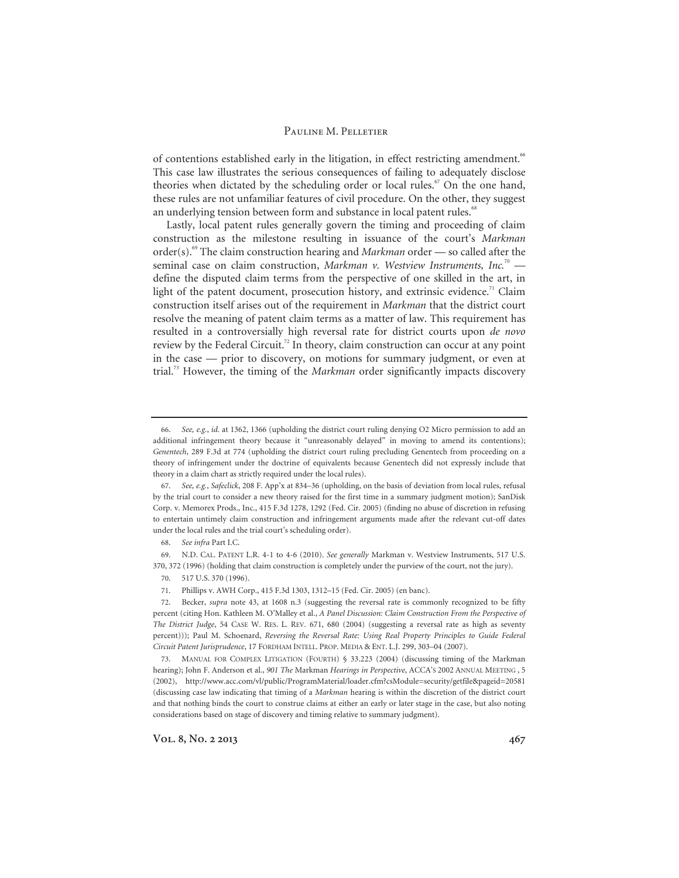of contentions established early in the litigation, in effect restricting amendment.<sup>66</sup> This case law illustrates the serious consequences of failing to adequately disclose theories when dictated by the scheduling order or local rules.<sup> $\degree$ </sup> On the one hand, these rules are not unfamiliar features of civil procedure. On the other, they suggest an underlying tension between form and substance in local patent rules.<sup>68</sup>

Lastly, local patent rules generally govern the timing and proceeding of claim construction as the milestone resulting in issuance of the court's *Markman* order(s).69 The claim construction hearing and *Markman* order — so called after the seminal case on claim construction, *Markman v. Westview Instruments*, *Inc.*<sup>70</sup> define the disputed claim terms from the perspective of one skilled in the art, in light of the patent document, prosecution history, and extrinsic evidence.<sup>71</sup> Claim construction itself arises out of the requirement in *Markman* that the district court resolve the meaning of patent claim terms as a matter of law. This requirement has resulted in a controversially high reversal rate for district courts upon *de novo* review by the Federal Circuit.<sup>72</sup> In theory, claim construction can occur at any point in the case — prior to discovery, on motions for summary judgment, or even at trial.73 However, the timing of the *Markman* order significantly impacts discovery

Vol. 8, No. 2 2013 **467** 

<sup>66.</sup> *See, e.g.*, *id.* at 1362, 1366 (upholding the district court ruling denying O2 Micro permission to add an additional infringement theory because it "unreasonably delayed" in moving to amend its contentions); *Genentech*, 289 F.3d at 774 (upholding the district court ruling precluding Genentech from proceeding on a theory of infringement under the doctrine of equivalents because Genentech did not expressly include that theory in a claim chart as strictly required under the local rules).

<sup>67.</sup> *See, e.g.*, *Safeclick*, 208 F. App'x at 834–36 (upholding, on the basis of deviation from local rules, refusal by the trial court to consider a new theory raised for the first time in a summary judgment motion); SanDisk Corp. v. Memorex Prods., Inc., 415 F.3d 1278, 1292 (Fed. Cir. 2005) (finding no abuse of discretion in refusing to entertain untimely claim construction and infringement arguments made after the relevant cut-off dates under the local rules and the trial court's scheduling order).

<sup>68.</sup> *See infra* Part I.C.

<sup>69.</sup> N.D. CAL. PATENT L.R. 4-1 to 4-6 (2010). *See generally* Markman v. Westview Instruments, 517 U.S. 370, 372 (1996) (holding that claim construction is completely under the purview of the court, not the jury).

<sup>70. 517</sup> U.S. 370 (1996).

<sup>71.</sup> Phillips v. AWH Corp., 415 F.3d 1303, 1312–15 (Fed. Cir. 2005) (en banc).

<sup>72.</sup> Becker, *supra* note 43, at 1608 n.3 (suggesting the reversal rate is commonly recognized to be fifty percent (citing Hon. Kathleen M. O'Malley et al., *A Panel Discussion: Claim Construction From the Perspective of The District Judge*, 54 CASE W. RES. L. REV. 671, 680 (2004) (suggesting a reversal rate as high as seventy percent))); Paul M. Schoenard, *Reversing the Reversal Rate: Using Real Property Principles to Guide Federal Circuit Patent Jurisprudence*, 17 FORDHAM INTELL. PROP. MEDIA & ENT. L.J. 299, 303–04 (2007).

<sup>73.</sup> MANUAL FOR COMPLEX LITIGATION (FOURTH) § 33.223 (2004) (discussing timing of the Markman hearing); John F. Anderson et al., *901 The* Markman *Hearings in Perspective*, ACCA'S 2002 ANNUAL MEETING , 5 (2002), http://www.acc.com/vl/public/ProgramMaterial/loader.cfm?csModule=security/getfile&pageid=20581 (discussing case law indicating that timing of a *Markman* hearing is within the discretion of the district court and that nothing binds the court to construe claims at either an early or later stage in the case, but also noting considerations based on stage of discovery and timing relative to summary judgment).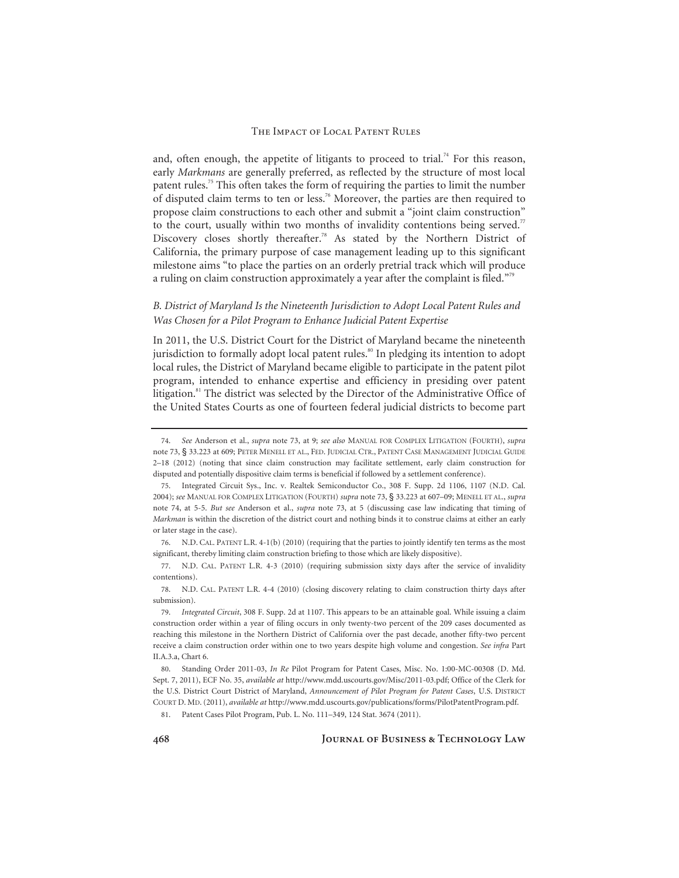and, often enough, the appetite of litigants to proceed to trial.<sup>74</sup> For this reason, early *Markmans* are generally preferred, as reflected by the structure of most local patent rules.75 This often takes the form of requiring the parties to limit the number of disputed claim terms to ten or less.76 Moreover, the parties are then required to propose claim constructions to each other and submit a "joint claim construction" to the court, usually within two months of invalidity contentions being served.<sup>77</sup> Discovery closes shortly thereafter.<sup>78</sup> As stated by the Northern District of California, the primary purpose of case management leading up to this significant milestone aims "to place the parties on an orderly pretrial track which will produce a ruling on claim construction approximately a year after the complaint is filed."<sup>79</sup>

### *B. District of Maryland Is the Nineteenth Jurisdiction to Adopt Local Patent Rules and Was Chosen for a Pilot Program to Enhance Judicial Patent Expertise*

In 2011, the U.S. District Court for the District of Maryland became the nineteenth jurisdiction to formally adopt local patent rules.<sup>80</sup> In pledging its intention to adopt local rules, the District of Maryland became eligible to participate in the patent pilot program, intended to enhance expertise and efficiency in presiding over patent litigation.<sup>81</sup> The district was selected by the Director of the Administrative Office of the United States Courts as one of fourteen federal judicial districts to become part

81. Patent Cases Pilot Program, Pub. L. No. 111–349, 124 Stat. 3674 (2011).

<sup>74.</sup> *See* Anderson et al., *supra* note 73, at 9; *see also* MANUAL FOR COMPLEX LITIGATION (FOURTH), *supra*  note 73, § 33.223 at 609; PETER MENELL ET AL., FED. JUDICIAL CTR., PATENT CASE MANAGEMENT JUDICIAL GUIDE 2–18 (2012) (noting that since claim construction may facilitate settlement, early claim construction for disputed and potentially dispositive claim terms is beneficial if followed by a settlement conference).

<sup>75.</sup> Integrated Circuit Sys., Inc. v. Realtek Semiconductor Co., 308 F. Supp. 2d 1106, 1107 (N.D. Cal. 2004); *see* MANUAL FOR COMPLEX LITIGATION (FOURTH) *supra* note 73, § 33.223 at 607-09; MENELL ET AL., *supra* note 74, at 5-5. *But see* Anderson et al., *supra* note 73, at 5 (discussing case law indicating that timing of *Markman* is within the discretion of the district court and nothing binds it to construe claims at either an early or later stage in the case).

<sup>76.</sup> N.D. CAL. PATENT L.R. 4-1(b) (2010) (requiring that the parties to jointly identify ten terms as the most significant, thereby limiting claim construction briefing to those which are likely dispositive).

<sup>77.</sup> N.D. CAL. PATENT L.R. 4-3 (2010) (requiring submission sixty days after the service of invalidity contentions).

<sup>78.</sup> N.D. CAL. PATENT L.R. 4-4 (2010) (closing discovery relating to claim construction thirty days after submission).

<sup>79.</sup> *Integrated Circuit*, 308 F. Supp. 2d at 1107. This appears to be an attainable goal. While issuing a claim construction order within a year of filing occurs in only twenty-two percent of the 209 cases documented as reaching this milestone in the Northern District of California over the past decade, another fifty-two percent receive a claim construction order within one to two years despite high volume and congestion. *See infra* Part II.A.3.a, Chart 6.

<sup>80.</sup> Standing Order 2011-03, *In Re* Pilot Program for Patent Cases, Misc. No. 1:00-MC-00308 (D. Md. Sept. 7, 2011), ECF No. 35, *available at* http://www.mdd.uscourts.gov/Misc/2011-03.pdf; Office of the Clerk for the U.S. District Court District of Maryland, *Announcement of Pilot Program for Patent Cases*, U.S. DISTRICT COURT D. MD.(2011), *available at* http://www.mdd.uscourts.gov/publications/forms/PilotPatentProgram.pdf.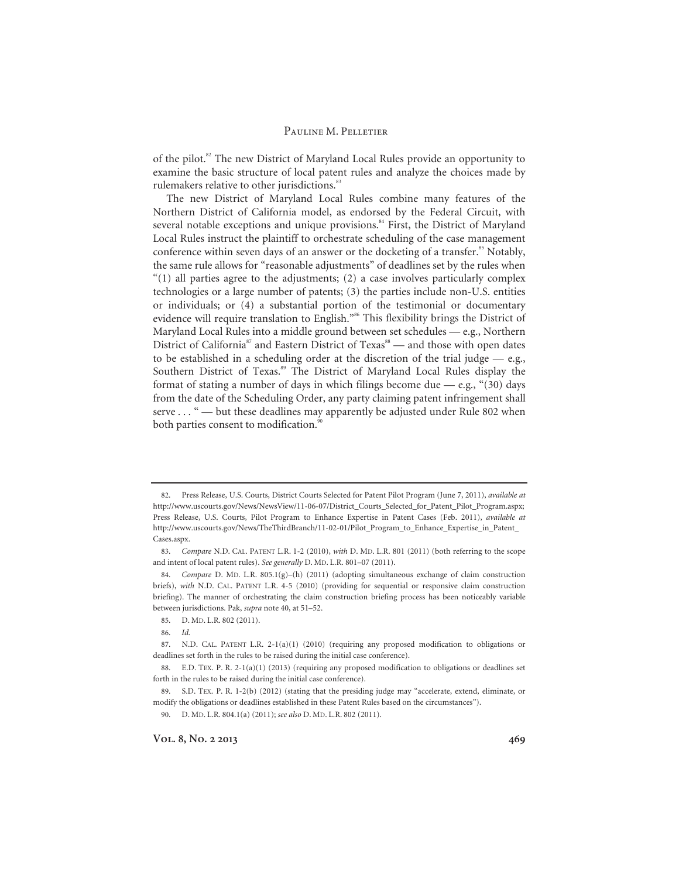of the pilot.<sup>82</sup> The new District of Maryland Local Rules provide an opportunity to examine the basic structure of local patent rules and analyze the choices made by rulemakers relative to other jurisdictions.<sup>83</sup>

The new District of Maryland Local Rules combine many features of the Northern District of California model, as endorsed by the Federal Circuit, with several notable exceptions and unique provisions.<sup>84</sup> First, the District of Maryland Local Rules instruct the plaintiff to orchestrate scheduling of the case management conference within seven days of an answer or the docketing of a transfer.<sup>85</sup> Notably, the same rule allows for "reasonable adjustments" of deadlines set by the rules when  $(1)$  all parties agree to the adjustments; (2) a case involves particularly complex technologies or a large number of patents; (3) the parties include non-U.S. entities or individuals; or (4) a substantial portion of the testimonial or documentary evidence will require translation to English."<sup>86</sup> This flexibility brings the District of Maryland Local Rules into a middle ground between set schedules — e.g., Northern District of California<sup>87</sup> and Eastern District of Texas<sup>88</sup> — and those with open dates to be established in a scheduling order at the discretion of the trial judge — e.g., Southern District of Texas.<sup>89</sup> The District of Maryland Local Rules display the format of stating a number of days in which filings become due  $-$  e.g., "(30) days from the date of the Scheduling Order, any party claiming patent infringement shall serve . . . " — but these deadlines may apparently be adjusted under Rule 802 when both parties consent to modification.<sup>90</sup>

<sup>82.</sup> Press Release, U.S. Courts, District Courts Selected for Patent Pilot Program (June 7, 2011), *available at* http://www.uscourts.gov/News/NewsView/11-06-07/District\_Courts\_Selected\_for\_Patent\_Pilot\_Program.aspx; Press Release, U.S. Courts, Pilot Program to Enhance Expertise in Patent Cases (Feb. 2011), *available at* http://www.uscourts.gov/News/TheThirdBranch/11-02-01/Pilot\_Program\_to\_Enhance\_Expertise\_in\_Patent\_ Cases.aspx.

<sup>83.</sup> *Compare* N.D. CAL. PATENT L.R. 1-2 (2010), *with* D. MD. L.R. 801 (2011) (both referring to the scope and intent of local patent rules). *See generally* D. MD. L.R. 801–07 (2011).

<sup>84.</sup> *Compare* D. MD. L.R. 805.1(g)–(h) (2011) (adopting simultaneous exchange of claim construction briefs), *with* N.D. CAL. PATENT L.R. 4-5 (2010) (providing for sequential or responsive claim construction briefing). The manner of orchestrating the claim construction briefing process has been noticeably variable between jurisdictions. Pak, *supra* note 40, at 51–52.

<sup>85.</sup> D. MD. L.R. 802 (2011).

<sup>86.</sup> *Id.*

<sup>87.</sup> N.D. CAL. PATENT L.R. 2-1(a)(1) (2010) (requiring any proposed modification to obligations or deadlines set forth in the rules to be raised during the initial case conference).

<sup>88.</sup> E.D. TEX. P. R. 2-1(a)(1) (2013) (requiring any proposed modification to obligations or deadlines set forth in the rules to be raised during the initial case conference).

<sup>89.</sup> S.D. TEX. P. R. 1-2(b) (2012) (stating that the presiding judge may "accelerate, extend, eliminate, or modify the obligations or deadlines established in these Patent Rules based on the circumstances").

<sup>90.</sup> D. MD. L.R. 804.1(a) (2011); *see also* D. MD. L.R. 802 (2011).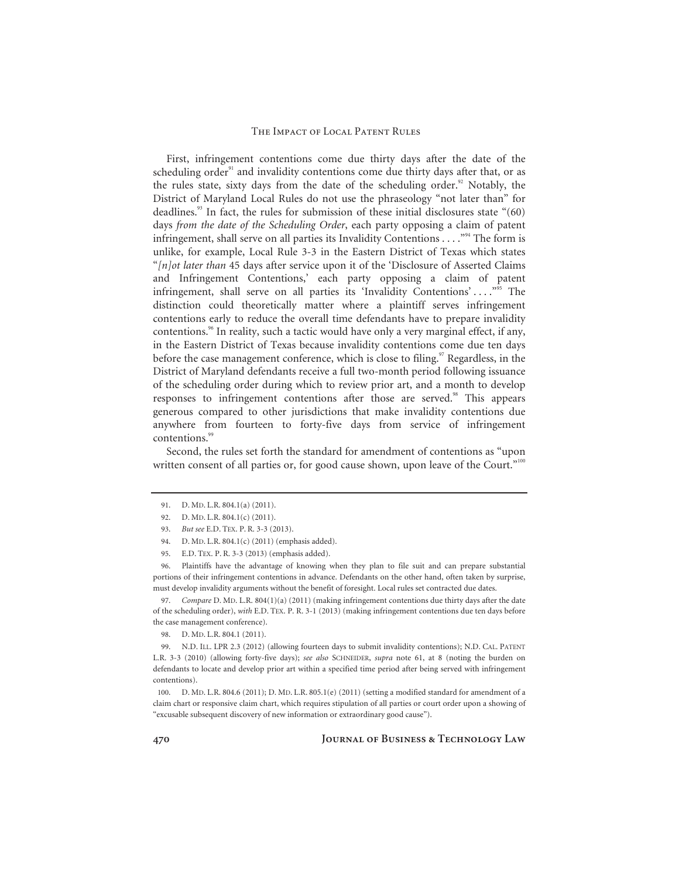First, infringement contentions come due thirty days after the date of the scheduling order $91$  and invalidity contentions come due thirty days after that, or as the rules state, sixty days from the date of the scheduling order.<sup>92</sup> Notably, the District of Maryland Local Rules do not use the phraseology "not later than" for deadlines.<sup>93</sup> In fact, the rules for submission of these initial disclosures state  $(60)$ days *from the date of the Scheduling Order*, each party opposing a claim of patent infringement, shall serve on all parties its Invalidity Contentions . . . . "<sup>94</sup> The form is unlike, for example, Local Rule 3-3 in the Eastern District of Texas which states "*[n]ot later than* 45 days after service upon it of the 'Disclosure of Asserted Claims and Infringement Contentions,' each party opposing a claim of patent infringement, shall serve on all parties its 'Invalidity Contentions' . . . ."95 The distinction could theoretically matter where a plaintiff serves infringement contentions early to reduce the overall time defendants have to prepare invalidity contentions.<sup>96</sup> In reality, such a tactic would have only a very marginal effect, if any, in the Eastern District of Texas because invalidity contentions come due ten days before the case management conference, which is close to filing.<sup>97</sup> Regardless, in the District of Maryland defendants receive a full two-month period following issuance of the scheduling order during which to review prior art, and a month to develop responses to infringement contentions after those are served.<sup>98</sup> This appears generous compared to other jurisdictions that make invalidity contentions due anywhere from fourteen to forty-five days from service of infringement contentions.<sup>99</sup>

Second, the rules set forth the standard for amendment of contentions as "upon written consent of all parties or, for good cause shown, upon leave of the Court."<sup>100</sup>

96. Plaintiffs have the advantage of knowing when they plan to file suit and can prepare substantial portions of their infringement contentions in advance. Defendants on the other hand, often taken by surprise, must develop invalidity arguments without the benefit of foresight. Local rules set contracted due dates.

97. *Compare* D. MD. L.R. 804(1)(a) (2011) (making infringement contentions due thirty days after the date of the scheduling order), *with* E.D. TEX. P. R. 3-1 (2013) (making infringement contentions due ten days before the case management conference).

98. D. MD. L.R. 804.1 (2011).

99. N.D. ILL. LPR 2.3 (2012) (allowing fourteen days to submit invalidity contentions); N.D. CAL. PATENT L.R. 3-3 (2010) (allowing forty-five days); *see also* SCHNEIDER, *supra* note 61, at 8 (noting the burden on defendants to locate and develop prior art within a specified time period after being served with infringement contentions).

100. D. MD. L.R. 804.6 (2011); D. MD. L.R. 805.1(e) (2011) (setting a modified standard for amendment of a claim chart or responsive claim chart, which requires stipulation of all parties or court order upon a showing of "excusable subsequent discovery of new information or extraordinary good cause").

<sup>91.</sup> D. MD. L.R. 804.1(a) (2011).

<sup>92.</sup> D. MD. L.R. 804.1(c) (2011).

<sup>93.</sup> *But see* E.D. TEX. P. R. 3-3 (2013).

<sup>94.</sup> D. MD. L.R. 804.1(c) (2011) (emphasis added).

<sup>95.</sup> E.D. TEX. P. R. 3-3 (2013) (emphasis added).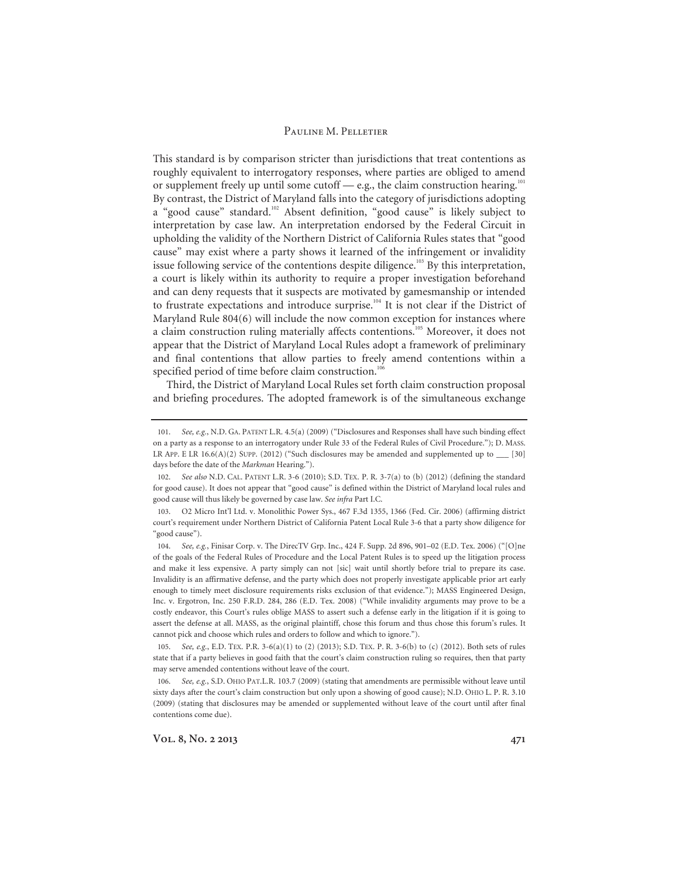This standard is by comparison stricter than jurisdictions that treat contentions as roughly equivalent to interrogatory responses, where parties are obliged to amend or supplement freely up until some cutoff — e.g., the claim construction hearing.<sup>101</sup> By contrast, the District of Maryland falls into the category of jurisdictions adopting a "good cause" standard.<sup>102</sup> Absent definition, "good cause" is likely subject to interpretation by case law. An interpretation endorsed by the Federal Circuit in upholding the validity of the Northern District of California Rules states that "good cause" may exist where a party shows it learned of the infringement or invalidity issue following service of the contentions despite diligence.<sup>103</sup> By this interpretation, a court is likely within its authority to require a proper investigation beforehand and can deny requests that it suspects are motivated by gamesmanship or intended to frustrate expectations and introduce surprise.<sup>104</sup> It is not clear if the District of Maryland Rule 804(6) will include the now common exception for instances where a claim construction ruling materially affects contentions.<sup>105</sup> Moreover, it does not appear that the District of Maryland Local Rules adopt a framework of preliminary and final contentions that allow parties to freely amend contentions within a specified period of time before claim construction.<sup>106</sup>

Third, the District of Maryland Local Rules set forth claim construction proposal and briefing procedures. The adopted framework is of the simultaneous exchange

<sup>101.</sup> *See, e.g.*, N.D. GA. PATENT L.R. 4.5(a) (2009) ("Disclosures and Responses shall have such binding effect on a party as a response to an interrogatory under Rule 33 of the Federal Rules of Civil Procedure."); D. MASS. LR APP. E LR  $16.6(A)(2)$  SUPP. (2012) ("Such disclosures may be amended and supplemented up to  $\qquad$  [30] days before the date of the *Markman* Hearing.").

<sup>102.</sup> *See also* N.D. CAL. PATENT L.R. 3-6 (2010); S.D. TEX. P. R. 3-7(a) to (b) (2012) (defining the standard for good cause). It does not appear that "good cause" is defined within the District of Maryland local rules and good cause will thus likely be governed by case law. *See infra* Part I.C.

<sup>103.</sup> O2 Micro Int'l Ltd. v. Monolithic Power Sys., 467 F.3d 1355, 1366 (Fed. Cir. 2006) (affirming district court's requirement under Northern District of California Patent Local Rule 3-6 that a party show diligence for "good cause").

<sup>104.</sup> *See, e.g.*, Finisar Corp. v. The DirecTV Grp. Inc., 424 F. Supp. 2d 896, 901–02 (E.D. Tex. 2006) ("[O]ne of the goals of the Federal Rules of Procedure and the Local Patent Rules is to speed up the litigation process and make it less expensive. A party simply can not [sic] wait until shortly before trial to prepare its case. Invalidity is an affirmative defense, and the party which does not properly investigate applicable prior art early enough to timely meet disclosure requirements risks exclusion of that evidence."); MASS Engineered Design, Inc. v. Ergotron, Inc. 250 F.R.D. 284, 286 (E.D. Tex. 2008) ("While invalidity arguments may prove to be a costly endeavor, this Court's rules oblige MASS to assert such a defense early in the litigation if it is going to assert the defense at all. MASS, as the original plaintiff, chose this forum and thus chose this forum's rules. It cannot pick and choose which rules and orders to follow and which to ignore.").

<sup>105.</sup> *See, e.g.*, E.D. TEX. P.R. 3-6(a)(1) to (2) (2013); S.D. TEX. P. R. 3-6(b) to (c) (2012). Both sets of rules state that if a party believes in good faith that the court's claim construction ruling so requires, then that party may serve amended contentions without leave of the court.

<sup>106.</sup> *See, e.g.*, S.D. OHIO PAT.L.R. 103.7 (2009) (stating that amendments are permissible without leave until sixty days after the court's claim construction but only upon a showing of good cause); N.D. OHIO L. P. R. 3.10 (2009) (stating that disclosures may be amended or supplemented without leave of the court until after final contentions come due).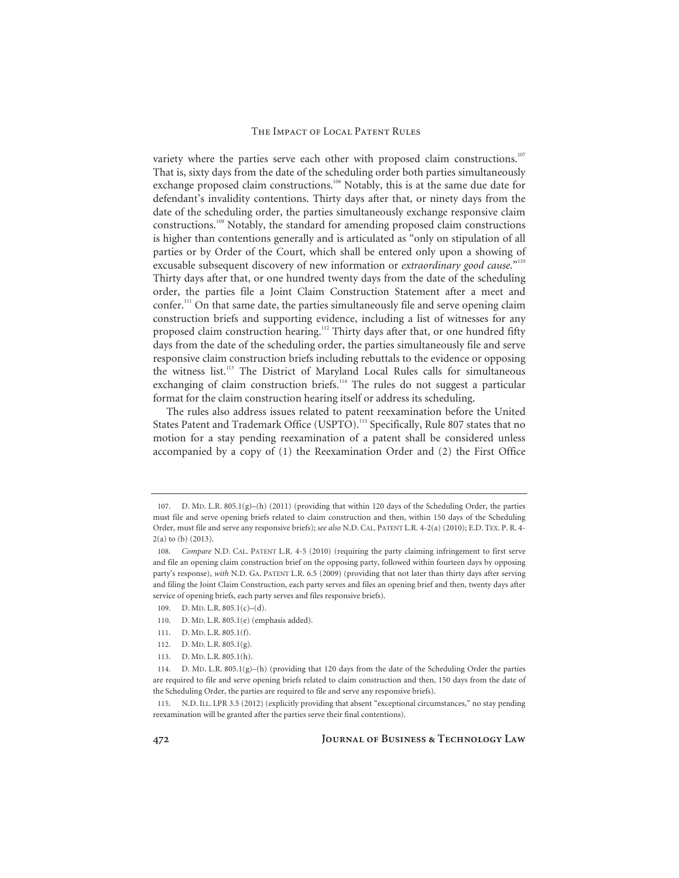variety where the parties serve each other with proposed claim constructions.<sup>107</sup> That is, sixty days from the date of the scheduling order both parties simultaneously exchange proposed claim constructions.<sup>108</sup> Notably, this is at the same due date for defendant's invalidity contentions. Thirty days after that, or ninety days from the date of the scheduling order, the parties simultaneously exchange responsive claim constructions.109 Notably, the standard for amending proposed claim constructions is higher than contentions generally and is articulated as "only on stipulation of all parties or by Order of the Court, which shall be entered only upon a showing of excusable subsequent discovery of new information or *extraordinary good cause*."110 Thirty days after that, or one hundred twenty days from the date of the scheduling order, the parties file a Joint Claim Construction Statement after a meet and confer.111 On that same date, the parties simultaneously file and serve opening claim construction briefs and supporting evidence, including a list of witnesses for any proposed claim construction hearing.<sup>112</sup> Thirty days after that, or one hundred fifty days from the date of the scheduling order, the parties simultaneously file and serve responsive claim construction briefs including rebuttals to the evidence or opposing the witness list.113 The District of Maryland Local Rules calls for simultaneous exchanging of claim construction briefs.<sup>114</sup> The rules do not suggest a particular format for the claim construction hearing itself or address its scheduling.

The rules also address issues related to patent reexamination before the United States Patent and Trademark Office (USPTO).<sup>115</sup> Specifically, Rule 807 states that no motion for a stay pending reexamination of a patent shall be considered unless accompanied by a copy of (1) the Reexamination Order and (2) the First Office

<sup>107.</sup> D. MD. L.R. 805.1(g)–(h) (2011) (providing that within 120 days of the Scheduling Order, the parties must file and serve opening briefs related to claim construction and then, within 150 days of the Scheduling Order, must file and serve any responsive briefs); *see also* N.D. CAL. PATENT L.R. 4-2(a) (2010); E.D. TEX. P. R. 4- 2(a) to (b) (2013).

<sup>108.</sup> *Compare* N.D. CAL. PATENT L.R. 4-5 (2010) (requiring the party claiming infringement to first serve and file an opening claim construction brief on the opposing party, followed within fourteen days by opposing party's response), *with* N.D. GA. PATENT L.R. 6.5 (2009) (providing that not later than thirty days after serving and filing the Joint Claim Construction, each party serves and files an opening brief and then, twenty days after service of opening briefs, each party serves and files responsive briefs).

<sup>109.</sup> D. MD. L.R. 805.1(c)–(d).

<sup>110.</sup> D. MD. L.R. 805.1(e) (emphasis added).

<sup>111.</sup> D. MD. L.R. 805.1(f).

<sup>112.</sup> D. MD. L.R. 805.1(g).

<sup>113.</sup> D. MD. L.R. 805.1(h).

<sup>114.</sup> D. MD. L.R. 805.1(g)–(h) (providing that 120 days from the date of the Scheduling Order the parties are required to file and serve opening briefs related to claim construction and then, 150 days from the date of the Scheduling Order, the parties are required to file and serve any responsive briefs).

<sup>115.</sup> N.D. ILL. LPR 3.5 (2012) (explicitly providing that absent "exceptional circumstances," no stay pending reexamination will be granted after the parties serve their final contentions).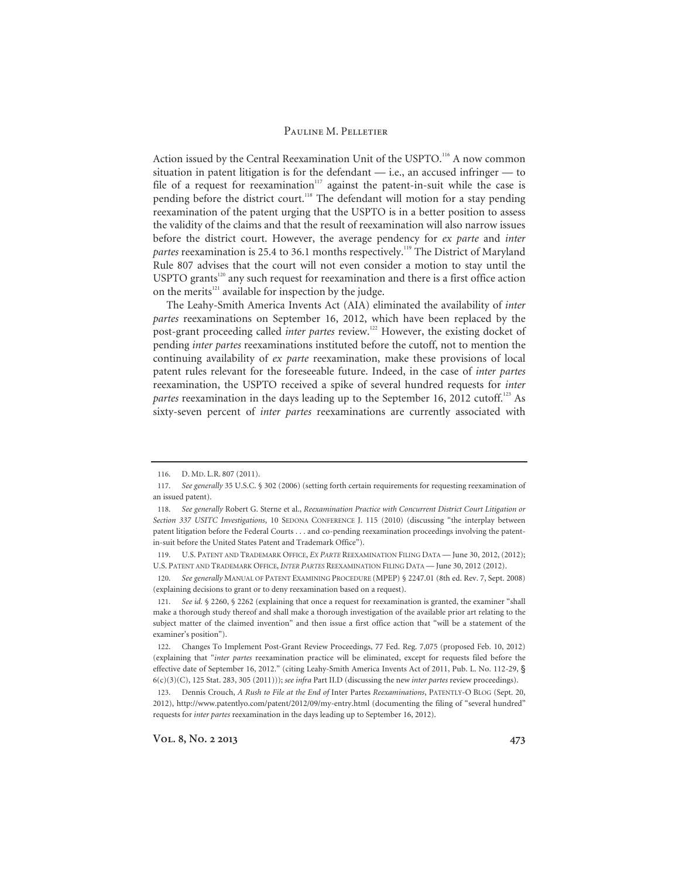Action issued by the Central Reexamination Unit of the USPTO.<sup>116</sup> A now common situation in patent litigation is for the defendant — i.e., an accused infringer — to file of a request for reexamination<sup>117</sup> against the patent-in-suit while the case is pending before the district court.<sup>118</sup> The defendant will motion for a stay pending reexamination of the patent urging that the USPTO is in a better position to assess the validity of the claims and that the result of reexamination will also narrow issues before the district court. However, the average pendency for *ex parte* and *inter*  partes reexamination is 25.4 to 36.1 months respectively.<sup>119</sup> The District of Maryland Rule 807 advises that the court will not even consider a motion to stay until the USPTO grants<sup>120</sup> any such request for reexamination and there is a first office action on the merits<sup>121</sup> available for inspection by the judge.

The Leahy-Smith America Invents Act (AIA) eliminated the availability of *inter partes* reexaminations on September 16, 2012, which have been replaced by the post-grant proceeding called *inter partes* review.122 However, the existing docket of pending *inter partes* reexaminations instituted before the cutoff, not to mention the continuing availability of *ex parte* reexamination, make these provisions of local patent rules relevant for the foreseeable future. Indeed, in the case of *inter partes* reexamination, the USPTO received a spike of several hundred requests for *inter partes* reexamination in the days leading up to the September 16, 2012 cutoff.<sup>123</sup> As sixty-seven percent of *inter partes* reexaminations are currently associated with

<sup>116.</sup> D. MD. L.R. 807 (2011).

<sup>117.</sup> *See generally* 35 U.S.C. § 302 (2006) (setting forth certain requirements for requesting reexamination of an issued patent).

<sup>118.</sup> *See generally* Robert G. Sterne et al., *Reexamination Practice with Concurrent District Court Litigation or Section 337 USITC Investigations*, 10 SEDONA CONFERENCE J. 115 (2010) (discussing "the interplay between patent litigation before the Federal Courts . . . and co-pending reexamination proceedings involving the patentin-suit before the United States Patent and Trademark Office").

<sup>119.</sup> U.S. PATENT AND TRADEMARK OFFICE, *EX PARTE* REEXAMINATION FILING DATA — June 30, 2012, (2012); U.S. PATENT AND TRADEMARK OFFICE, *INTER PARTES* REEXAMINATION FILING DATA — June 30, 2012 (2012).

<sup>120.</sup> *See generally* MANUAL OF PATENT EXAMINING PROCEDURE (MPEP) § 2247.01 (8th ed. Rev. 7, Sept. 2008) (explaining decisions to grant or to deny reexamination based on a request).

<sup>121.</sup> *See id.* § 2260, § 2262 (explaining that once a request for reexamination is granted, the examiner "shall make a thorough study thereof and shall make a thorough investigation of the available prior art relating to the subject matter of the claimed invention" and then issue a first office action that "will be a statement of the examiner's position").

<sup>122.</sup> Changes To Implement Post-Grant Review Proceedings, 77 Fed. Reg. 7,075 (proposed Feb. 10, 2012) (explaining that "*inter partes* reexamination practice will be eliminated, except for requests filed before the effective date of September 16, 2012." (citing Leahy-Smith America Invents Act of 2011, Pub. L. No. 112-29, § 6(c)(3)(C), 125 Stat. 283, 305 (2011))); *see infra* Part II.D (discussing the new *inter partes* review proceedings).

<sup>123.</sup> Dennis Crouch, *A Rush to File at the End of* Inter Partes *Reexaminations*, PATENTLY-O BLOG (Sept. 20, 2012), http://www.patentlyo.com/patent/2012/09/my-entry.html (documenting the filing of "several hundred" requests for *inter partes* reexamination in the days leading up to September 16, 2012).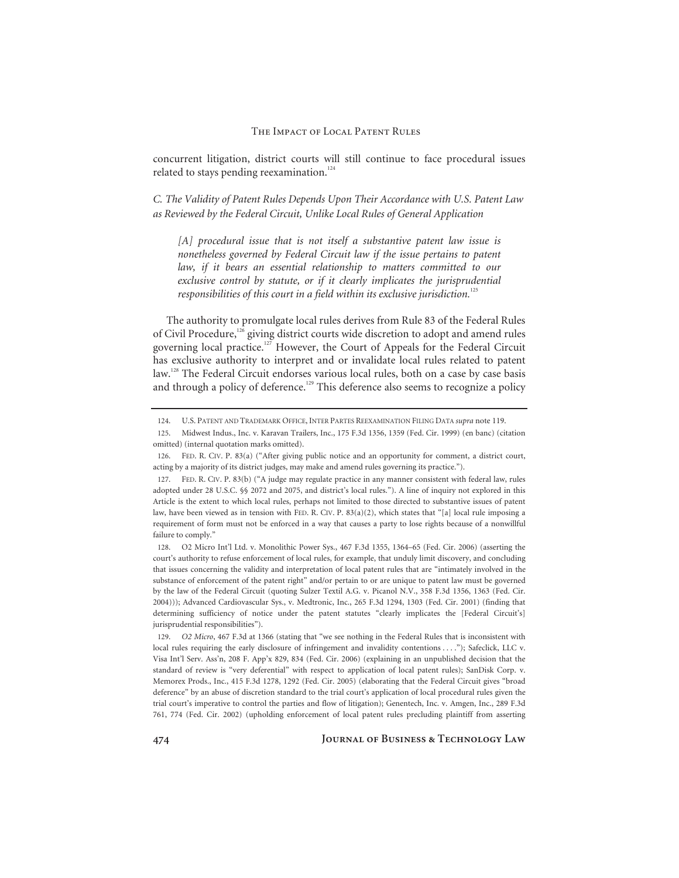concurrent litigation, district courts will still continue to face procedural issues related to stays pending reexamination. $124$ 

*C. The Validity of Patent Rules Depends Upon Their Accordance with U.S. Patent Law as Reviewed by the Federal Circuit, Unlike Local Rules of General Application* 

*[A] procedural issue that is not itself a substantive patent law issue is nonetheless governed by Federal Circuit law if the issue pertains to patent*  law, if it bears an essential relationship to matters committed to our *exclusive control by statute, or if it clearly implicates the jurisprudential responsibilities of this court in a field within its exclusive jurisdiction.*<sup>12</sup>

The authority to promulgate local rules derives from Rule 83 of the Federal Rules of Civil Procedure,<sup>126</sup> giving district courts wide discretion to adopt and amend rules governing local practice.<sup>127</sup> However, the Court of Appeals for the Federal Circuit has exclusive authority to interpret and or invalidate local rules related to patent law.<sup>128</sup> The Federal Circuit endorses various local rules, both on a case by case basis and through a policy of deference.<sup>129</sup> This deference also seems to recognize a policy

128. O2 Micro Int'l Ltd. v. Monolithic Power Sys., 467 F.3d 1355, 1364–65 (Fed. Cir. 2006) (asserting the court's authority to refuse enforcement of local rules, for example, that unduly limit discovery, and concluding that issues concerning the validity and interpretation of local patent rules that are "intimately involved in the substance of enforcement of the patent right" and/or pertain to or are unique to patent law must be governed by the law of the Federal Circuit (quoting Sulzer Textil A.G. v. Picanol N.V., 358 F.3d 1356, 1363 (Fed. Cir. 2004))); Advanced Cardiovascular Sys., v. Medtronic, Inc., 265 F.3d 1294, 1303 (Fed. Cir. 2001) (finding that determining sufficiency of notice under the patent statutes "clearly implicates the [Federal Circuit's] jurisprudential responsibilities").

129. *O2 Micro*, 467 F.3d at 1366 (stating that "we see nothing in the Federal Rules that is inconsistent with local rules requiring the early disclosure of infringement and invalidity contentions . . . ."); Safeclick, LLC v. Visa Int'l Serv. Ass'n, 208 F. App'x 829, 834 (Fed. Cir. 2006) (explaining in an unpublished decision that the standard of review is "very deferential" with respect to application of local patent rules); SanDisk Corp. v. Memorex Prods., Inc., 415 F.3d 1278, 1292 (Fed. Cir. 2005) (elaborating that the Federal Circuit gives "broad deference" by an abuse of discretion standard to the trial court's application of local procedural rules given the trial court's imperative to control the parties and flow of litigation); Genentech, Inc. v. Amgen, Inc., 289 F.3d 761, 774 (Fed. Cir. 2002) (upholding enforcement of local patent rules precluding plaintiff from asserting

**474 Journal of Business & Technology Law** 

<sup>124.</sup> U.S. PATENT AND TRADEMARK OFFICE, INTER PARTES REEXAMINATION FILING DATA *supra* note 119.

<sup>125.</sup> Midwest Indus., Inc. v. Karavan Trailers, Inc., 175 F.3d 1356, 1359 (Fed. Cir. 1999) (en banc) (citation omitted) (internal quotation marks omitted).

FED. R. CIV. P. 83(a) ("After giving public notice and an opportunity for comment, a district court, acting by a majority of its district judges, may make and amend rules governing its practice.").

<sup>127.</sup> FED. R. CIV. P. 83(b) ("A judge may regulate practice in any manner consistent with federal law, rules adopted under 28 U.S.C. §§ 2072 and 2075, and district's local rules."). A line of inquiry not explored in this Article is the extent to which local rules, perhaps not limited to those directed to substantive issues of patent law, have been viewed as in tension with FED. R. CIV. P. 83(a)(2), which states that "[a] local rule imposing a requirement of form must not be enforced in a way that causes a party to lose rights because of a nonwillful failure to comply."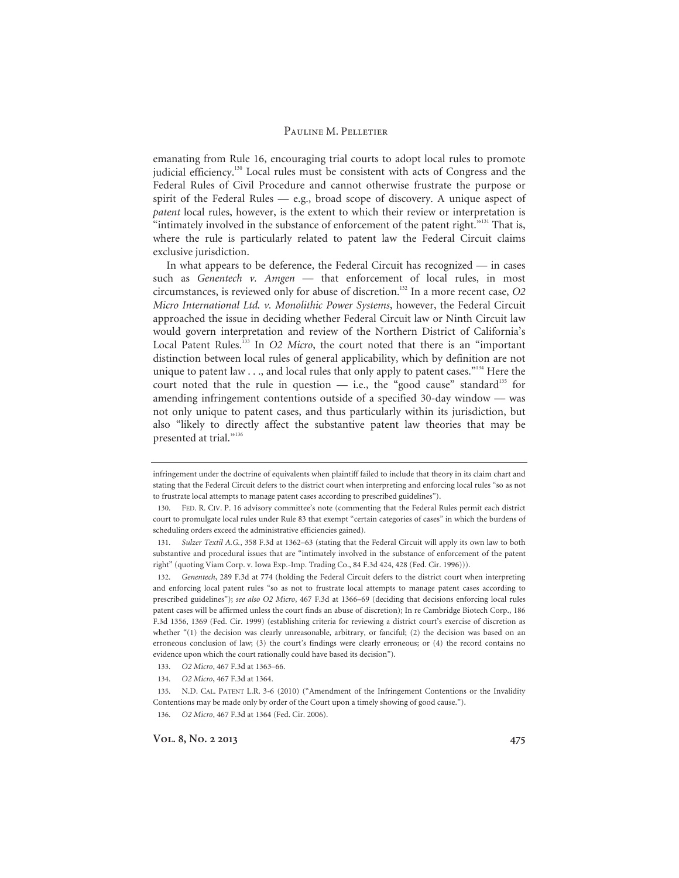emanating from Rule 16, encouraging trial courts to adopt local rules to promote judicial efficiency.<sup>130</sup> Local rules must be consistent with acts of Congress and the Federal Rules of Civil Procedure and cannot otherwise frustrate the purpose or spirit of the Federal Rules — e.g., broad scope of discovery. A unique aspect of *patent* local rules, however, is the extent to which their review or interpretation is "intimately involved in the substance of enforcement of the patent right."<sup>31</sup> That is, where the rule is particularly related to patent law the Federal Circuit claims exclusive jurisdiction.

In what appears to be deference, the Federal Circuit has recognized — in cases such as *Genentech v. Amgen* — that enforcement of local rules, in most circumstances, is reviewed only for abuse of discretion.132 In a more recent case, *O2 Micro International Ltd. v. Monolithic Power Systems*, however, the Federal Circuit approached the issue in deciding whether Federal Circuit law or Ninth Circuit law would govern interpretation and review of the Northern District of California's Local Patent Rules.<sup>133</sup> In *O2 Micro*, the court noted that there is an "important distinction between local rules of general applicability, which by definition are not unique to patent law  $\ldots$ , and local rules that only apply to patent cases."<sup>134</sup> Here the court noted that the rule in question  $-$  i.e., the "good cause" standard<sup>135</sup> for amending infringement contentions outside of a specified 30-day window — was not only unique to patent cases, and thus particularly within its jurisdiction, but also "likely to directly affect the substantive patent law theories that may be presented at trial."136

infringement under the doctrine of equivalents when plaintiff failed to include that theory in its claim chart and stating that the Federal Circuit defers to the district court when interpreting and enforcing local rules "so as not to frustrate local attempts to manage patent cases according to prescribed guidelines").

<sup>130.</sup> FED. R. CIV. P. 16 advisory committee's note (commenting that the Federal Rules permit each district court to promulgate local rules under Rule 83 that exempt "certain categories of cases" in which the burdens of scheduling orders exceed the administrative efficiencies gained).

<sup>131.</sup> *Sulzer Textil A.G.*, 358 F.3d at 1362–63 (stating that the Federal Circuit will apply its own law to both substantive and procedural issues that are "intimately involved in the substance of enforcement of the patent right" (quoting Viam Corp. v. Iowa Exp.-Imp. Trading Co., 84 F.3d 424, 428 (Fed. Cir. 1996))).

<sup>132.</sup> *Genentech*, 289 F.3d at 774 (holding the Federal Circuit defers to the district court when interpreting and enforcing local patent rules "so as not to frustrate local attempts to manage patent cases according to prescribed guidelines"); *see also O2 Micro*, 467 F.3d at 1366–69 (deciding that decisions enforcing local rules patent cases will be affirmed unless the court finds an abuse of discretion); In re Cambridge Biotech Corp., 186 F.3d 1356, 1369 (Fed. Cir. 1999) (establishing criteria for reviewing a district court's exercise of discretion as whether "(1) the decision was clearly unreasonable, arbitrary, or fanciful; (2) the decision was based on an erroneous conclusion of law; (3) the court's findings were clearly erroneous; or (4) the record contains no evidence upon which the court rationally could have based its decision").

<sup>133.</sup> *O2 Micro*, 467 F.3d at 1363–66.

<sup>134.</sup> *O2 Micro*, 467 F.3d at 1364.

<sup>135.</sup> N.D. CAL. PATENT L.R. 3-6 (2010) ("Amendment of the Infringement Contentions or the Invalidity Contentions may be made only by order of the Court upon a timely showing of good cause.").

<sup>136.</sup> *O2 Micro*, 467 F.3d at 1364 (Fed. Cir. 2006).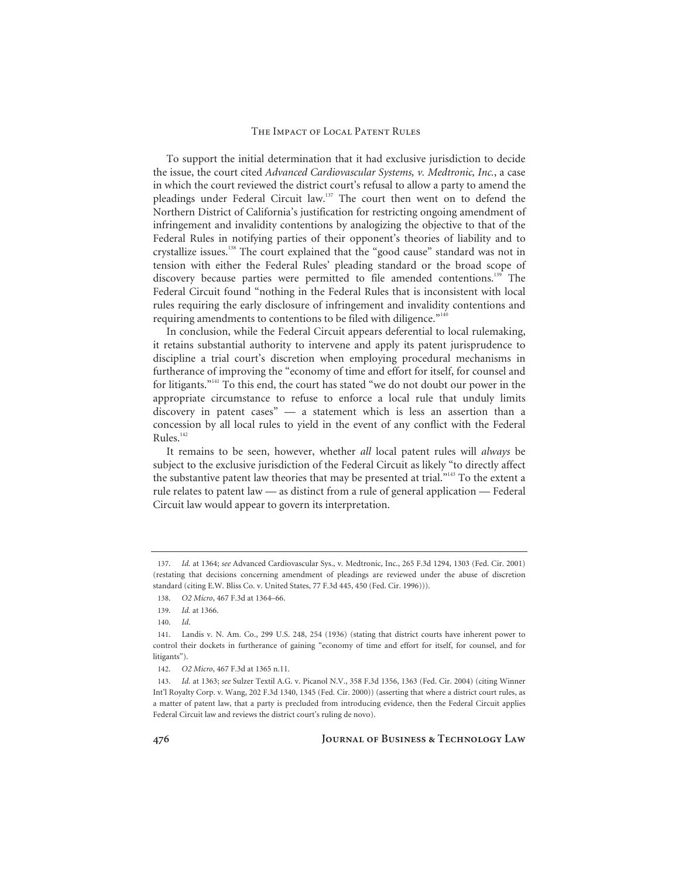To support the initial determination that it had exclusive jurisdiction to decide the issue, the court cited *Advanced Cardiovascular Systems, v. Medtronic, Inc.*, a case in which the court reviewed the district court's refusal to allow a party to amend the pleadings under Federal Circuit law.<sup>137</sup> The court then went on to defend the Northern District of California's justification for restricting ongoing amendment of infringement and invalidity contentions by analogizing the objective to that of the Federal Rules in notifying parties of their opponent's theories of liability and to crystallize issues.138 The court explained that the "good cause" standard was not in tension with either the Federal Rules' pleading standard or the broad scope of discovery because parties were permitted to file amended contentions.<sup>139</sup> The Federal Circuit found "nothing in the Federal Rules that is inconsistent with local rules requiring the early disclosure of infringement and invalidity contentions and requiring amendments to contentions to be filed with diligence."<sup>140</sup>

In conclusion, while the Federal Circuit appears deferential to local rulemaking, it retains substantial authority to intervene and apply its patent jurisprudence to discipline a trial court's discretion when employing procedural mechanisms in furtherance of improving the "economy of time and effort for itself, for counsel and for litigants."141 To this end, the court has stated "we do not doubt our power in the appropriate circumstance to refuse to enforce a local rule that unduly limits discovery in patent cases" — a statement which is less an assertion than a concession by all local rules to yield in the event of any conflict with the Federal Rules.<sup>142</sup>

It remains to be seen, however, whether *all* local patent rules will *always* be subject to the exclusive jurisdiction of the Federal Circuit as likely "to directly affect the substantive patent law theories that may be presented at trial."<sup>143</sup> To the extent a rule relates to patent law — as distinct from a rule of general application — Federal Circuit law would appear to govern its interpretation.

<sup>137.</sup> *Id.* at 1364; *see* Advanced Cardiovascular Sys., v. Medtronic, Inc., 265 F.3d 1294, 1303 (Fed. Cir. 2001) (restating that decisions concerning amendment of pleadings are reviewed under the abuse of discretion standard (citing E.W. Bliss Co. v. United States, 77 F.3d 445, 450 (Fed. Cir. 1996))).

<sup>138.</sup> *O2 Micro*, 467 F.3d at 1364–66.

<sup>139.</sup> *Id.* at 1366.

<sup>140.</sup> *Id*.

<sup>141.</sup> Landis v. N. Am. Co., 299 U.S. 248, 254 (1936) (stating that district courts have inherent power to control their dockets in furtherance of gaining "economy of time and effort for itself, for counsel, and for litigants").

<sup>142.</sup> *O2 Micro*, 467 F.3d at 1365 n.11.

<sup>143.</sup> *Id.* at 1363; *see* Sulzer Textil A.G. v. Picanol N.V., 358 F.3d 1356, 1363 (Fed. Cir. 2004) (citing Winner Int'l Royalty Corp. v. Wang, 202 F.3d 1340, 1345 (Fed. Cir. 2000)) (asserting that where a district court rules, as a matter of patent law, that a party is precluded from introducing evidence, then the Federal Circuit applies Federal Circuit law and reviews the district court's ruling de novo).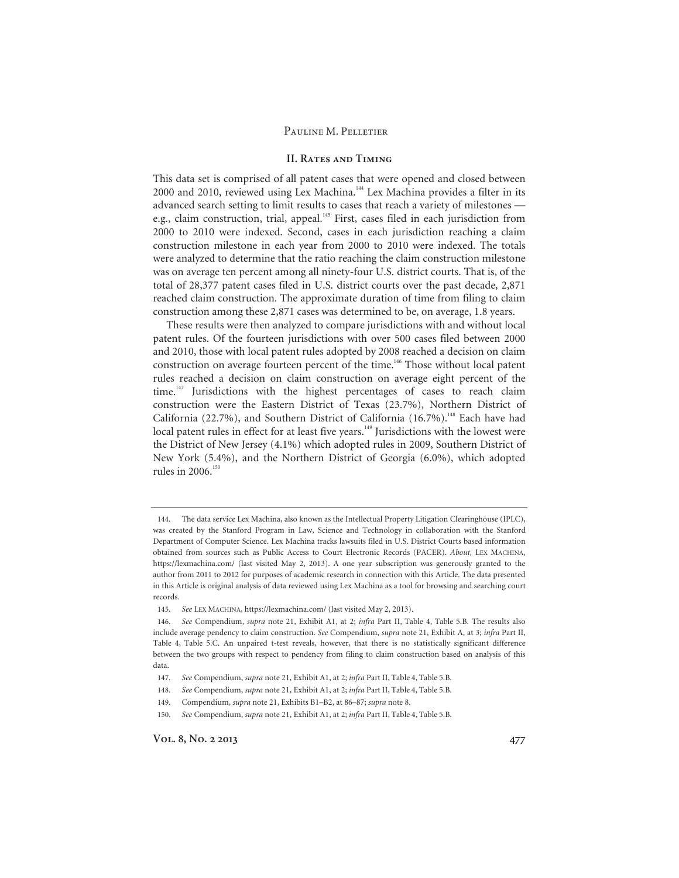### **II. Rates and Timing**

This data set is comprised of all patent cases that were opened and closed between 2000 and 2010, reviewed using Lex Machina.144 Lex Machina provides a filter in its advanced search setting to limit results to cases that reach a variety of milestones e.g., claim construction, trial, appeal.<sup>145</sup> First, cases filed in each jurisdiction from 2000 to 2010 were indexed. Second, cases in each jurisdiction reaching a claim construction milestone in each year from 2000 to 2010 were indexed. The totals were analyzed to determine that the ratio reaching the claim construction milestone was on average ten percent among all ninety-four U.S. district courts. That is, of the total of 28,377 patent cases filed in U.S. district courts over the past decade, 2,871 reached claim construction. The approximate duration of time from filing to claim construction among these 2,871 cases was determined to be, on average, 1.8 years.

These results were then analyzed to compare jurisdictions with and without local patent rules. Of the fourteen jurisdictions with over 500 cases filed between 2000 and 2010, those with local patent rules adopted by 2008 reached a decision on claim construction on average fourteen percent of the time.<sup>146</sup> Those without local patent rules reached a decision on claim construction on average eight percent of the time.<sup>147</sup> Jurisdictions with the highest percentages of cases to reach claim construction were the Eastern District of Texas (23.7%), Northern District of California (22.7%), and Southern District of California (16.7%).<sup>148</sup> Each have had local patent rules in effect for at least five years.<sup>149</sup> Jurisdictions with the lowest were the District of New Jersey (4.1%) which adopted rules in 2009, Southern District of New York (5.4%), and the Northern District of Georgia (6.0%), which adopted rules in 2006.<sup>150</sup>

<sup>144.</sup> The data service Lex Machina, also known as the Intellectual Property Litigation Clearinghouse (IPLC), was created by the Stanford Program in Law, Science and Technology in collaboration with the Stanford Department of Computer Science. Lex Machina tracks lawsuits filed in U.S. District Courts based information obtained from sources such as Public Access to Court Electronic Records (PACER). *About,* LEX MACHINA, https://lexmachina.com/ (last visited May 2, 2013). A one year subscription was generously granted to the author from 2011 to 2012 for purposes of academic research in connection with this Article. The data presented in this Article is original analysis of data reviewed using Lex Machina as a tool for browsing and searching court records.

<sup>145.</sup> *See* LEX MACHINA, https://lexmachina.com/ (last visited May 2, 2013).

<sup>146.</sup> *See* Compendium, *supra* note 21, Exhibit A1, at 2; *infra* Part II, Table 4, Table 5.B. The results also include average pendency to claim construction. *See* Compendium, *supra* note 21, Exhibit A, at 3; *infra* Part II, Table 4, Table 5.C. An unpaired t-test reveals, however, that there is no statistically significant difference between the two groups with respect to pendency from filing to claim construction based on analysis of this data.

<sup>147.</sup> *See* Compendium, *supra* note 21, Exhibit A1, at 2; *infra* Part II, Table 4, Table 5.B.

<sup>148.</sup> *See* Compendium, *supra* note 21, Exhibit A1, at 2; *infra* Part II, Table 4, Table 5.B.

<sup>149.</sup> Compendium, *supra* note 21, Exhibits B1–B2, at 86–87; *supra* note 8.

<sup>150.</sup> *See* Compendium, *supra* note 21, Exhibit A1, at 2; *infra* Part II, Table 4, Table 5.B.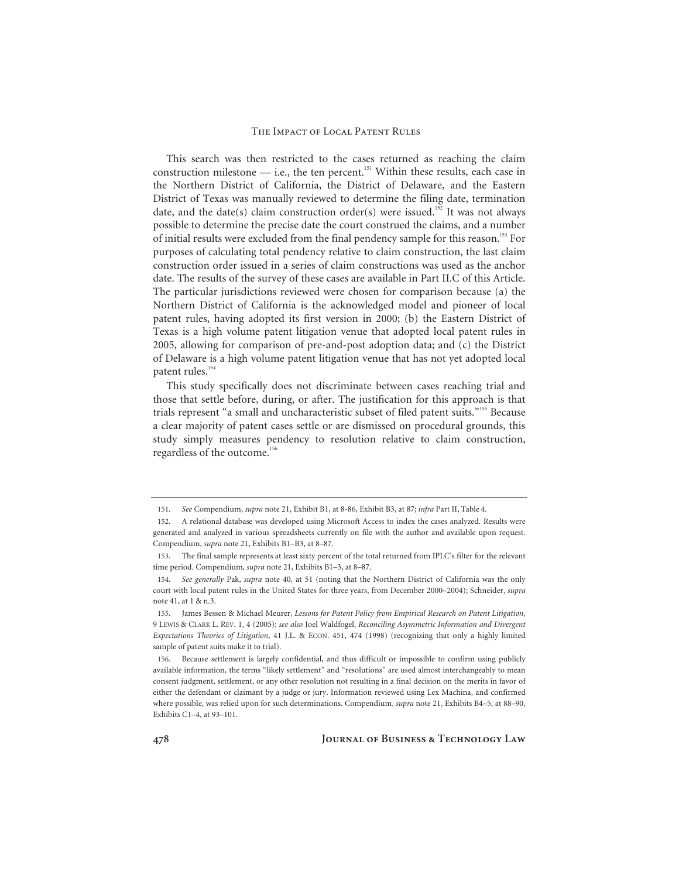This search was then restricted to the cases returned as reaching the claim construction milestone  $-$  i.e., the ten percent.<sup>151</sup> Within these results, each case in the Northern District of California, the District of Delaware, and the Eastern District of Texas was manually reviewed to determine the filing date, termination date, and the date(s) claim construction order(s) were issued.<sup>152</sup> It was not always possible to determine the precise date the court construed the claims, and a number of initial results were excluded from the final pendency sample for this reason.<sup>153</sup> For purposes of calculating total pendency relative to claim construction, the last claim construction order issued in a series of claim constructions was used as the anchor date. The results of the survey of these cases are available in Part II.C of this Article. The particular jurisdictions reviewed were chosen for comparison because (a) the Northern District of California is the acknowledged model and pioneer of local patent rules, having adopted its first version in 2000; (b) the Eastern District of Texas is a high volume patent litigation venue that adopted local patent rules in 2005, allowing for comparison of pre-and-post adoption data; and (c) the District of Delaware is a high volume patent litigation venue that has not yet adopted local patent rules.<sup>154</sup>

This study specifically does not discriminate between cases reaching trial and those that settle before, during, or after. The justification for this approach is that trials represent "a small and uncharacteristic subset of filed patent suits."155 Because a clear majority of patent cases settle or are dismissed on procedural grounds, this study simply measures pendency to resolution relative to claim construction, regardless of the outcome.<sup>156</sup>

<sup>151.</sup> *See* Compendium, *supra* note 21, Exhibit B1, at 8-86, Exhibit B3, at 87; *infra* Part II, Table 4.

<sup>152.</sup> A relational database was developed using Microsoft Access to index the cases analyzed. Results were generated and analyzed in various spreadsheets currently on file with the author and available upon request. Compendium, *supra* note 21, Exhibits B1–B3, at 8–87.

<sup>153.</sup> The final sample represents at least sixty percent of the total returned from IPLC's filter for the relevant time period. Compendium, *supra* note 21, Exhibits B1–3, at 8–87.

<sup>154.</sup> *See generally* Pak, *supra* note 40, at 51 (noting that the Northern District of California was the only court with local patent rules in the United States for three years, from December 2000–2004); Schneider, *supra* note 41, at 1 & n.3.

<sup>155.</sup> James Bessen & Michael Meurer, *Lessons for Patent Policy from Empirical Research on Patent Litigation*, 9 LEWIS & CLARK L. REV. 1, 4 (2005); *see also* Joel Waldfogel, *Reconciling Asymmetric Information and Divergent Expectations Theories of Litigation*, 41 J.L. & ECON. 451, 474 (1998) (recognizing that only a highly limited sample of patent suits make it to trial).

<sup>156.</sup> Because settlement is largely confidential, and thus difficult or impossible to confirm using publicly available information, the terms "likely settlement" and "resolutions" are used almost interchangeably to mean consent judgment, settlement, or any other resolution not resulting in a final decision on the merits in favor of either the defendant or claimant by a judge or jury. Information reviewed using Lex Machina, and confirmed where possible, was relied upon for such determinations. Compendium, *supra* note 21, Exhibits B4–5, at 88–90, Exhibits C1–4, at 93–101.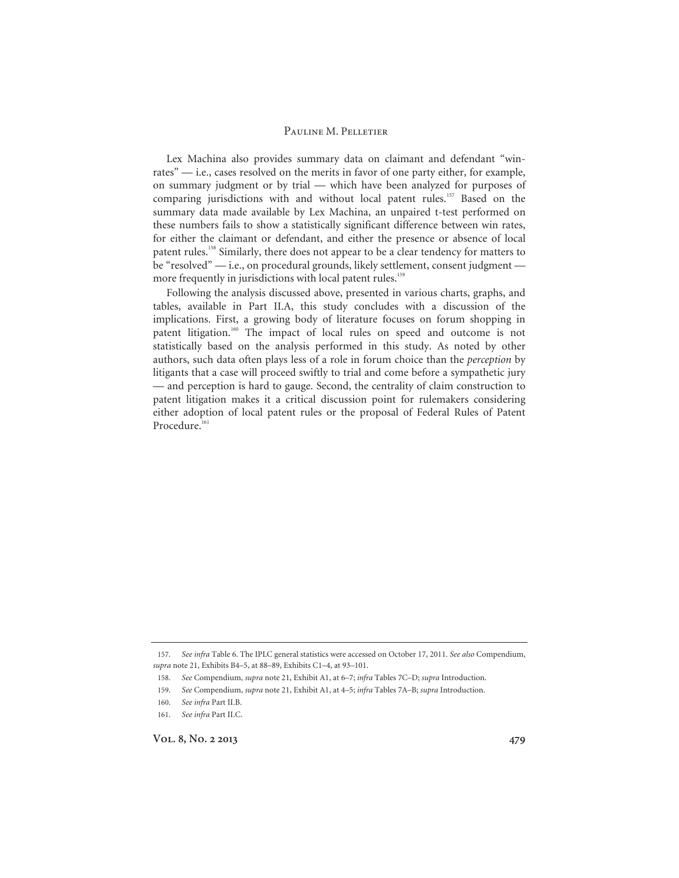Lex Machina also provides summary data on claimant and defendant "winrates" — i.e., cases resolved on the merits in favor of one party either, for example, on summary judgment or by trial — which have been analyzed for purposes of comparing jurisdictions with and without local patent rules.<sup>157</sup> Based on the summary data made available by Lex Machina, an unpaired t-test performed on these numbers fails to show a statistically significant difference between win rates, for either the claimant or defendant, and either the presence or absence of local patent rules.<sup>158</sup> Similarly, there does not appear to be a clear tendency for matters to be "resolved" — i.e., on procedural grounds, likely settlement, consent judgment more frequently in jurisdictions with local patent rules.<sup>159</sup>

Following the analysis discussed above, presented in various charts, graphs, and tables, available in Part II.A, this study concludes with a discussion of the implications. First, a growing body of literature focuses on forum shopping in patent litigation.<sup>160</sup> The impact of local rules on speed and outcome is not statistically based on the analysis performed in this study. As noted by other authors, such data often plays less of a role in forum choice than the *perception* by litigants that a case will proceed swiftly to trial and come before a sympathetic jury — and perception is hard to gauge. Second, the centrality of claim construction to patent litigation makes it a critical discussion point for rulemakers considering either adoption of local patent rules or the proposal of Federal Rules of Patent Procedure.<sup>161</sup>

<sup>157.</sup> *See infra* Table 6. The IPLC general statistics were accessed on October 17, 2011. *See also* Compendium, *supra* note 21, Exhibits B4–5, at 88–89, Exhibits C1–4, at 93–101.

<sup>158.</sup> *See* Compendium, *supra* note 21, Exhibit A1, at 6–7; *infra* Tables 7C–D; *supra* Introduction.

<sup>159.</sup> *See* Compendium, *supra* note 21, Exhibit A1, at 4–5; *infra* Tables 7A–B; *supra* Introduction.

<sup>160.</sup> *See infra* Part II.B.

<sup>161.</sup> *See infra* Part II.C.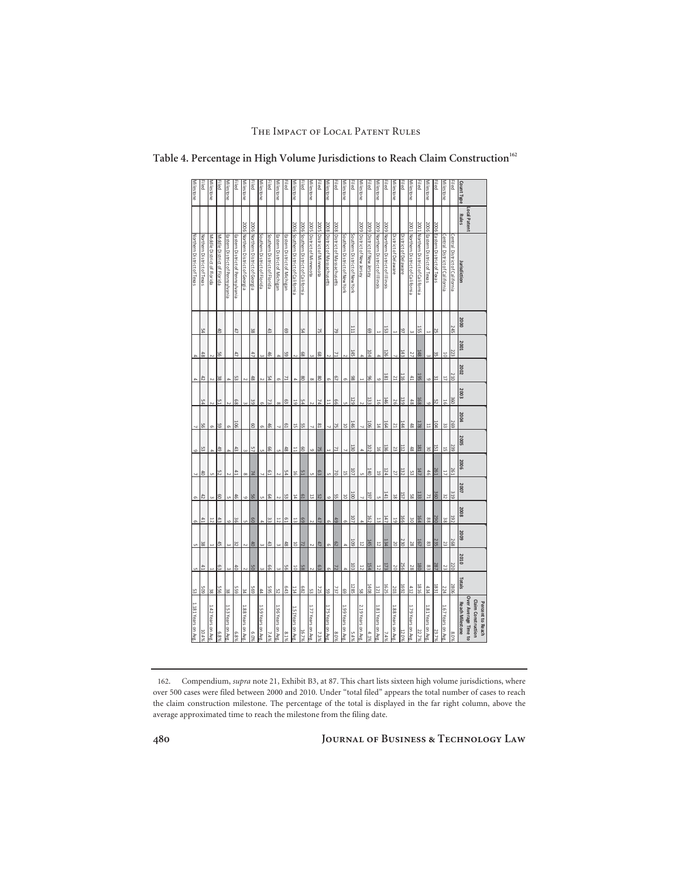| 2006 Eastern District of Texas<br>2006 Northern District of Georgia<br>2006 Northern District of Georgia<br>2006 Southern District of California<br>2005 District of Minnesota<br>2005 District of Minnesota<br>2008 District of Massachusetts<br>2008 District of Massachusetts<br>2009 District of New Jersey<br>2009 District of New Jersey<br>2009 Northern District of Illinois<br>2001 Northern District of California<br>2006 Eastern District of Texas<br>2006 Southern District of California<br>2009 Northern District of Illinois<br>Northern District of California<br>Southern District of New York<br>Southern District of Florida<br>Southern District of Florida<br>Eastern District of Michigan<br>Eastern District of Michigan<br>Southern District of New York<br>Central District of California<br>Central District of California<br>Middle District of Florida<br>Middle District of Florida<br>Eastern District of Pennsylvania<br>Eastern District of Pennsylvania<br>District of Delaware<br>District of Delaware<br>lurisdiction<br>2000<br><b>245</b><br><b>III</b><br>153<br>155<br>43<br>97<br>47<br>38<br>ගි<br>54<br>52<br>69<br>25<br>\$<br>75<br>$\omega$<br>Н<br><b>2001</b><br>223<br>145<br>104<br>126<br>143<br>$\frac{48}{6}$<br>27<br>95<br>47<br>47<br>46<br>65<br>89<br>ခြ<br>71<br>.೫ ಎ<br>10<br>$\frac{4}{8}$<br>$\omega$<br>$\overline{4}$<br>4<br>$\Rightarrow$<br>N<br>$\omega$<br>$\sim$<br>$\sim$<br>$\ddot{\phantom{a}}$<br>N |
|-------------------------------------------------------------------------------------------------------------------------------------------------------------------------------------------------------------------------------------------------------------------------------------------------------------------------------------------------------------------------------------------------------------------------------------------------------------------------------------------------------------------------------------------------------------------------------------------------------------------------------------------------------------------------------------------------------------------------------------------------------------------------------------------------------------------------------------------------------------------------------------------------------------------------------------------------------------------------------------------------------------------------------------------------------------------------------------------------------------------------------------------------------------------------------------------------------------------------------------------------------------------------------------------------------------------------------------------------------------------------------------------------------------------------------------------------------------------------------|
|                                                                                                                                                                                                                                                                                                                                                                                                                                                                                                                                                                                                                                                                                                                                                                                                                                                                                                                                                                                                                                                                                                                                                                                                                                                                                                                                                                                                                                                                               |
|                                                                                                                                                                                                                                                                                                                                                                                                                                                                                                                                                                                                                                                                                                                                                                                                                                                                                                                                                                                                                                                                                                                                                                                                                                                                                                                                                                                                                                                                               |
|                                                                                                                                                                                                                                                                                                                                                                                                                                                                                                                                                                                                                                                                                                                                                                                                                                                                                                                                                                                                                                                                                                                                                                                                                                                                                                                                                                                                                                                                               |
|                                                                                                                                                                                                                                                                                                                                                                                                                                                                                                                                                                                                                                                                                                                                                                                                                                                                                                                                                                                                                                                                                                                                                                                                                                                                                                                                                                                                                                                                               |
|                                                                                                                                                                                                                                                                                                                                                                                                                                                                                                                                                                                                                                                                                                                                                                                                                                                                                                                                                                                                                                                                                                                                                                                                                                                                                                                                                                                                                                                                               |
|                                                                                                                                                                                                                                                                                                                                                                                                                                                                                                                                                                                                                                                                                                                                                                                                                                                                                                                                                                                                                                                                                                                                                                                                                                                                                                                                                                                                                                                                               |
|                                                                                                                                                                                                                                                                                                                                                                                                                                                                                                                                                                                                                                                                                                                                                                                                                                                                                                                                                                                                                                                                                                                                                                                                                                                                                                                                                                                                                                                                               |
|                                                                                                                                                                                                                                                                                                                                                                                                                                                                                                                                                                                                                                                                                                                                                                                                                                                                                                                                                                                                                                                                                                                                                                                                                                                                                                                                                                                                                                                                               |
|                                                                                                                                                                                                                                                                                                                                                                                                                                                                                                                                                                                                                                                                                                                                                                                                                                                                                                                                                                                                                                                                                                                                                                                                                                                                                                                                                                                                                                                                               |
|                                                                                                                                                                                                                                                                                                                                                                                                                                                                                                                                                                                                                                                                                                                                                                                                                                                                                                                                                                                                                                                                                                                                                                                                                                                                                                                                                                                                                                                                               |
|                                                                                                                                                                                                                                                                                                                                                                                                                                                                                                                                                                                                                                                                                                                                                                                                                                                                                                                                                                                                                                                                                                                                                                                                                                                                                                                                                                                                                                                                               |
|                                                                                                                                                                                                                                                                                                                                                                                                                                                                                                                                                                                                                                                                                                                                                                                                                                                                                                                                                                                                                                                                                                                                                                                                                                                                                                                                                                                                                                                                               |
|                                                                                                                                                                                                                                                                                                                                                                                                                                                                                                                                                                                                                                                                                                                                                                                                                                                                                                                                                                                                                                                                                                                                                                                                                                                                                                                                                                                                                                                                               |
|                                                                                                                                                                                                                                                                                                                                                                                                                                                                                                                                                                                                                                                                                                                                                                                                                                                                                                                                                                                                                                                                                                                                                                                                                                                                                                                                                                                                                                                                               |
|                                                                                                                                                                                                                                                                                                                                                                                                                                                                                                                                                                                                                                                                                                                                                                                                                                                                                                                                                                                                                                                                                                                                                                                                                                                                                                                                                                                                                                                                               |
|                                                                                                                                                                                                                                                                                                                                                                                                                                                                                                                                                                                                                                                                                                                                                                                                                                                                                                                                                                                                                                                                                                                                                                                                                                                                                                                                                                                                                                                                               |
|                                                                                                                                                                                                                                                                                                                                                                                                                                                                                                                                                                                                                                                                                                                                                                                                                                                                                                                                                                                                                                                                                                                                                                                                                                                                                                                                                                                                                                                                               |
|                                                                                                                                                                                                                                                                                                                                                                                                                                                                                                                                                                                                                                                                                                                                                                                                                                                                                                                                                                                                                                                                                                                                                                                                                                                                                                                                                                                                                                                                               |
|                                                                                                                                                                                                                                                                                                                                                                                                                                                                                                                                                                                                                                                                                                                                                                                                                                                                                                                                                                                                                                                                                                                                                                                                                                                                                                                                                                                                                                                                               |
|                                                                                                                                                                                                                                                                                                                                                                                                                                                                                                                                                                                                                                                                                                                                                                                                                                                                                                                                                                                                                                                                                                                                                                                                                                                                                                                                                                                                                                                                               |
|                                                                                                                                                                                                                                                                                                                                                                                                                                                                                                                                                                                                                                                                                                                                                                                                                                                                                                                                                                                                                                                                                                                                                                                                                                                                                                                                                                                                                                                                               |
|                                                                                                                                                                                                                                                                                                                                                                                                                                                                                                                                                                                                                                                                                                                                                                                                                                                                                                                                                                                                                                                                                                                                                                                                                                                                                                                                                                                                                                                                               |
|                                                                                                                                                                                                                                                                                                                                                                                                                                                                                                                                                                                                                                                                                                                                                                                                                                                                                                                                                                                                                                                                                                                                                                                                                                                                                                                                                                                                                                                                               |
|                                                                                                                                                                                                                                                                                                                                                                                                                                                                                                                                                                                                                                                                                                                                                                                                                                                                                                                                                                                                                                                                                                                                                                                                                                                                                                                                                                                                                                                                               |
|                                                                                                                                                                                                                                                                                                                                                                                                                                                                                                                                                                                                                                                                                                                                                                                                                                                                                                                                                                                                                                                                                                                                                                                                                                                                                                                                                                                                                                                                               |
|                                                                                                                                                                                                                                                                                                                                                                                                                                                                                                                                                                                                                                                                                                                                                                                                                                                                                                                                                                                                                                                                                                                                                                                                                                                                                                                                                                                                                                                                               |
|                                                                                                                                                                                                                                                                                                                                                                                                                                                                                                                                                                                                                                                                                                                                                                                                                                                                                                                                                                                                                                                                                                                                                                                                                                                                                                                                                                                                                                                                               |
|                                                                                                                                                                                                                                                                                                                                                                                                                                                                                                                                                                                                                                                                                                                                                                                                                                                                                                                                                                                                                                                                                                                                                                                                                                                                                                                                                                                                                                                                               |
|                                                                                                                                                                                                                                                                                                                                                                                                                                                                                                                                                                                                                                                                                                                                                                                                                                                                                                                                                                                                                                                                                                                                                                                                                                                                                                                                                                                                                                                                               |
|                                                                                                                                                                                                                                                                                                                                                                                                                                                                                                                                                                                                                                                                                                                                                                                                                                                                                                                                                                                                                                                                                                                                                                                                                                                                                                                                                                                                                                                                               |
|                                                                                                                                                                                                                                                                                                                                                                                                                                                                                                                                                                                                                                                                                                                                                                                                                                                                                                                                                                                                                                                                                                                                                                                                                                                                                                                                                                                                                                                                               |

Table 4. Percentage in High Volume Jurisdictions to Reach Claim Construction<sup>162</sup>

<sup>162.</sup> Compendium, *supra* note 21, Exhibit B3, at 87. This chart lists sixteen high volume jurisdictions, where over 500 cases were filed between 2000 and 2010. Under "total filed" appears the total number of cases to reach the claim construction milestone. The percentage of the total is displayed in the far right column, above the average approximated time to reach the milestone from the filing date.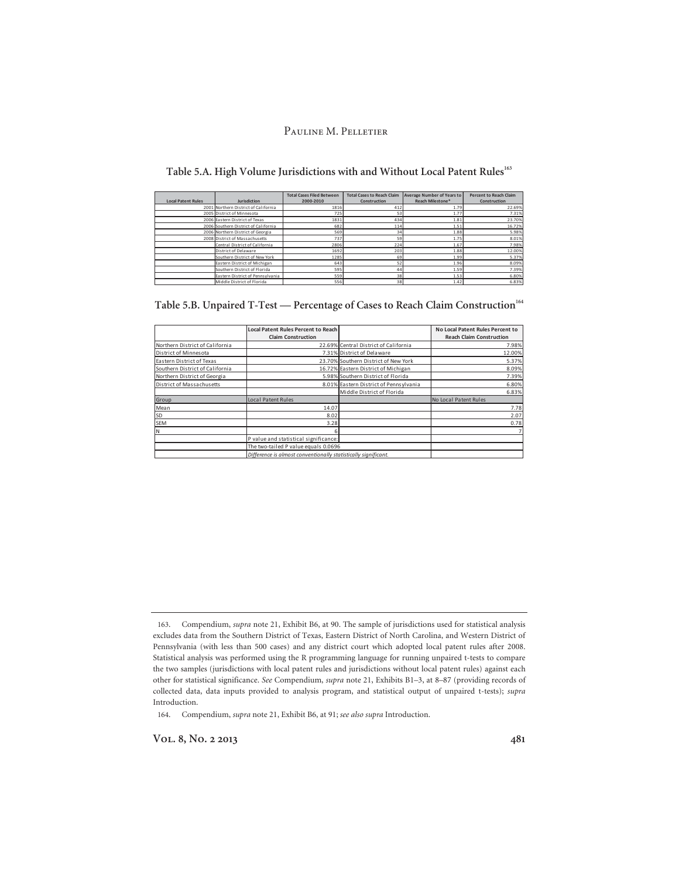|  |  |  |  | Table 5.A. High Volume Jurisdictions with and Without Local Patent Rules <sup>163</sup> |
|--|--|--|--|-----------------------------------------------------------------------------------------|
|--|--|--|--|-----------------------------------------------------------------------------------------|

|                           |                                      | <b>Total Cases Filed Between</b> | <b>Total Cases to Reach Claim</b> | <b>Average Number of Years to</b> | <b>Percent to Reach Claim</b> |
|---------------------------|--------------------------------------|----------------------------------|-----------------------------------|-----------------------------------|-------------------------------|
| <b>Local Patent Rules</b> | <b>Jurisdiction</b>                  | 2000-2010                        | Construction                      | Reach Milestone*                  | Construction                  |
|                           | 2001 Northern District of California | 1816                             | 412                               | 1.79                              | 22.69%                        |
|                           | 2005 District of Minnesota           | 725                              | 53                                | 1.77                              | 7.31%                         |
|                           | 2006 Eastern District of Texas       | 1831                             | 434                               | 1.81                              | 23.70%                        |
|                           | 2006 Southern District of California | 682                              | 114                               | 1.51                              | 16.72%                        |
|                           | 2006 Northern District of Georgia    | 569                              | 34                                | 1.88                              | 5.98%                         |
|                           | 2008 District of Massachusetts       | 737                              | 59                                | 1.75                              | 8.01%                         |
|                           | Central District of California       | 2806                             | 224                               | 1.67                              | 7.98%                         |
|                           | District of Delaware                 | 1692                             | 203                               | 1.88                              | 12.00%                        |
|                           | Southern District of New York        | 1285                             | 69                                | 1.99                              | 5.37%                         |
|                           | Eastern District of Michigan         | 643                              | 52                                | 1.96                              | 8.09%                         |
|                           | Southern District of Florida         | 595                              | 44                                | 1.59                              | 7.39%                         |
|                           | Eastern District of Pennsylvania     | 559                              | 38                                | 1.53                              | 6.80%                         |
|                           | Middle District of Florida           | 556                              | 38                                | 1.42                              | 6.83%                         |

|                                 | Local Patent Rules Percent to Reach<br><b>Claim Construction</b> |                                        | No Local Patent Rules Percent to<br><b>Reach Claim Construction</b> |
|---------------------------------|------------------------------------------------------------------|----------------------------------------|---------------------------------------------------------------------|
| Northern District of California |                                                                  | 22.69% Central District of California  | 7.98%                                                               |
| District of Minnesota           |                                                                  | 7.31% District of Delaware             | 12.00%                                                              |
| Eastern District of Texas       |                                                                  | 23.70% Southern District of New York   | 5.37%                                                               |
| Southern District of California |                                                                  | 16.72% Eastern District of Michigan    | 8.09%                                                               |
| Northern District of Georgia    |                                                                  | 5.98% Southern District of Florida     | 7.39%                                                               |
| District of Massachusetts       |                                                                  | 8.01% Eastern District of Pennsylvania | 6.80%                                                               |
|                                 |                                                                  | Middle District of Florida             | 6.83%                                                               |
| Group                           | Local Patent Rules                                               |                                        | No Local Patent Rules                                               |
| Mean                            | 14.07                                                            |                                        | 7.78                                                                |
| SD                              | 8.02                                                             |                                        | 2.07                                                                |
| SEM                             | 3.28                                                             |                                        | 0.78                                                                |
| İΝ                              |                                                                  |                                        | $\overline{7}$                                                      |
|                                 | P value and statistical significance:                            |                                        |                                                                     |
|                                 | The two-tailed P value equals 0.0696                             |                                        |                                                                     |
|                                 | Difference is almost conventionally statistically significant.   |                                        |                                                                     |

| Table 5.B. Unpaired T-Test — Percentage of Cases to Reach Claim Construction <sup>164</sup> |  |  |
|---------------------------------------------------------------------------------------------|--|--|
|                                                                                             |  |  |

164. Compendium, *supra* note 21, Exhibit B6, at 91; *see also supra* Introduction.

Vol. 8, No. 2 2013 **481** 

<sup>163.</sup> Compendium, *supra* note 21, Exhibit B6, at 90. The sample of jurisdictions used for statistical analysis excludes data from the Southern District of Texas, Eastern District of North Carolina, and Western District of Pennsylvania (with less than 500 cases) and any district court which adopted local patent rules after 2008. Statistical analysis was performed using the R programming language for running unpaired t-tests to compare the two samples (jurisdictions with local patent rules and jurisdictions without local patent rules) against each other for statistical significance. *See* Compendium, *supra* note 21, Exhibits B1–3, at 8–87 (providing records of collected data, data inputs provided to analysis program, and statistical output of unpaired t-tests); *supra* Introduction.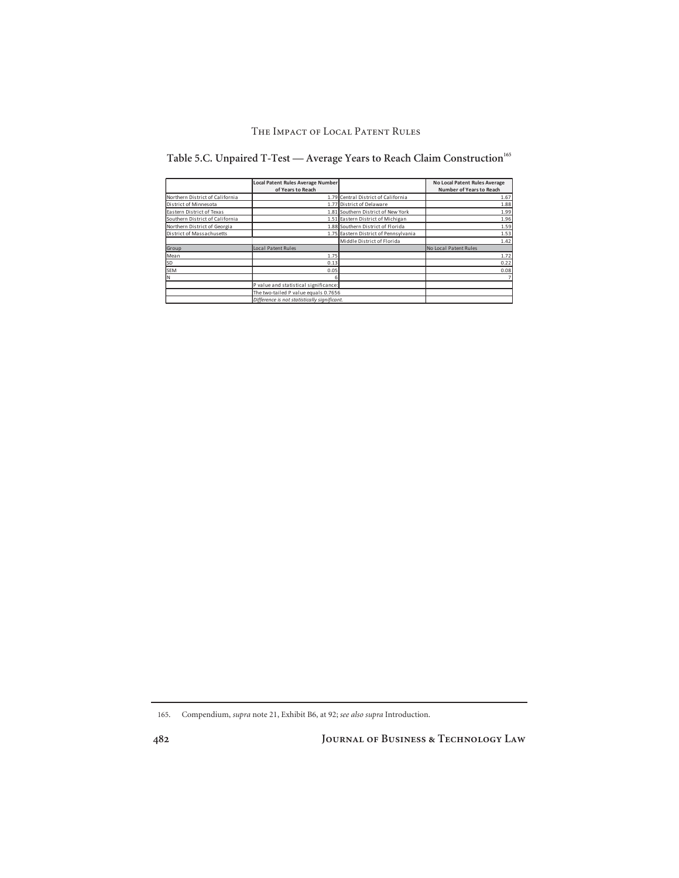|                                 | Local Patent Rules Average Number<br>of Years to Reach |                                       | No Local Patent Rules Average<br><b>Number of Years to Reach</b> |
|---------------------------------|--------------------------------------------------------|---------------------------------------|------------------------------------------------------------------|
| Northern District of California |                                                        | 1.79 Central District of California   | 1.67                                                             |
| District of Minnesota           |                                                        | 1.77 District of Delaware             | 1.88                                                             |
| Eastern District of Texas       |                                                        | 1.81 Southern District of New York    | 1.99                                                             |
| Southern District of California |                                                        | 1.51 Eastern District of Michigan     | 1.96                                                             |
| Northern District of Georgia    |                                                        | 1.88 Southern District of Florida     | 1.59                                                             |
| District of Massachusetts       |                                                        | 1.75 Eastern District of Pennsylvania | 1.53                                                             |
|                                 |                                                        | Middle District of Florida            | 1.42                                                             |
| Group                           | Local Patent Rules                                     |                                       | No Local Patent Rules                                            |
| Mean                            | 1.75                                                   |                                       | 1.72                                                             |
| SD <sup>1</sup>                 | 0.13                                                   |                                       | 0.22                                                             |
| SEM                             | 0.05                                                   |                                       | 0.08                                                             |
| lΝ                              |                                                        |                                       |                                                                  |
|                                 | P value and statistical significance:                  |                                       |                                                                  |
|                                 | The two-tailed P value equals 0.7656                   |                                       |                                                                  |
|                                 | Difference is not statistically sianificant.           |                                       |                                                                  |

Table 5.C. Unpaired T-Test — Average Years to Reach Claim Construction<sup>165</sup>

165. Compendium, *supra* note 21, Exhibit B6, at 92; *see also supra* Introduction.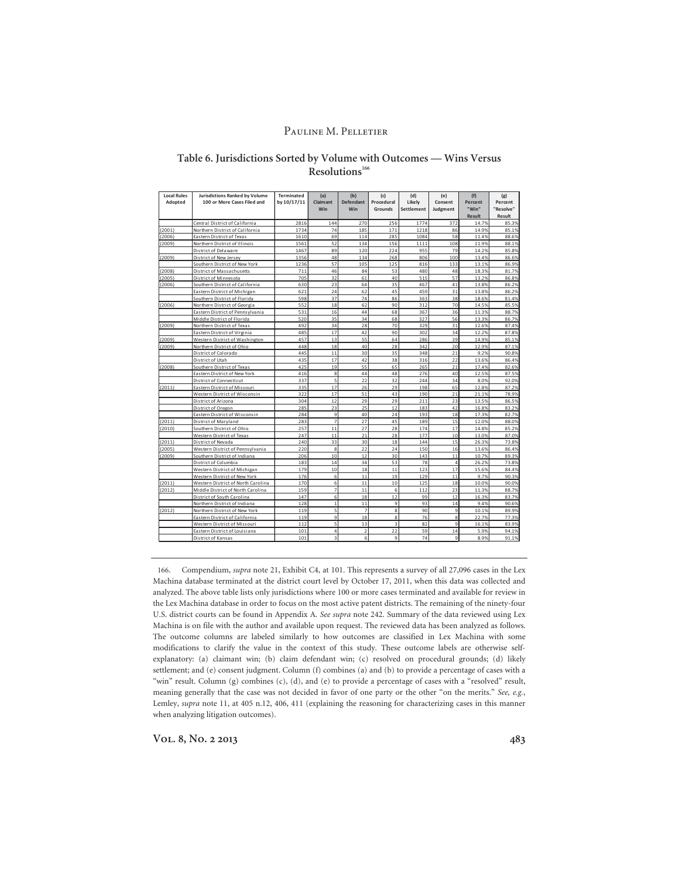### **Table 6. Jurisdictions Sorted by Volume with Outcomes — Wins Versus**  Resolutions<sup>166</sup>

| <b>Local Rules</b> | <b>Jurisdictions Ranked by Volume</b> | Terminated  | (a)                     | (b)                     | (c)                     | (d)        | (e)            | (f)           | (g)       |
|--------------------|---------------------------------------|-------------|-------------------------|-------------------------|-------------------------|------------|----------------|---------------|-----------|
| Adopted            | 100 or More Cases Filed and           | by 10/17/11 | Claimant                | <b>Defendant</b>        | Procedural              | Likely     | Consent        | Percent       | Percent   |
|                    |                                       |             | Win                     | Win                     | Grounds                 | Settlement | Judgment       | "Win"         | "Resolve" |
|                    |                                       |             |                         |                         |                         |            |                | <b>Result</b> | Result    |
|                    | Central District of California        | 2816        | 144                     | 270                     | 256                     | 1774       | 372            | 14.7%         | 85.3%     |
| (2001)             | Northern District of California       | 1734        | 74                      | 185                     | 171                     | 1218       | 86             | 14.9%         | 85.1%     |
| (2006)             | Eastern District of Texas             | 1610        | 69                      | 114                     | 285                     | 1084       | 58             | 11.4%         | 88.6%     |
| (2009)             | Northern District of Illinois         | 1561        | 52                      | 134                     | 156                     | 1111       | 108            | 11.9%         | 88.1%     |
|                    | District of Delaware                  | 1467        | 89                      | 120                     | 224                     | 955        | 79             | 14.2%         | 85.8%     |
| (2009)             | District of New Jersey                | 1356        | 48                      | 134                     | 268                     | 806        | 100            | 13.4%         | 86.6%     |
|                    | Southern District of New York         | 1236        | 57                      | 105                     | 125                     | 816        | 133            | 13.1%         | 86.9%     |
| (2008)             | District of Massachusetts             | 711         | 46                      | 84                      | 53                      | 480        | 48             | 18.3%         | 81.7%     |
| (2005)             | District of Minnesota                 | 705         | 32                      | 61                      | 40                      | 515        | 57             | 13.2%         | 86.8%     |
| (2006)             | Southern District of California       | 630         | 23                      | 64                      | 35                      | 467        | 41             | 13.8%         | 86.2%     |
|                    | Eastern District of Michigan          | 621         | 24                      | 62                      | 45                      | 459        | 31             | 13.8%         | 86.2%     |
|                    | Southern District of Florida          | 598         | 37                      | 74                      | 86                      | 363        | 38             | 18.6%         | 81.4%     |
| (2006)             | Northern District of Georgia          | 552         | 18                      | 62                      | 90                      | 312        | 70             | 14.5%         | 85.5%     |
|                    | Eastern District of Pennsylvania      | 531         | 16                      | 44                      | 68                      | 367        | 36             | 11.3%         | 88.7%     |
|                    | Middle District of Florida            | 520         | 35                      | 34                      | 68                      | 327        | 56             | 13.3%         | 86.7%     |
| (2009)             | Northern District of Texas            | 492         | 34                      | 28                      | 70                      | 329        | 31             | 12.6%         | 87.4%     |
|                    | Eastern District of Virginia          | 485         | 17                      | 42                      | 90                      | 302        | 34             | 12.2%         | 87.8%     |
| (2009)             | Western District of Washington        | 457         | 13                      | 55                      | 64                      | 286        | 39             | 14.9%         | 85.1%     |
| (2009)             | Northern District of Ohio             | 448         | 18                      | 40                      | 28                      | 342        | 20             | 12.9%         | 87.1%     |
|                    | District of Colorado                  | 445         | 11                      | 30                      | 35                      | 348        | 21             | 9.2%          | 90.8%     |
|                    | District of Utah                      | 435         | 17                      | 42                      | 38                      | 316        | 22             | 13.6%         | 86.4%     |
| (2008)             | Southern District of Texas            | 425         | 19                      | 55                      | 65                      | 265        | 21             | 17.4%         | 82.6%     |
|                    | Eastern District of New York          | 416         | 8                       | 44                      | 48                      | 276        | 40             | 12.5%         | 87.5%     |
|                    | District of Connecticut               | 337         | 5                       | 22                      | 32                      | 244        | 34             | 8.0%          | 92.0%     |
| (2011)             | Eastern District of Missouri          | 335         | 17                      | 26                      | 29                      | 198        | 65             | 12.8%         | 87.2%     |
|                    | Western District of Wisconsin         | 322         | 17                      | 51                      | 43                      | 190        | $^{21}$        | 21.1%         | 78.9%     |
|                    | District of Arizona                   | 304         | 12                      | 29                      | 29                      | 211        | 23             | 13.5%         | 86.5%     |
|                    | District of Oregon                    | 285         | 23                      | 25                      | 12                      | 183        | 42             | 16.8%         | 83.2%     |
|                    | Eastern District of Wisconsin         | 284         | 9                       | 40                      | 24                      | 193        | 18             | 17.3%         | 82.7%     |
| (2011)             | District of Maryland                  | 283         | $\overline{7}$          | 27                      | 45                      | 189        | 15             | 12.0%         | 88.0%     |
| (2010)             | Southern District of Ohio             | 257         | 11                      | 27                      | 28                      | 174        | 17             | 14.8%         | 85.2%     |
|                    | Western District of Texas             | 247         | 11                      | 21                      | 28                      | 177        | 10             | 13.0%         | 87.0%     |
| (2011)             | District of Nevada                    | 240         | 33                      | 30                      | 18                      | 144        | 15             | 26.3%         | 73.8%     |
| (2005)             | Western District of Pennsylvania      | 220         | 8                       | 22                      | 24                      | 150        | 16             | 13.6%         | 86.4%     |
| (2009)             | Southern District of Indiana          | 206         | 10                      | 12                      | 30                      | 143        | 11             | 10.7%         | 89.3%     |
|                    | District of Columbia                  | 183         | 14                      | 34                      | 53                      | 78         | $\overline{4}$ | 26.2%         | 73.8%     |
|                    | Western District of Michigan          | 179         | 10                      | 18                      | 11                      | 123        | 17             | 15.6%         | 84.4%     |
|                    | Western District of New York          | 176         | 6                       | 11                      | 19                      | 129        | 11             | 9.7%          | 90.3%     |
| (2011)             | Western District of North Carolina    | 170         | 6                       | 11                      | 10                      | 125        | 18             | 10.0%         | 90.0%     |
| (2012)             | Middle District of North Carolina     | 159         | $\overline{7}$          | 11                      | $\overline{6}$          | 112        | 23             | 11.3%         | 88.7%     |
|                    | District of South Carolina            | 147         | $6\phantom{a}$          | 18                      | 12                      | 99         | 12             | 16.3%         | 83.7%     |
|                    | Northern District of Indiana          | 128         | $\mathbf{1}$            | 11                      | 9                       | 93         | 14             | 9.4%          | 90.6%     |
| (2012)             | Northern District of New York         | 119         | 5                       | $\overline{7}$          | 8                       | 90         | 9              | 10.1%         | 89.9%     |
|                    | Eastern District of California        | 119         | 9                       | 18                      | 8                       | 76         | 8              | 22.7%         | 77.3%     |
|                    | Western District of Missouri          | 112         | 5                       | 13                      | $\overline{\mathbf{3}}$ | 82         | 9              | 16.1%         | 83.9%     |
|                    | Eastern District of Louisiana         | 101         | $\overline{4}$          | $\overline{\mathbf{c}}$ | 22                      | 59         | 14             | 5.9%          | 94.1%     |
|                    | District of Kansas                    | 101         | $\overline{\mathbf{3}}$ | 6                       | 9                       | 74         | 9              | 8.9%          | 91.1%     |

166. Compendium, *supra* note 21, Exhibit C4, at 101. This represents a survey of all 27,096 cases in the Lex Machina database terminated at the district court level by October 17, 2011, when this data was collected and analyzed. The above table lists only jurisdictions where 100 or more cases terminated and available for review in the Lex Machina database in order to focus on the most active patent districts. The remaining of the ninety-four U.S. district courts can be found in Appendix A. *See supra* note 242. Summary of the data reviewed using Lex Machina is on file with the author and available upon request. The reviewed data has been analyzed as follows. The outcome columns are labeled similarly to how outcomes are classified in Lex Machina with some modifications to clarify the value in the context of this study. These outcome labels are otherwise selfexplanatory: (a) claimant win; (b) claim defendant win; (c) resolved on procedural grounds; (d) likely settlement; and (e) consent judgment. Column (f) combines (a) and (b) to provide a percentage of cases with a "win" result. Column (g) combines (c), (d), and (e) to provide a percentage of cases with a "resolved" result, meaning generally that the case was not decided in favor of one party or the other "on the merits." *See, e.g.*, Lemley, *supra* note 11, at 405 n.12, 406, 411 (explaining the reasoning for characterizing cases in this manner when analyzing litigation outcomes).

**Vol. 8, No. 2 2013 483**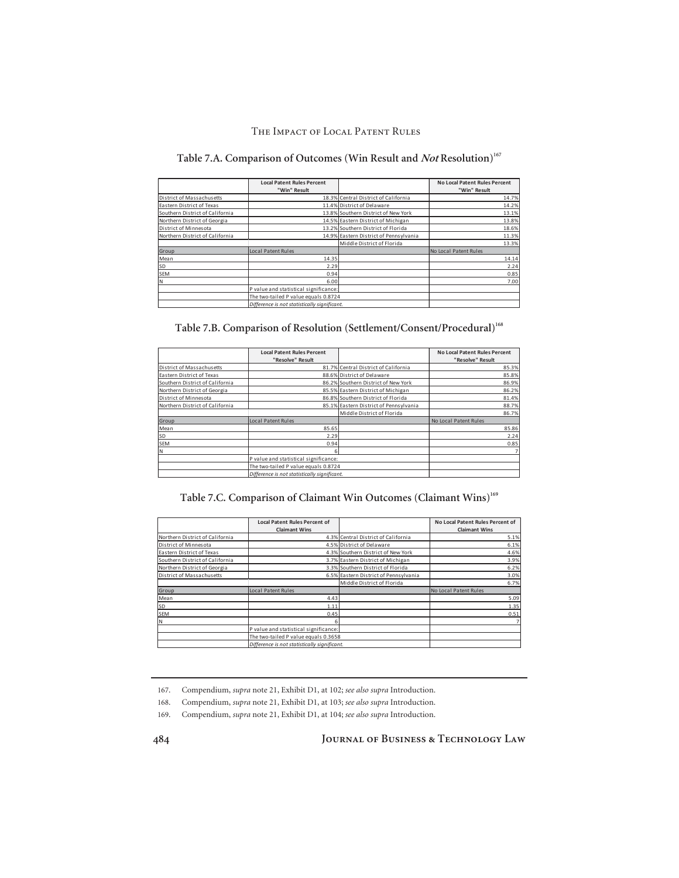# Table 7.A. Comparison of Outcomes (Win Result and *Not* Resolution)<sup>167</sup>

|                                 | <b>Local Patent Rules Percent</b>            |                                        | <b>No Local Patent Rules Percent</b> |
|---------------------------------|----------------------------------------------|----------------------------------------|--------------------------------------|
|                                 | "Win" Result                                 |                                        | "Win" Result                         |
| District of Massachusetts       |                                              | 18.3% Central District of California   | 14.7%                                |
| Eastern District of Texas       |                                              | 11.4% District of Delaware             | 14.2%                                |
| Southern District of California |                                              | 13.8% Southern District of New York    | 13.1%                                |
| Northern District of Georgia    |                                              | 14.5% Eastern District of Michigan     | 13.8%                                |
| District of Minnesota           |                                              | 13.2% Southern District of Florida     | 18.6%                                |
| Northern District of California |                                              | 14.9% Eastern District of Pennsylvania | 11.3%                                |
|                                 |                                              | Middle District of Florida             | 13.3%                                |
| Group                           | Local Patent Rules                           |                                        | No Local Patent Rules                |
| Mean                            | 14.35                                        |                                        | 14.14                                |
| SD                              | 2.29                                         |                                        | 2.24                                 |
| <b>SEM</b>                      | 0.94                                         |                                        | 0.85                                 |
| IΝ                              | 6.00                                         |                                        | 7.00                                 |
|                                 | P value and statistical significance:        |                                        |                                      |
|                                 | The two-tailed P value equals 0.8724         |                                        |                                      |
|                                 | Difference is not statistically sianificant. |                                        |                                      |

Table 7.B. Comparison of Resolution (Settlement/Consent/Procedural)<sup>168</sup>

|                                 | <b>Local Patent Rules Percent</b>            |                                        | <b>No Local Patent Rules Percent</b> |
|---------------------------------|----------------------------------------------|----------------------------------------|--------------------------------------|
|                                 | "Resolve" Result                             |                                        | "Resolve" Result                     |
| District of Massachusetts       |                                              | 81.7% Central District of California   | 85.3%                                |
| Eastern District of Texas       |                                              | 88.6% District of Delaware             | 85.8%                                |
| Southern District of California |                                              | 86.2% Southern District of New York    | 86.9%                                |
| Northern District of Georgia    |                                              | 85.5% Eastern District of Michigan     | 86.2%                                |
| District of Minnesota           |                                              | 86.8% Southern District of Florida     | 81.4%                                |
| Northern District of California |                                              | 85.1% Eastern District of Pennsylvania | 88.7%                                |
|                                 |                                              | Middle District of Florida             | 86.7%                                |
| Group                           | Local Patent Rules                           |                                        | No Local Patent Rules                |
| Mean                            | 85.65                                        |                                        | 85.86                                |
| <b>SD</b>                       | 2.29                                         |                                        | 2.24                                 |
| SEM                             | 0.94                                         |                                        | 0.85                                 |
| lΝ                              | 6                                            |                                        |                                      |
|                                 | P value and statistical significance:        |                                        |                                      |
|                                 | The two-tailed P value equals 0.8724         |                                        |                                      |
|                                 | Difference is not statistically sianificant. |                                        |                                      |

Table 7.C. Comparison of Claimant Win Outcomes (Claimant Wins)<sup>169</sup>

|                                 | <b>Local Patent Rules Percent of</b>         |                                       | No Local Patent Rules Percent of |
|---------------------------------|----------------------------------------------|---------------------------------------|----------------------------------|
|                                 | <b>Claimant Wins</b>                         |                                       | <b>Claimant Wins</b>             |
| Northern District of California |                                              | 4.3% Central District of California   | 5.1%                             |
| District of Minnesota           |                                              | 4.5% District of Delaware             | 6.1%                             |
| Eastern District of Texas       |                                              | 4.3% Southern District of New York    | 4.6%                             |
| Southern District of California |                                              | 3.7% Eastern District of Michigan     | 3.9%                             |
| Northern District of Georgia    |                                              | 3.3% Southern District of Florida     | 6.2%                             |
| District of Massachusetts       |                                              | 6.5% Eastern District of Pennsylvania | 3.0%                             |
|                                 |                                              | Middle District of Florida            | 6.7%                             |
| Group                           | <b>Local Patent Rules</b>                    |                                       | No Local Patent Rules            |
| Mean                            | 4.43                                         |                                       | 5.09                             |
| <b>SD</b>                       | 1.11                                         |                                       | 1.35                             |
| SEM                             | 0.45                                         |                                       | 0.51                             |
| IN.                             |                                              |                                       |                                  |
|                                 | P value and statistical significance:        |                                       |                                  |
|                                 | The two-tailed P value equals 0.3658         |                                       |                                  |
|                                 | Difference is not statistically significant. |                                       |                                  |

167. Compendium, *supra* note 21, Exhibit D1, at 102; *see also supra* Introduction.

168. Compendium, *supra* note 21, Exhibit D1, at 103; *see also supra* Introduction.

169. Compendium, *supra* note 21, Exhibit D1, at 104; *see also supra* Introduction.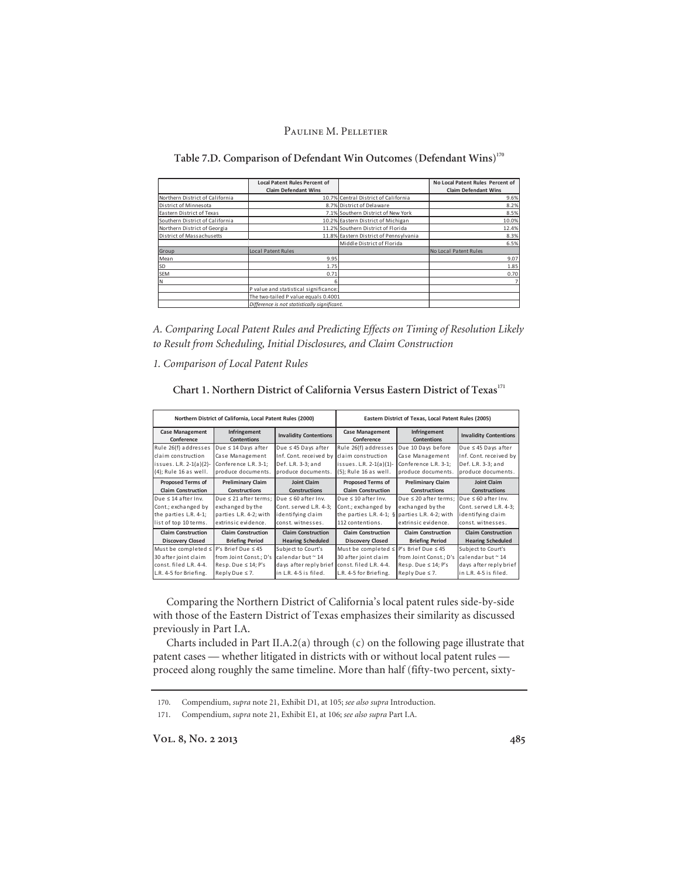**Table 7.D. Comparison of Defendant Win Outcomes (Defendant Wins)170**

|                                 | <b>Local Patent Rules Percent of</b>         |                                        | No Local Patent Rules Percent of |
|---------------------------------|----------------------------------------------|----------------------------------------|----------------------------------|
|                                 | <b>Claim Defendant Wins</b>                  |                                        | <b>Claim Defendant Wins</b>      |
| Northern District of California |                                              | 10.7% Central District of California   | 9.6%                             |
| District of Minnesota           |                                              | 8.7% District of Delaware              | 8.2%                             |
| Eastern District of Texas       |                                              | 7.1% Southern District of New York     | 8.5%                             |
| Southern District of California |                                              | 10.2% Eastern District of Michigan     | 10.0%                            |
| Northern District of Georgia    |                                              | 11.2% Southern District of Florida     | 12.4%                            |
| District of Massachusetts       |                                              | 11.8% Eastern District of Pennsylvania | 8.3%                             |
|                                 |                                              | Middle District of Florida             | 6.5%                             |
| Group                           | <b>Local Patent Rules</b>                    |                                        | No Local Patent Rules            |
| Mean                            | 9.95                                         |                                        | 9.07                             |
| SD                              | 1.75                                         |                                        | 1.85                             |
| <b>SEM</b>                      | 0.71                                         |                                        | 0.70                             |
| N                               |                                              |                                        | $\overline{7}$                   |
|                                 | P value and statistical significance:        |                                        |                                  |
|                                 | The two-tailed P value equals 0.4001         |                                        |                                  |
|                                 | Difference is not statistically sianificant. |                                        |                                  |

*A. Comparing Local Patent Rules and Predicting Effects on Timing of Resolution Likely to Result from Scheduling, Initial Disclosures, and Claim Construction*

*1. Comparison of Local Patent Rules* 

**Chart 1. Northern District of California Versus Eastern District of Texas<sup>171</sup>**

| Northern District of California, Local Patent Rules (2000) |                                    | Eastern District of Texas, Local Patent Rules (2005) |                                                   |                                    |                               |
|------------------------------------------------------------|------------------------------------|------------------------------------------------------|---------------------------------------------------|------------------------------------|-------------------------------|
| <b>Case Management</b><br>Conference                       | Infringement<br><b>Contentions</b> | <b>Invalidity Contentions</b>                        | <b>Case Management</b><br>Conference              | Infringement<br><b>Contentions</b> | <b>Invalidity Contentions</b> |
| Rule 26(f) addresses                                       | Due ≤ 14 Days after                | Due ≤ 45 Days after                                  | Rule 26(f) addresses                              | Due 10 Days before                 | Due ≤ 45 Days after           |
| lclaim construction                                        | Case Management                    | Inf. Cont. received by                               | claim construction                                | Case Management                    | Inf. Cont. received by        |
| issues. L.R. 2-1(a)(2)-                                    | Conference L.R. 3-1;               | Def. L.R. 3-3; and                                   | issues. L.R. 2-1(a)(1)-                           | Conference L.R. 3-1;               | Def. L.R. 3-3; and            |
| (4); Rule 16 as well.                                      | produce documents.                 | produce documents.                                   | (5); Rule 16 as well.                             | produce documents.                 | produce documents.            |
| <b>Proposed Terms of</b>                                   | <b>Preliminary Claim</b>           | <b>Joint Claim</b>                                   | <b>Proposed Terms of</b>                          | <b>Preliminary Claim</b>           | <b>Joint Claim</b>            |
| <b>Claim Construction</b>                                  | <b>Constructions</b>               | <b>Constructions</b>                                 | <b>Claim Construction</b>                         | <b>Constructions</b>               | <b>Constructions</b>          |
| lDue ≤ 14 after Inv.                                       | Due $\leq$ 21 after terms:         | Due $\leq 60$ after Inv.                             | Due $\leq 10$ after Inv.                          | Due $\leq 20$ after terms;         | Due $\leq 60$ after Inv.      |
| Cont.; exchanged by                                        | exchanged by the                   | Cont. served L.R. 4-3:                               | Cont.; exchanged by                               | exchanged by the                   | Cont. served L.R. 4-3:        |
| the parties L.R. 4-1;                                      | parties L.R. 4-2; with             | identifying claim                                    | the parties L.R. 4-1; $\S$ parties L.R. 4-2; with |                                    | identifying claim             |
| list of top 10 terms.                                      | extrinsic evidence.                | const. witnesses.                                    | 112 contentions.                                  | extrinsic evidence.                | const. witnesses.             |
| <b>Claim Construction</b>                                  | <b>Claim Construction</b>          | <b>Claim Construction</b>                            | <b>Claim Construction</b>                         | <b>Claim Construction</b>          | <b>Claim Construction</b>     |
| <b>Discovery Closed</b>                                    | <b>Briefing Period</b>             | <b>Hearing Scheduled</b>                             | <b>Discovery Closed</b>                           | <b>Briefing Period</b>             | <b>Hearing Scheduled</b>      |
| Must be completed ≤                                        | $P's Brief Due \leq 45$            | Subject to Court's                                   | Must be completed ≤                               | P's Brief Due < 45                 | Subject to Court's            |
| 30 after joint claim                                       | from Joint Const.; D's             | calendar but ~ 14                                    | 30 after joint claim                              | from Joint Const.; D's             | calendar but ~ 14             |
| const. filed L.R. 4-4.                                     | $Resp. Due \leq 14; P's$           | days after reply brief                               | const. filed L.R. 4-4.                            | Resp. Due $\leq 14$ ; P's          | days after reply brief        |
| L.R. 4-5 for Briefing.                                     | Reply Due $\leq 7$ .               | lin L.R. 4-5 is filed.                               | L.R. 4-5 for Briefing.                            | Reply Due $\leq 7$ .               | lin L.R. 4-5 is filed.        |

Comparing the Northern District of California's local patent rules side-by-side with those of the Eastern District of Texas emphasizes their similarity as discussed previously in Part I.A.

Charts included in Part II.A.2(a) through (c) on the following page illustrate that patent cases — whether litigated in districts with or without local patent rules proceed along roughly the same timeline. More than half (fifty-two percent, sixty-

<sup>170.</sup> Compendium, *supra* note 21, Exhibit D1, at 105; *see also supra* Introduction.

<sup>171.</sup> Compendium, *supra* note 21, Exhibit E1, at 106; *see also supra* Part I.A.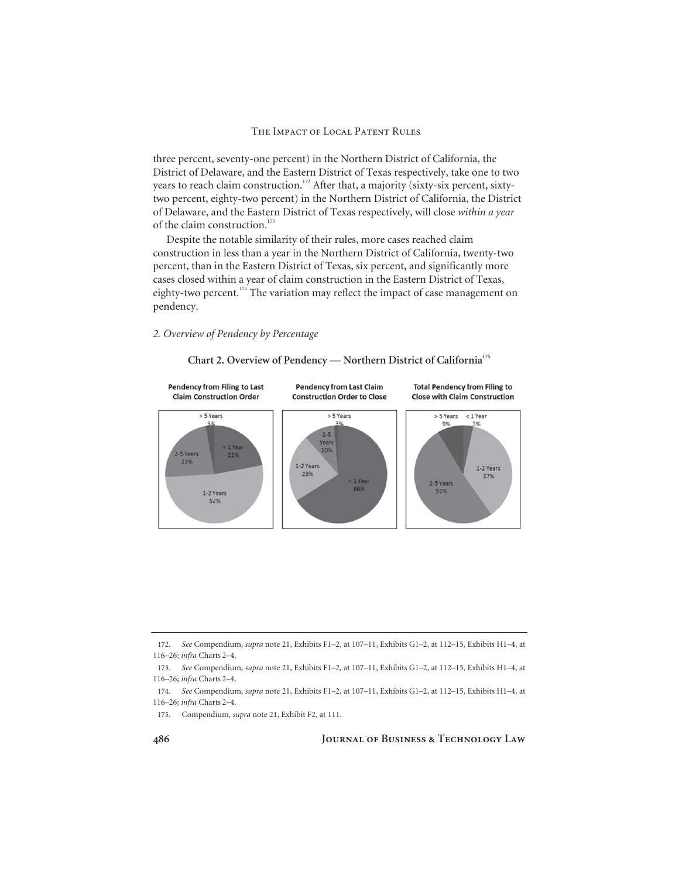three percent, seventy-one percent) in the Northern District of California, the District of Delaware, and the Eastern District of Texas respectively, take one to two years to reach claim construction.<sup>172</sup> After that, a majority (sixty-six percent, sixtytwo percent, eighty-two percent) in the Northern District of California, the District of Delaware, and the Eastern District of Texas respectively, will close *within a year* of the claim construction.<sup>173</sup>

Despite the notable similarity of their rules, more cases reached claim construction in less than a year in the Northern District of California, twenty-two percent, than in the Eastern District of Texas, six percent, and significantly more cases closed within a year of claim construction in the Eastern District of Texas, eighty-two percent.<sup>174</sup> The variation may reflect the impact of case management on pendency.

### *2. Overview of Pendency by Percentage*



### **Chart 2. Overview of Pendency — Northern District of California175**

<sup>172.</sup> *See* Compendium, *supra* note 21, Exhibits F1–2, at 107–11, Exhibits G1–2, at 112–15, Exhibits H1–4, at 116–26; *infra* Charts 2–4.

<sup>173.</sup> *See* Compendium, *supra* note 21, Exhibits F1–2, at 107–11, Exhibits G1–2, at 112–15, Exhibits H1–4, at 116–26; *infra* Charts 2–4.

<sup>174.</sup> *See* Compendium, *supra* note 21, Exhibits F1–2, at 107–11, Exhibits G1–2, at 112–15, Exhibits H1–4, at 116–26; *infra* Charts 2–4.

<sup>175.</sup> Compendium, *supra* note 21, Exhibit F2, at 111.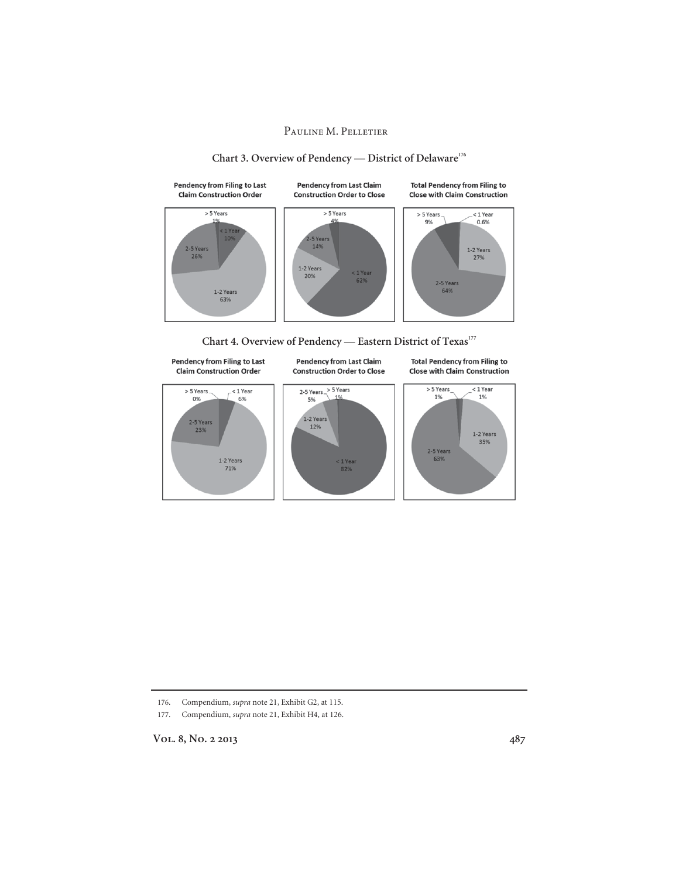

## Chart 3. Overview of Pendency — District of Delaware<sup>176</sup>





176. Compendium, *supra* note 21, Exhibit G2, at 115.

177. Compendium, *supra* note 21, Exhibit H4, at 126.

Vol. 8, No. 2 2013 **487**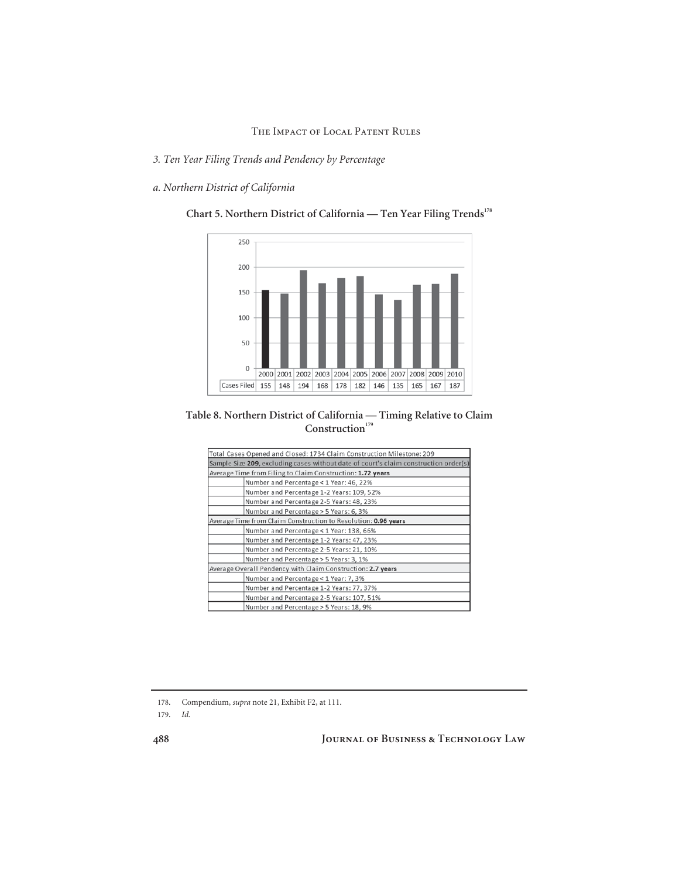- *3. Ten Year Filing Trends and Pendency by Percentage*
- *a. Northern District of California*



Chart 5. Northern District of California — Ten Year Filing Trends<sup>178</sup>

### **Table 8. Northern District of California — Timing Relative to Claim**  Construction<sup>179</sup>

| Total Cases Opened and Closed: 1734 Claim Construction Milestone: 209                |  |  |  |  |  |
|--------------------------------------------------------------------------------------|--|--|--|--|--|
| Sample Size 209, excluding cases without date of court's claim construction order(s) |  |  |  |  |  |
| Average Time from Filing to Claim Construction: 1.72 years                           |  |  |  |  |  |
| Number and Percentage < 1 Year: 46, 22%                                              |  |  |  |  |  |
| Number and Percentage 1-2 Years: 109, 52%                                            |  |  |  |  |  |
| Number and Percentage 2-5 Years: 48, 23%                                             |  |  |  |  |  |
| Number and Percentage > 5 Years: 6, 3%                                               |  |  |  |  |  |
| Average Time from Claim Construction to Resolution: 0.96 years                       |  |  |  |  |  |
| Number and Percentage < 1 Year: 138, 66%                                             |  |  |  |  |  |
| Number and Percentage 1-2 Years: 47, 23%                                             |  |  |  |  |  |
| Number and Percentage 2-5 Years: 21, 10%                                             |  |  |  |  |  |
| Number and Percentage > 5 Years: 3, 1%                                               |  |  |  |  |  |
| Average Overall Pendency with Claim Construction: 2.7 years                          |  |  |  |  |  |
| Number and Percentage < 1 Year: 7, 3%                                                |  |  |  |  |  |
| Number and Percentage 1-2 Years: 77, 37%                                             |  |  |  |  |  |
| Number and Percentage 2-5 Years: 107, 51%                                            |  |  |  |  |  |
| Number and Percentage > 5 Years: 18, 9%                                              |  |  |  |  |  |

178. Compendium, *supra* note 21, Exhibit F2, at 111.

179. *Id.*

**488 Journal of Business & Technology Law**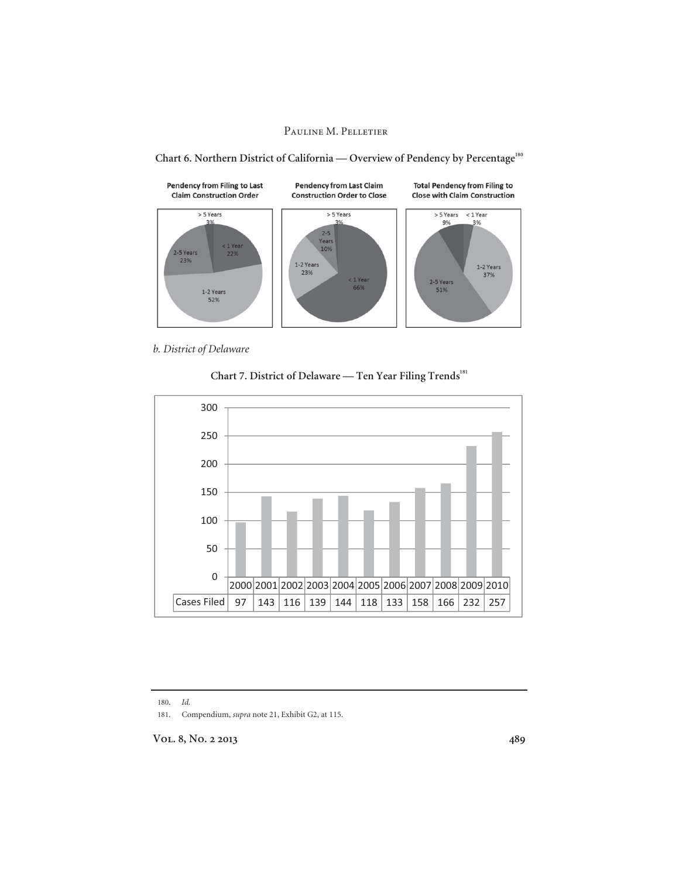

Chart 6. Northern District of California — Overview of Pendency by Percentage<sup>180</sup>

*b. District of Delaware* 





180. *Id.*

181. Compendium, *supra* note 21, Exhibit G2, at 115.

**Vol. 8, No. 2 2013 489**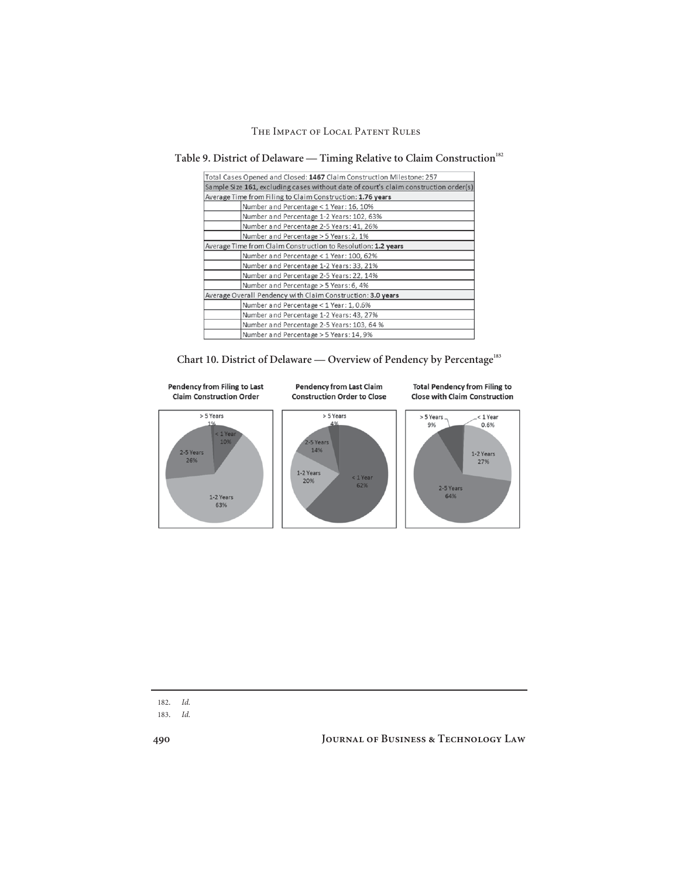| Total Cases Opened and Closed: 1467 Claim Construction Milestone: 257                |  |
|--------------------------------------------------------------------------------------|--|
| Sample Size 161, excluding cases without date of court's claim construction order(s) |  |
| Average Time from Filing to Claim Construction: 1.76 years                           |  |
| Number and Percentage < 1 Year: 16, 10%                                              |  |
| Number and Percentage 1-2 Years: 102, 63%                                            |  |
| Number and Percentage 2-5 Years: 41, 26%                                             |  |
| Number and Percentage > 5 Years: 2, 1%                                               |  |
| Average Time from Claim Construction to Resolution: 1.2 years                        |  |
| Number and Percentage < 1 Year: 100, 62%                                             |  |
| Number and Percentage 1-2 Years: 33, 21%                                             |  |
| Number and Percentage 2-5 Years: 22, 14%                                             |  |
| Number and Percentage > 5 Years: 6, 4%                                               |  |
| Average Overall Pendency with Claim Construction: 3.0 years                          |  |
| Number and Percentage < 1 Year: 1, 0.6%                                              |  |
| Number and Percentage 1-2 Years: 43, 27%                                             |  |
| Number and Percentage 2-5 Years: 103, 64 %                                           |  |
| Number and Percentage > 5 Years: 14, 9%                                              |  |

Table 9. District of Delaware — Timing Relative to Claim Construction<sup>182</sup>

Chart 10. District of Delaware — Overview of Pendency by Percentage<sup>183</sup>



| o m<br>$\sim$ |  |
|---------------|--|
|               |  |

183. *Id.*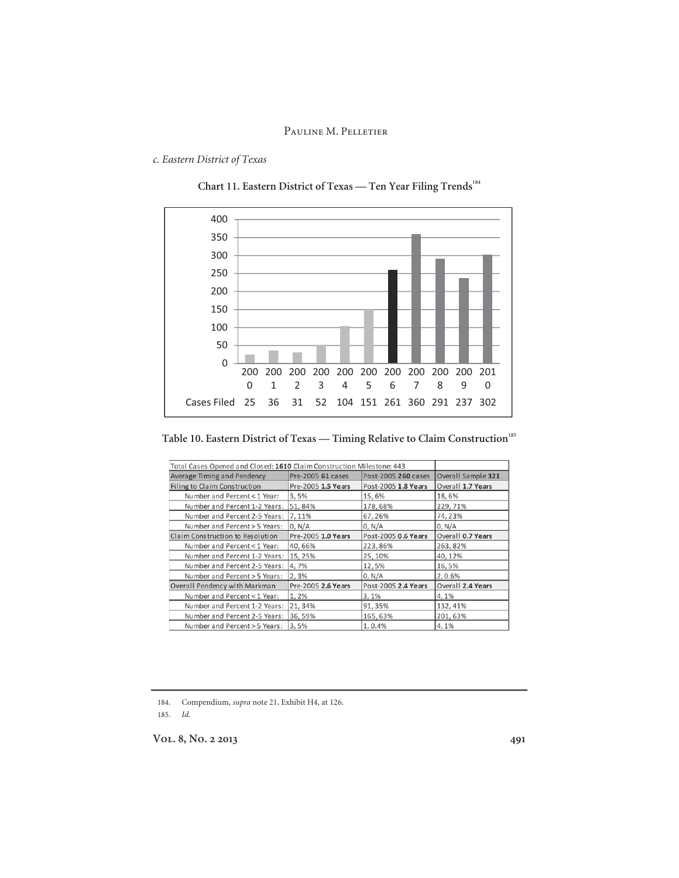### *c. Eastern District of Texas*





**Table 10. Eastern District of Texas — Timing Relative to Claim Construction<sup>185</sup>**

| Total Cases Opened and Closed: 1610 Claim Construction Milestone: 443 |                    |                     |                    |  |  |  |  |
|-----------------------------------------------------------------------|--------------------|---------------------|--------------------|--|--|--|--|
| Average Timing and Pendency                                           | Pre-2005 61 cases  | Post-2005 260 cases | Overall Sample 321 |  |  |  |  |
| Filing to Claim Construction                                          | Pre-2005 1.5 Years | Post-2005 1.8 Years | Overall 1.7 Years  |  |  |  |  |
| Number and Percent < 1 Year:                                          | 3,5%               | 15,6%               | 18,6%              |  |  |  |  |
| Number and Percent 1-2 Years:                                         | 51,84%             | 178,68%             | 229, 71%           |  |  |  |  |
| Number and Percent 2-5 Years:                                         | 7,11%              | 67,26%              | 74,23%             |  |  |  |  |
| Number and Percent > 5 Years:                                         | 0. N/A             | 0, N/A              | 0, N/A             |  |  |  |  |
| Claim Construction to Resolution                                      | Pre-2005 1.0 Years | Post-2005 0.6 Years | Overall 0.7 Years  |  |  |  |  |
| Number and Percent < 1 Year:                                          | 40.66%             | 223,86%             | 263, 82%           |  |  |  |  |
| Number and Percent 1-2 Years:                                         | 15, 25%            | 25,10%              | 40,12%             |  |  |  |  |
| Number and Percent 2-5 Years:                                         | 4,7%               | 12,5%               | 16,5%              |  |  |  |  |
| Number and Percent > 5 Years:                                         | 2.3%               | 0. N/A              | 2.0.6%             |  |  |  |  |
| Overall Pendency with Markman                                         | Pre-2005 2.6 Years | Post-2005 2.4 Years | Overall 2.4 Years  |  |  |  |  |
| Number and Percent < 1 Year:                                          | 1.2%               | 3.1%                | 4.1%               |  |  |  |  |
| Number and Percent 1-2 Years:                                         | 21, 34%            | 91,35%              | 132, 41%           |  |  |  |  |
| Number and Percent 2-5 Years:                                         | 36,59%             | 165.63%             | 201.63%            |  |  |  |  |
| Number and Percent > 5 Years:                                         | 3,5%               | 1,0.4%              | 4,1%               |  |  |  |  |

184. Compendium, *supra* note 21, Exhibit H4, at 126.

185. *Id.*

**Vol. 8, No. 2 2013 491**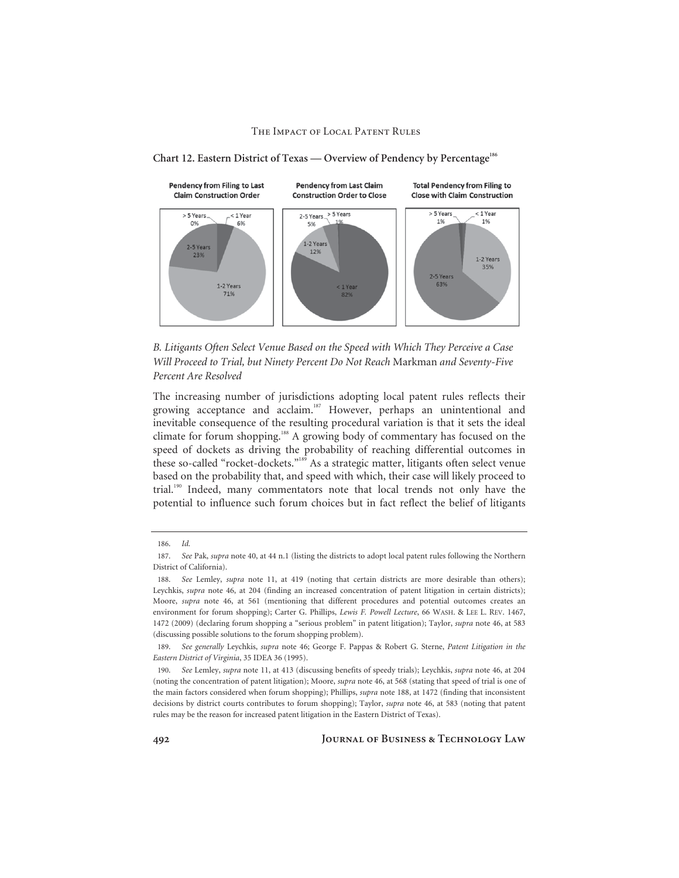

**Chart 12. Eastern District of Texas — Overview of Pendency by Percentage<sup>186</sup>**

*B. Litigants Often Select Venue Based on the Speed with Which They Perceive a Case Will Proceed to Trial, but Ninety Percent Do Not Reach* Markman *and Seventy-Five Percent Are Resolved* 

The increasing number of jurisdictions adopting local patent rules reflects their growing acceptance and acclaim.<sup>187</sup> However, perhaps an unintentional and inevitable consequence of the resulting procedural variation is that it sets the ideal climate for forum shopping.188 A growing body of commentary has focused on the speed of dockets as driving the probability of reaching differential outcomes in these so-called "rocket-dockets."189 As a strategic matter, litigants often select venue based on the probability that, and speed with which, their case will likely proceed to trial.190 Indeed, many commentators note that local trends not only have the potential to influence such forum choices but in fact reflect the belief of litigants

<sup>186.</sup> *Id.*

<sup>187.</sup> *See* Pak, *supra* note 40, at 44 n.1 (listing the districts to adopt local patent rules following the Northern District of California).

<sup>188.</sup> *See* Lemley, *supra* note 11, at 419 (noting that certain districts are more desirable than others); Leychkis, *supra* note 46, at 204 (finding an increased concentration of patent litigation in certain districts); Moore, *supra* note 46, at 561 (mentioning that different procedures and potential outcomes creates an environment for forum shopping); Carter G. Phillips, *Lewis F. Powell Lecture*, 66 WASH. & LEE L. REV. 1467, 1472 (2009) (declaring forum shopping a "serious problem" in patent litigation); Taylor, *supra* note 46, at 583 (discussing possible solutions to the forum shopping problem).

<sup>189.</sup> *See generally* Leychkis, *supra* note 46; George F. Pappas & Robert G. Sterne, *Patent Litigation in the Eastern District of Virginia*, 35 IDEA 36 (1995).

<sup>190.</sup> *See* Lemley, *supra* note 11, at 413 (discussing benefits of speedy trials); Leychkis, *supra* note 46, at 204 (noting the concentration of patent litigation); Moore, *supra* note 46, at 568 (stating that speed of trial is one of the main factors considered when forum shopping); Phillips, *supra* note 188, at 1472 (finding that inconsistent decisions by district courts contributes to forum shopping); Taylor, *supra* note 46, at 583 (noting that patent rules may be the reason for increased patent litigation in the Eastern District of Texas).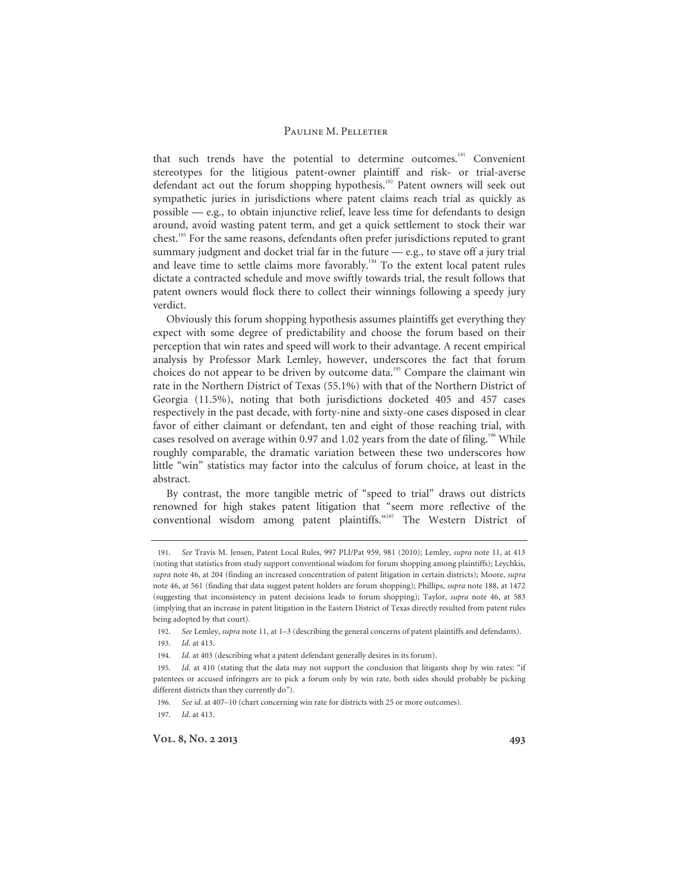that such trends have the potential to determine outcomes.<sup>191</sup> Convenient stereotypes for the litigious patent-owner plaintiff and risk- or trial-averse defendant act out the forum shopping hypothesis.<sup>192</sup> Patent owners will seek out sympathetic juries in jurisdictions where patent claims reach trial as quickly as possible — e.g., to obtain injunctive relief, leave less time for defendants to design around, avoid wasting patent term, and get a quick settlement to stock their war chest.<sup>193</sup> For the same reasons, defendants often prefer jurisdictions reputed to grant summary judgment and docket trial far in the future — e.g., to stave off a jury trial and leave time to settle claims more favorably.<sup>194</sup> To the extent local patent rules dictate a contracted schedule and move swiftly towards trial, the result follows that patent owners would flock there to collect their winnings following a speedy jury verdict.

Obviously this forum shopping hypothesis assumes plaintiffs get everything they expect with some degree of predictability and choose the forum based on their perception that win rates and speed will work to their advantage. A recent empirical analysis by Professor Mark Lemley, however, underscores the fact that forum choices do not appear to be driven by outcome data.<sup>195</sup> Compare the claimant win rate in the Northern District of Texas (55.1%) with that of the Northern District of Georgia (11.5%), noting that both jurisdictions docketed 405 and 457 cases respectively in the past decade, with forty-nine and sixty-one cases disposed in clear favor of either claimant or defendant, ten and eight of those reaching trial, with cases resolved on average within 0.97 and 1.02 years from the date of filing.<sup>196</sup> While roughly comparable, the dramatic variation between these two underscores how little "win" statistics may factor into the calculus of forum choice, at least in the abstract.

By contrast, the more tangible metric of "speed to trial" draws out districts renowned for high stakes patent litigation that "seem more reflective of the conventional wisdom among patent plaintiffs."<sup>197</sup> The Western District of

Vol. 8, No. 2 2013 **493** 

<sup>191.</sup> *See* Travis M. Jensen, Patent Local Rules, 997 PLI/Pat 959, 981 (2010); Lemley, *supra* note 11, at 413 (noting that statistics from study support conventional wisdom for forum shopping among plaintiffs); Leychkis, *supra* note 46, at 204 (finding an increased concentration of patent litigation in certain districts); Moore, *supra* note 46, at 561 (finding that data suggest patent holders are forum shopping); Phillips, *supra* note 188, at 1472 (suggesting that inconsistency in patent decisions leads to forum shopping); Taylor, *supra* note 46, at 583 (implying that an increase in patent litigation in the Eastern District of Texas directly resulted from patent rules being adopted by that court).

<sup>192.</sup> *See* Lemley, *supra* note 11, at 1–3 (describing the general concerns of patent plaintiffs and defendants).

<sup>193.</sup> *Id.* at 413.

<sup>194.</sup> *Id.* at 403 (describing what a patent defendant generally desires in its forum).

<sup>195.</sup> *Id.* at 410 (stating that the data may not support the conclusion that litigants shop by win rates: "if patentees or accused infringers are to pick a forum only by win rate, both sides should probably be picking different districts than they currently do").

<sup>196.</sup> *See id*. at 407–10 (chart concerning win rate for districts with 25 or more outcomes).

<sup>197.</sup> *Id*. at 413.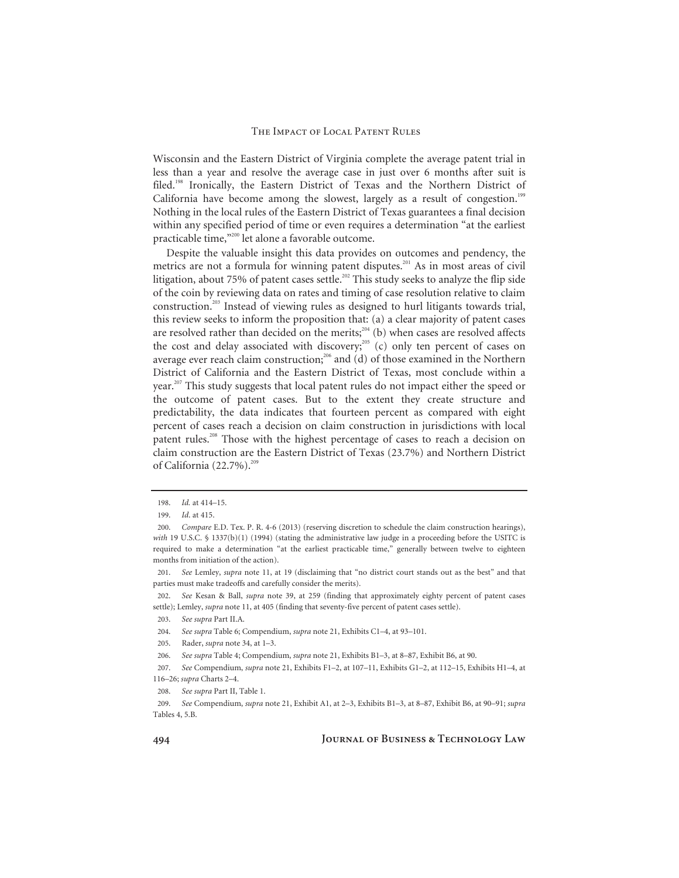Wisconsin and the Eastern District of Virginia complete the average patent trial in less than a year and resolve the average case in just over 6 months after suit is filed.<sup>198</sup> Ironically, the Eastern District of Texas and the Northern District of California have become among the slowest, largely as a result of congestion.<sup>199</sup> Nothing in the local rules of the Eastern District of Texas guarantees a final decision within any specified period of time or even requires a determination "at the earliest practicable time,"200 let alone a favorable outcome.

Despite the valuable insight this data provides on outcomes and pendency, the metrics are not a formula for winning patent disputes.<sup>201</sup> As in most areas of civil litigation, about 75% of patent cases settle.<sup>202</sup> This study seeks to analyze the flip side of the coin by reviewing data on rates and timing of case resolution relative to claim construction.203 Instead of viewing rules as designed to hurl litigants towards trial, this review seeks to inform the proposition that: (a) a clear majority of patent cases are resolved rather than decided on the merits;<sup>204</sup> (b) when cases are resolved affects the cost and delay associated with discovery;<sup>205</sup> (c) only ten percent of cases on average ever reach claim construction;<sup>206</sup> and (d) of those examined in the Northern District of California and the Eastern District of Texas, most conclude within a year.<sup>207</sup> This study suggests that local patent rules do not impact either the speed or the outcome of patent cases. But to the extent they create structure and predictability, the data indicates that fourteen percent as compared with eight percent of cases reach a decision on claim construction in jurisdictions with local patent rules.<sup>208</sup> Those with the highest percentage of cases to reach a decision on claim construction are the Eastern District of Texas (23.7%) and Northern District of California  $(22.7\%)$ .<sup>209</sup>

<sup>198.</sup> *Id.* at 414–15.

<sup>199.</sup> *Id*. at 415.

<sup>200.</sup> *Compare* E.D. Tex. P. R. 4-6 (2013) (reserving discretion to schedule the claim construction hearings), *with* 19 U.S.C. § 1337(b)(1) (1994) (stating the administrative law judge in a proceeding before the USITC is required to make a determination "at the earliest practicable time," generally between twelve to eighteen months from initiation of the action).

<sup>201.</sup> *See* Lemley, *supra* note 11, at 19 (disclaiming that "no district court stands out as the best" and that parties must make tradeoffs and carefully consider the merits).

<sup>202.</sup> *See* Kesan & Ball, *supra* note 39, at 259 (finding that approximately eighty percent of patent cases settle); Lemley, *supra* note 11, at 405 (finding that seventy-five percent of patent cases settle).

<sup>203.</sup> *See supra* Part II.A.

<sup>204.</sup> *See supra* Table 6; Compendium, *supra* note 21, Exhibits C1–4, at 93–101.

<sup>205.</sup> Rader, *supra* note 34, at 1–3.

<sup>206.</sup> *See supra* Table 4; Compendium, *supra* note 21, Exhibits B1–3, at 8–87, Exhibit B6, at 90.

<sup>207.</sup> *See* Compendium, *supra* note 21, Exhibits F1–2, at 107–11, Exhibits G1–2, at 112–15, Exhibits H1–4, at 116–26; *supra* Charts 2–4.

<sup>208.</sup> *See supra* Part II, Table 1.

<sup>209.</sup> *See* Compendium, *supra* note 21, Exhibit A1, at 2–3, Exhibits B1–3, at 8–87, Exhibit B6, at 90–91; *supra* Tables 4, 5.B.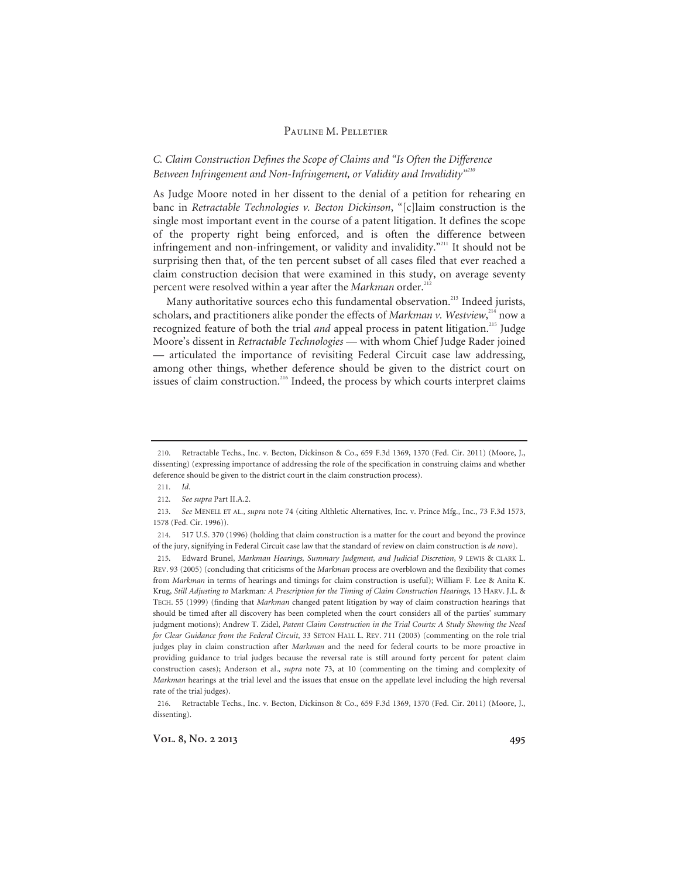### *C. Claim Construction Defines the Scope of Claims and "Is Often the Difference Between Infringement and Non-Infringement, or Validity and Invalidity"<sup>210</sup>*

As Judge Moore noted in her dissent to the denial of a petition for rehearing en banc in *Retractable Technologies v. Becton Dickinson*, "[c]laim construction is the single most important event in the course of a patent litigation. It defines the scope of the property right being enforced, and is often the difference between infringement and non-infringement, or validity and invalidity."211 It should not be surprising then that, of the ten percent subset of all cases filed that ever reached a claim construction decision that were examined in this study, on average seventy percent were resolved within a year after the *Markman* order.<sup>21</sup>

Many authoritative sources echo this fundamental observation.<sup>213</sup> Indeed jurists, scholars, and practitioners alike ponder the effects of *Markman v*. Westview,<sup>214</sup> now a recognized feature of both the trial *and* appeal process in patent litigation.<sup>215</sup> Judge Moore's dissent in *Retractable Technologies* — with whom Chief Judge Rader joined — articulated the importance of revisiting Federal Circuit case law addressing, among other things, whether deference should be given to the district court on issues of claim construction.<sup>216</sup> Indeed, the process by which courts interpret claims

Vol. 8, No. 2 2013 **495** 

<sup>210.</sup> Retractable Techs., Inc. v. Becton, Dickinson & Co., 659 F.3d 1369, 1370 (Fed. Cir. 2011) (Moore, J., dissenting) (expressing importance of addressing the role of the specification in construing claims and whether deference should be given to the district court in the claim construction process).

<sup>211.</sup> *Id*.

<sup>212.</sup> *See supra* Part II.A.2.

<sup>213.</sup> *See* MENELL ET AL., *supra* note 74 (citing Althletic Alternatives, Inc. v. Prince Mfg., Inc., 73 F.3d 1573, 1578 (Fed. Cir. 1996)).

<sup>214. 517</sup> U.S. 370 (1996) (holding that claim construction is a matter for the court and beyond the province of the jury, signifying in Federal Circuit case law that the standard of review on claim construction is *de novo*).

<sup>215.</sup> Edward Brunel, *Markman Hearings, Summary Judgment, and Judicial Discretion*, 9 LEWIS & CLARK L. REV. 93 (2005) (concluding that criticisms of the *Markman* process are overblown and the flexibility that comes from *Markman* in terms of hearings and timings for claim construction is useful); William F. Lee & Anita K. Krug, *Still Adjusting to* Markman*: A Prescription for the Timing of Claim Construction Hearings,* 13 HARV. J.L. & TECH. 55 (1999) (finding that *Markman* changed patent litigation by way of claim construction hearings that should be timed after all discovery has been completed when the court considers all of the parties' summary judgment motions); Andrew T. Zidel, *Patent Claim Construction in the Trial Courts: A Study Showing the Need for Clear Guidance from the Federal Circuit*, 33 SETON HALL L. REV. 711 (2003) (commenting on the role trial judges play in claim construction after *Markman* and the need for federal courts to be more proactive in providing guidance to trial judges because the reversal rate is still around forty percent for patent claim construction cases); Anderson et al., *supra* note 73, at 10 (commenting on the timing and complexity of *Markman* hearings at the trial level and the issues that ensue on the appellate level including the high reversal rate of the trial judges).

<sup>216.</sup> Retractable Techs., Inc. v. Becton, Dickinson & Co., 659 F.3d 1369, 1370 (Fed. Cir. 2011) (Moore, J., dissenting).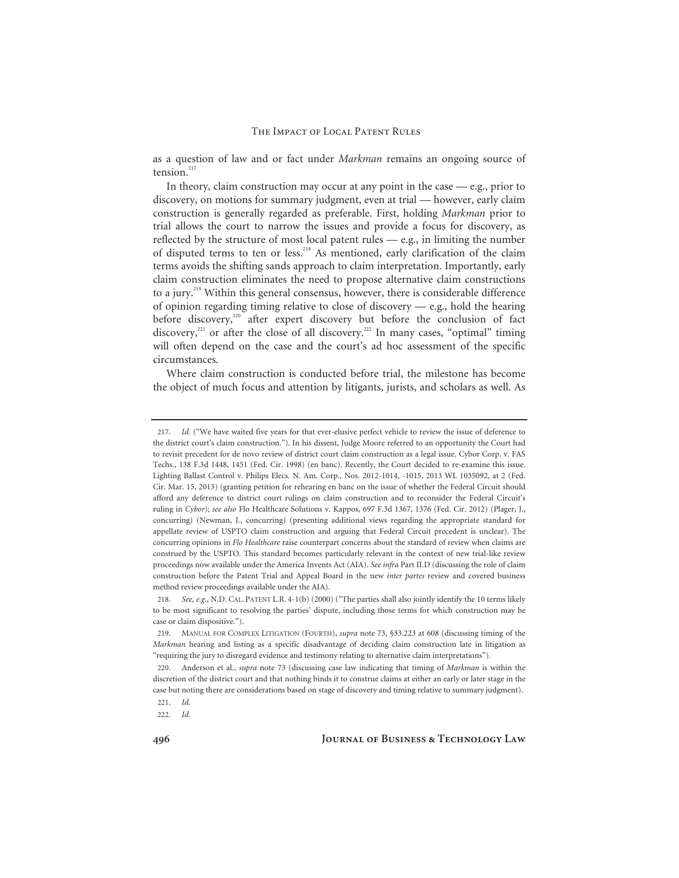as a question of law and or fact under *Markman* remains an ongoing source of tension.<sup>217</sup>

In theory, claim construction may occur at any point in the case — e.g., prior to discovery, on motions for summary judgment, even at trial — however, early claim construction is generally regarded as preferable. First, holding *Markman* prior to trial allows the court to narrow the issues and provide a focus for discovery, as reflected by the structure of most local patent rules — e.g., in limiting the number of disputed terms to ten or less.<sup>218</sup> As mentioned, early clarification of the claim terms avoids the shifting sands approach to claim interpretation. Importantly, early claim construction eliminates the need to propose alternative claim constructions to a jury.219 Within this general consensus, however, there is considerable difference of opinion regarding timing relative to close of discovery — e.g., hold the hearing before discovery, $220$  after expert discovery but before the conclusion of fact discovery, $221$  or after the close of all discovery.<sup>222</sup> In many cases, "optimal" timing will often depend on the case and the court's ad hoc assessment of the specific circumstances.

Where claim construction is conducted before trial, the milestone has become the object of much focus and attention by litigants, jurists, and scholars as well. As

<sup>217.</sup> *Id.* ("We have waited five years for that ever-elusive perfect vehicle to review the issue of deference to the district court's claim construction."). In his dissent, Judge Moore referred to an opportunity the Court had to revisit precedent for de novo review of district court claim construction as a legal issue. Cybor Corp. v. FAS Techs., 138 F.3d 1448, 1451 (Fed. Cir. 1998) (en banc). Recently, the Court decided to re-examine this issue. Lighting Ballast Control v. Philips Elecs. N. Am. Corp., Nos. 2012-1014, -1015, 2013 WL 1035092, at 2 (Fed. Cir. Mar. 15, 2013) (granting petition for rehearing en banc on the issue of whether the Federal Circuit should afford any deference to district court rulings on claim construction and to reconsider the Federal Circuit's ruling in *Cybor*); *see also* Flo Healthcare Solutions v. Kappos, 697 F.3d 1367, 1376 (Fed. Cir. 2012) (Plager, J., concurring) (Newman, J., concurring) (presenting additional views regarding the appropriate standard for appellate review of USPTO claim construction and arguing that Federal Circuit precedent is unclear). The concurring opinions in *Flo Healthcare* raise counterpart concerns about the standard of review when claims are construed by the USPTO. This standard becomes particularly relevant in the context of new trial-like review proceedings now available under the America Invents Act (AIA). *See infra* Part II.D (discussing the role of claim construction before the Patent Trial and Appeal Board in the new *inter partes* review and covered business method review proceedings available under the AIA).

<sup>218.</sup> *See, e.g.*, N.D. CAL. PATENT L.R. 4-1(b) (2000) ("The parties shall also jointly identify the 10 terms likely to be most significant to resolving the parties' dispute, including those terms for which construction may be case or claim dispositive.").

<sup>219.</sup> MANUAL FOR COMPLEX LITIGATION (FOURTH), *supra* note 73, §33.223 at 608 (discussing timing of the *Markman* hearing and listing as a specific disadvantage of deciding claim construction late in litigation as "requiring the jury to disregard evidence and testimony relating to alternative claim interpretations").

<sup>220.</sup> Anderson et al., *supra* note 73 (discussing case law indicating that timing of *Markman* is within the discretion of the district court and that nothing binds it to construe claims at either an early or later stage in the case but noting there are considerations based on stage of discovery and timing relative to summary judgment).

<sup>221.</sup> *Id.*

<sup>222.</sup> *Id.*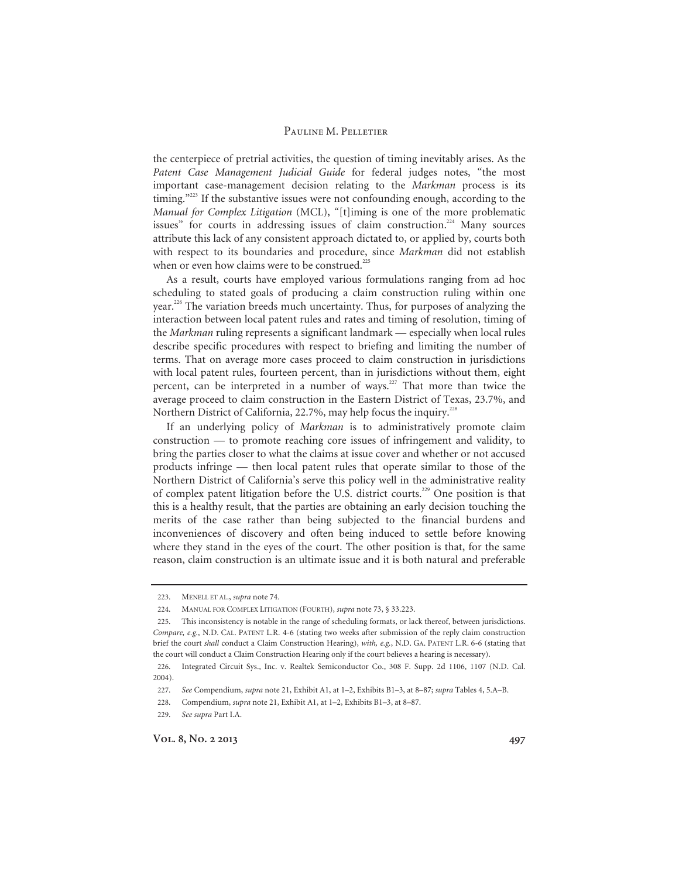the centerpiece of pretrial activities, the question of timing inevitably arises. As the *Patent Case Management Judicial Guide* for federal judges notes, "the most important case-management decision relating to the *Markman* process is its timing."<sup>223</sup> If the substantive issues were not confounding enough, according to the *Manual for Complex Litigation* (MCL), "[t]iming is one of the more problematic issues" for courts in addressing issues of claim construction.<sup>224</sup> Many sources attribute this lack of any consistent approach dictated to, or applied by, courts both with respect to its boundaries and procedure, since *Markman* did not establish when or even how claims were to be construed.<sup>225</sup>

As a result, courts have employed various formulations ranging from ad hoc scheduling to stated goals of producing a claim construction ruling within one year.<sup>226</sup> The variation breeds much uncertainty. Thus, for purposes of analyzing the interaction between local patent rules and rates and timing of resolution, timing of the *Markman* ruling represents a significant landmark — especially when local rules describe specific procedures with respect to briefing and limiting the number of terms. That on average more cases proceed to claim construction in jurisdictions with local patent rules, fourteen percent, than in jurisdictions without them, eight percent, can be interpreted in a number of ways.<sup>227</sup> That more than twice the average proceed to claim construction in the Eastern District of Texas, 23.7%, and Northern District of California, 22.7%, may help focus the inquiry.<sup>228</sup>

If an underlying policy of *Markman* is to administratively promote claim construction — to promote reaching core issues of infringement and validity, to bring the parties closer to what the claims at issue cover and whether or not accused products infringe — then local patent rules that operate similar to those of the Northern District of California's serve this policy well in the administrative reality of complex patent litigation before the U.S. district courts.<sup>229</sup> One position is that this is a healthy result, that the parties are obtaining an early decision touching the merits of the case rather than being subjected to the financial burdens and inconveniences of discovery and often being induced to settle before knowing where they stand in the eyes of the court. The other position is that, for the same reason, claim construction is an ultimate issue and it is both natural and preferable

<sup>223.</sup> MENELL ET AL., *supra* note 74.

<sup>224.</sup> MANUAL FOR COMPLEX LITIGATION (FOURTH), *supra* note 73, § 33.223.

<sup>225.</sup> This inconsistency is notable in the range of scheduling formats, or lack thereof, between jurisdictions. *Compare, e.g.*, N.D. CAL. PATENT L.R. 4-6 (stating two weeks after submission of the reply claim construction brief the court *shall* conduct a Claim Construction Hearing), *with, e.g.*, N.D. GA. PATENT L.R. 6-6 (stating that the court will conduct a Claim Construction Hearing only if the court believes a hearing is necessary).

<sup>226.</sup> Integrated Circuit Sys., Inc. v. Realtek Semiconductor Co., 308 F. Supp. 2d 1106, 1107 (N.D. Cal. 2004).

<sup>227.</sup> *See* Compendium, *supra* note 21, Exhibit A1, at 1–2, Exhibits B1–3, at 8–87; *supra* Tables 4, 5.A–B.

<sup>228.</sup> Compendium, *supra* note 21, Exhibit A1, at 1–2, Exhibits B1–3, at 8–87.

<sup>229.</sup> *See supra* Part I.A.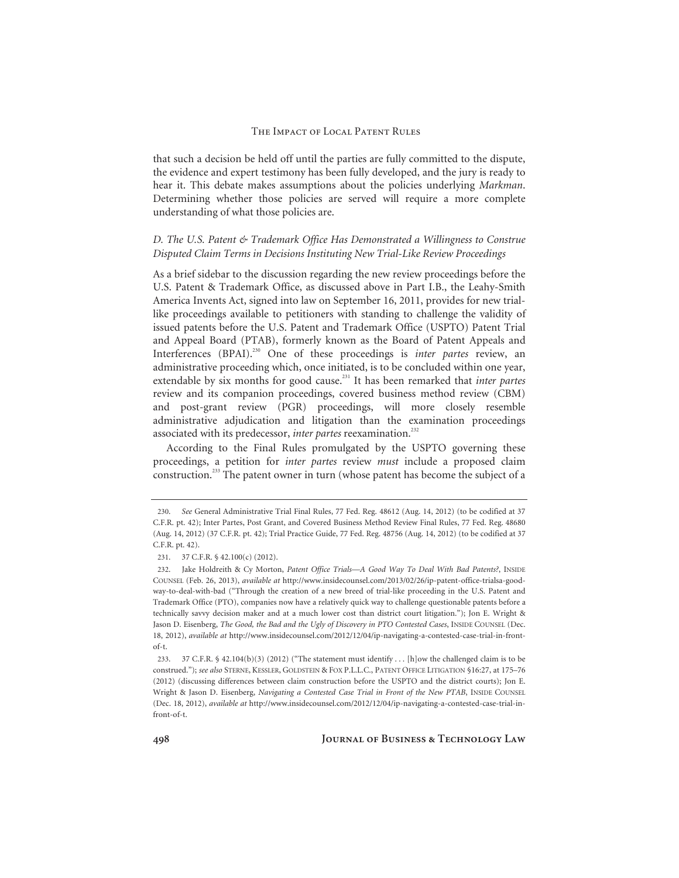that such a decision be held off until the parties are fully committed to the dispute, the evidence and expert testimony has been fully developed, and the jury is ready to hear it. This debate makes assumptions about the policies underlying *Markman*. Determining whether those policies are served will require a more complete understanding of what those policies are.

### *D. The U.S. Patent & Trademark Office Has Demonstrated a Willingness to Construe Disputed Claim Terms in Decisions Instituting New Trial-Like Review Proceedings*

As a brief sidebar to the discussion regarding the new review proceedings before the U.S. Patent & Trademark Office, as discussed above in Part I.B., the Leahy-Smith America Invents Act, signed into law on September 16, 2011, provides for new triallike proceedings available to petitioners with standing to challenge the validity of issued patents before the U.S. Patent and Trademark Office (USPTO) Patent Trial and Appeal Board (PTAB), formerly known as the Board of Patent Appeals and Interferences (BPAI).<sup>230</sup> One of these proceedings is *inter partes* review, an administrative proceeding which, once initiated, is to be concluded within one year, extendable by six months for good cause.231 It has been remarked that *inter partes* review and its companion proceedings, covered business method review (CBM) and post-grant review (PGR) proceedings, will more closely resemble administrative adjudication and litigation than the examination proceedings associated with its predecessor, *inter partes* reexamination.<sup>232</sup>

According to the Final Rules promulgated by the USPTO governing these proceedings, a petition for *inter partes* review *must* include a proposed claim construction.233 The patent owner in turn (whose patent has become the subject of a

<sup>230.</sup> *See* General Administrative Trial Final Rules, 77 Fed. Reg. 48612 (Aug. 14, 2012) (to be codified at 37 C.F.R. pt. 42); Inter Partes, Post Grant, and Covered Business Method Review Final Rules, 77 Fed. Reg. 48680 (Aug. 14, 2012) (37 C.F.R. pt. 42); Trial Practice Guide, 77 Fed. Reg. 48756 (Aug. 14, 2012) (to be codified at 37 C.F.R. pt. 42).

<sup>231. 37</sup> C.F.R. § 42.100(c) (2012).

<sup>232.</sup> Jake Holdreith & Cy Morton, *Patent Office Trials—A Good Way To Deal With Bad Patents?*, INSIDE COUNSEL (Feb. 26, 2013), *available at* http://www.insidecounsel.com/2013/02/26/ip-patent-office-trialsa-goodway-to-deal-with-bad ("Through the creation of a new breed of trial-like proceeding in the U.S. Patent and Trademark Office (PTO), companies now have a relatively quick way to challenge questionable patents before a technically savvy decision maker and at a much lower cost than district court litigation."); Jon E. Wright & Jason D. Eisenberg, *The Good, the Bad and the Ugly of Discovery in PTO Contested Cases*, INSIDE COUNSEL (Dec. 18, 2012), *available at* http://www.insidecounsel.com/2012/12/04/ip-navigating-a-contested-case-trial-in-frontof-t.

<sup>233. 37</sup> C.F.R. § 42.104(b)(3) (2012) ("The statement must identify . . . [h]ow the challenged claim is to be construed."); *see also* STERNE, KESSLER, GOLDSTEIN & FOX P.L.L.C., PATENT OFFICE LITIGATION §16:27, at 175–76 (2012) (discussing differences between claim construction before the USPTO and the district courts); Jon E. Wright & Jason D. Eisenberg, *Navigating a Contested Case Trial in Front of the New PTAB*, INSIDE COUNSEL (Dec. 18, 2012), *available at* http://www.insidecounsel.com/2012/12/04/ip-navigating-a-contested-case-trial-infront-of-t.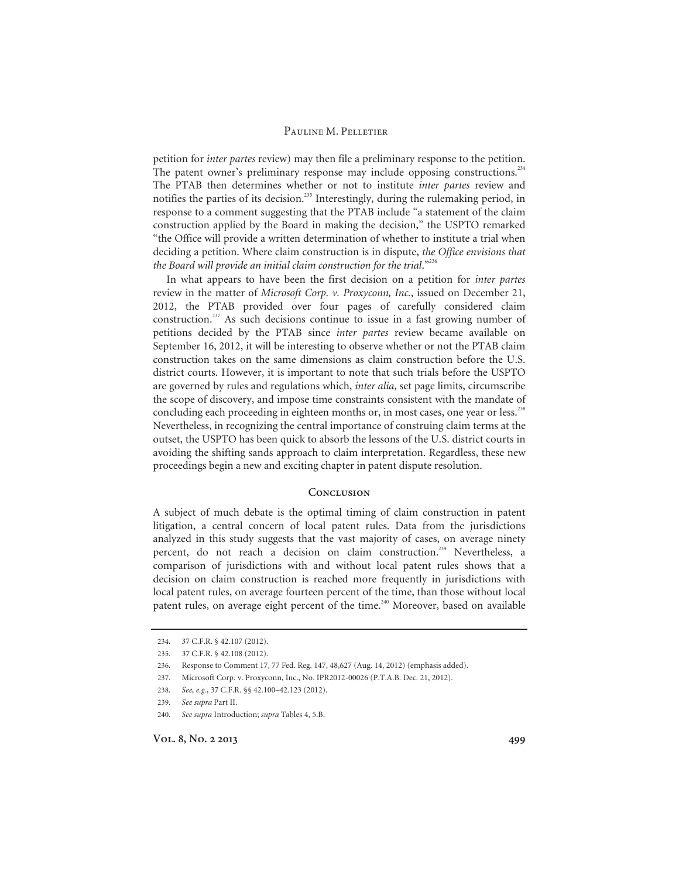petition for *inter partes* review) may then file a preliminary response to the petition. The patent owner's preliminary response may include opposing constructions.<sup>234</sup> The PTAB then determines whether or not to institute *inter partes* review and notifies the parties of its decision.<sup>235</sup> Interestingly, during the rulemaking period, in response to a comment suggesting that the PTAB include "a statement of the claim construction applied by the Board in making the decision," the USPTO remarked "the Office will provide a written determination of whether to institute a trial when deciding a petition. Where claim construction is in dispute, *the Office envisions that*  the Board will provide an initial claim construction for the trial."<sup>236</sup>

In what appears to have been the first decision on a petition for *inter partes* review in the matter of *Microsoft Corp. v. Proxyconn, Inc.*, issued on December 21, 2012, the PTAB provided over four pages of carefully considered claim construction.<sup>237</sup> As such decisions continue to issue in a fast growing number of petitions decided by the PTAB since *inter partes* review became available on September 16, 2012, it will be interesting to observe whether or not the PTAB claim construction takes on the same dimensions as claim construction before the U.S. district courts. However, it is important to note that such trials before the USPTO are governed by rules and regulations which, *inter alia*, set page limits, circumscribe the scope of discovery, and impose time constraints consistent with the mandate of concluding each proceeding in eighteen months or, in most cases, one year or less.<sup>238</sup> Nevertheless, in recognizing the central importance of construing claim terms at the outset, the USPTO has been quick to absorb the lessons of the U.S. district courts in avoiding the shifting sands approach to claim interpretation. Regardless, these new proceedings begin a new and exciting chapter in patent dispute resolution.

### **Conclusion**

A subject of much debate is the optimal timing of claim construction in patent litigation, a central concern of local patent rules. Data from the jurisdictions analyzed in this study suggests that the vast majority of cases, on average ninety percent, do not reach a decision on claim construction.<sup>239</sup> Nevertheless, a comparison of jurisdictions with and without local patent rules shows that a decision on claim construction is reached more frequently in jurisdictions with local patent rules, on average fourteen percent of the time, than those without local patent rules, on average eight percent of the time.<sup>240</sup> Moreover, based on available

<sup>234. 37</sup> C.F.R. § 42.107 (2012).

<sup>235. 37</sup> C.F.R. § 42.108 (2012).

<sup>236.</sup> Response to Comment 17, 77 Fed. Reg. 147, 48,627 (Aug. 14, 2012) (emphasis added).

<sup>237.</sup> Microsoft Corp. v. Proxyconn, Inc., No. IPR2012-00026 (P.T.A.B. Dec. 21, 2012).

<sup>238.</sup> *See, e.g.*, 37 C.F.R. §§ 42.100–42.123 (2012).

<sup>239.</sup> *See supra* Part II.

<sup>240.</sup> *See supra* Introduction; *supra* Tables 4, 5.B.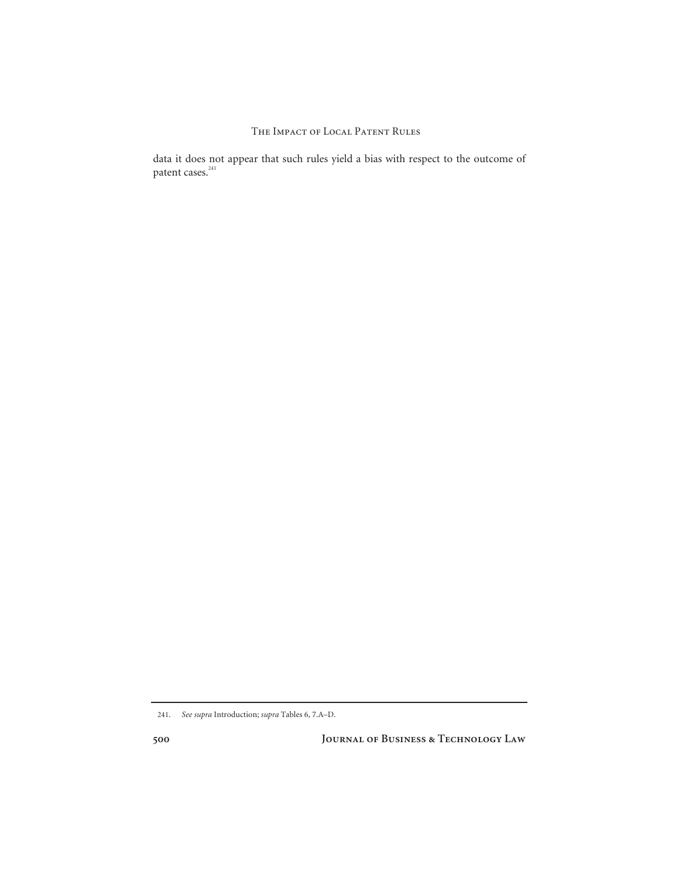data it does not appear that such rules yield a bias with respect to the outcome of patent cases.<sup>241</sup>

**500 Journal of Business & Technology Law** 

<sup>241.</sup> *See supra* Introduction; *supra* Tables 6, 7.A–D.